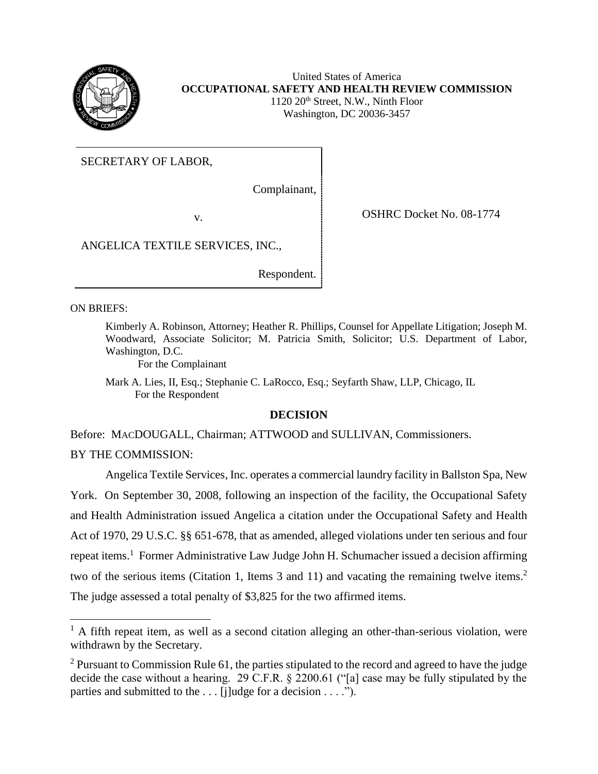

United States of America **OCCUPATIONAL SAFETY AND HEALTH REVIEW COMMISSION** 1120 20<sup>th</sup> Street, N.W., Ninth Floor Washington, DC 20036-3457

SECRETARY OF LABOR,

Complainant,

v. COSHRC Docket No. 08-1774

ANGELICA TEXTILE SERVICES, INC.,

Respondent.

ON BRIEFS:

 $\overline{\phantom{a}}$ 

Kimberly A. Robinson, Attorney; Heather R. Phillips, Counsel for Appellate Litigation; Joseph M. Woodward, Associate Solicitor; M. Patricia Smith, Solicitor; U.S. Department of Labor, Washington, D.C.

For the Complainant

Mark A. Lies, II, Esq.; Stephanie C. LaRocco, Esq.; Seyfarth Shaw, LLP, Chicago, IL For the Respondent

## **DECISION**

Before: MACDOUGALL, Chairman; ATTWOOD and SULLIVAN, Commissioners.

BY THE COMMISSION:

Angelica Textile Services, Inc. operates a commercial laundry facility in Ballston Spa, New York. On September 30, 2008, following an inspection of the facility, the Occupational Safety and Health Administration issued Angelica a citation under the Occupational Safety and Health Act of 1970, 29 U.S.C. §§ 651-678, that as amended, alleged violations under ten serious and four repeat items.<sup>1</sup> Former Administrative Law Judge John H. Schumacher issued a decision affirming two of the serious items (Citation 1, Items 3 and 11) and vacating the remaining twelve items.<sup>2</sup> The judge assessed a total penalty of \$3,825 for the two affirmed items.

 $<sup>1</sup>$  A fifth repeat item, as well as a second citation alleging an other-than-serious violation, were</sup> withdrawn by the Secretary.

 $2$  Pursuant to Commission Rule 61, the parties stipulated to the record and agreed to have the judge decide the case without a hearing. 29 C.F.R. § 2200.61 ("[a] case may be fully stipulated by the parties and submitted to the ... [j]udge for a decision ....").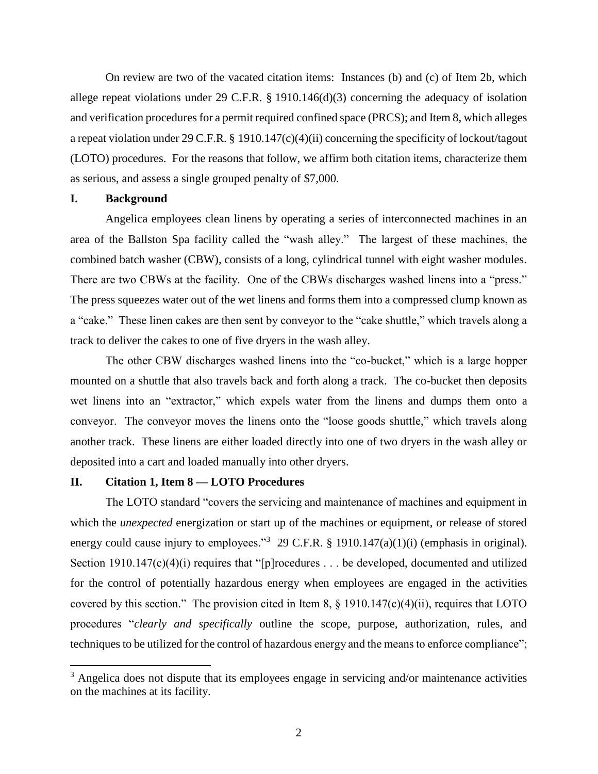On review are two of the vacated citation items: Instances (b) and (c) of Item 2b, which allege repeat violations under 29 C.F.R. § 1910.146(d)(3) concerning the adequacy of isolation and verification procedures for a permit required confined space (PRCS); and Item 8, which alleges a repeat violation under 29 C.F.R. § 1910.147(c)(4)(ii) concerning the specificity of lockout/tagout (LOTO) procedures. For the reasons that follow, we affirm both citation items, characterize them as serious, and assess a single grouped penalty of \$7,000.

# **I. Background**

 $\overline{a}$ 

Angelica employees clean linens by operating a series of interconnected machines in an area of the Ballston Spa facility called the "wash alley." The largest of these machines, the combined batch washer (CBW), consists of a long, cylindrical tunnel with eight washer modules. There are two CBWs at the facility. One of the CBWs discharges washed linens into a "press." The press squeezes water out of the wet linens and forms them into a compressed clump known as a "cake." These linen cakes are then sent by conveyor to the "cake shuttle," which travels along a track to deliver the cakes to one of five dryers in the wash alley.

The other CBW discharges washed linens into the "co-bucket," which is a large hopper mounted on a shuttle that also travels back and forth along a track. The co-bucket then deposits wet linens into an "extractor," which expels water from the linens and dumps them onto a conveyor. The conveyor moves the linens onto the "loose goods shuttle," which travels along another track. These linens are either loaded directly into one of two dryers in the wash alley or deposited into a cart and loaded manually into other dryers.

### **II. Citation 1, Item 8 — LOTO Procedures**

The LOTO standard "covers the servicing and maintenance of machines and equipment in which the *unexpected* energization or start up of the machines or equipment, or release of stored energy could cause injury to employees."<sup>3</sup> 29 C.F.R. § 1910.147(a)(1)(i) (emphasis in original). Section 1910.147(c)(4)(i) requires that "[p]rocedures . . . be developed, documented and utilized for the control of potentially hazardous energy when employees are engaged in the activities covered by this section." The provision cited in Item 8, § 1910.147(c)(4)(ii), requires that LOTO procedures "*clearly and specifically* outline the scope, purpose, authorization, rules, and techniques to be utilized for the control of hazardous energy and the means to enforce compliance";

 $3$  Angelica does not dispute that its employees engage in servicing and/or maintenance activities on the machines at its facility.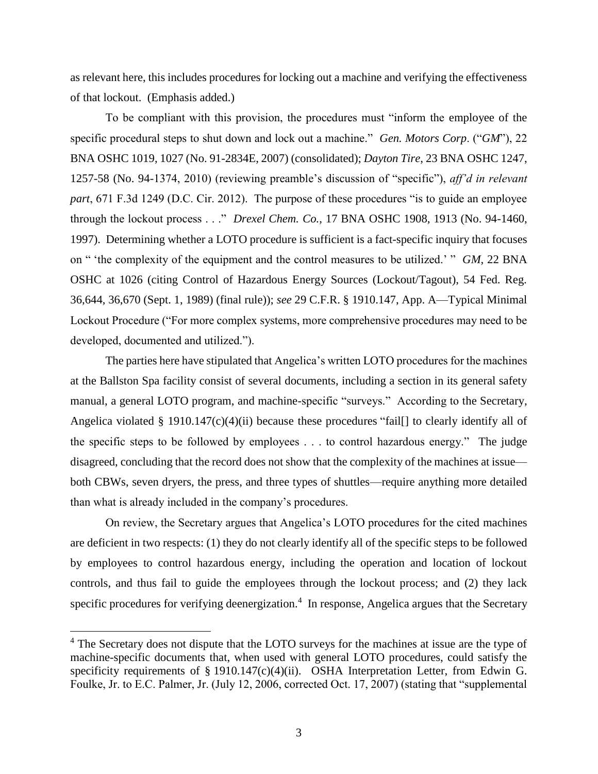as relevant here, this includes procedures for locking out a machine and verifying the effectiveness of that lockout. (Emphasis added.)

To be compliant with this provision, the procedures must "inform the employee of the specific procedural steps to shut down and lock out a machine." *Gen. Motors Corp*. ("*GM*"), 22 BNA OSHC 1019, 1027 (No. 91-2834E, 2007) (consolidated); *Dayton Tire*, 23 BNA OSHC 1247, 1257-58 (No. 94-1374, 2010) (reviewing preamble's discussion of "specific"), *aff'd in relevant part*, 671 F.3d 1249 (D.C. Cir. 2012). The purpose of these procedures "is to guide an employee through the lockout process . . ." *Drexel Chem. Co.*, 17 BNA OSHC 1908, 1913 (No. 94-1460, 1997). Determining whether a LOTO procedure is sufficient is a fact-specific inquiry that focuses on " 'the complexity of the equipment and the control measures to be utilized.' " *GM*, 22 BNA OSHC at 1026 (citing Control of Hazardous Energy Sources (Lockout/Tagout), 54 Fed. Reg. 36,644, 36,670 (Sept. 1, 1989) (final rule)); *see* 29 C.F.R. § 1910.147, App. A—Typical Minimal Lockout Procedure ("For more complex systems, more comprehensive procedures may need to be developed, documented and utilized.").

The parties here have stipulated that Angelica's written LOTO procedures for the machines at the Ballston Spa facility consist of several documents, including a section in its general safety manual, a general LOTO program, and machine-specific "surveys." According to the Secretary, Angelica violated § 1910.147 $(c)(4)(ii)$  because these procedures "fail [] to clearly identify all of the specific steps to be followed by employees . . . to control hazardous energy." The judge disagreed, concluding that the record does not show that the complexity of the machines at issue both CBWs, seven dryers, the press, and three types of shuttles—require anything more detailed than what is already included in the company's procedures.

On review, the Secretary argues that Angelica's LOTO procedures for the cited machines are deficient in two respects: (1) they do not clearly identify all of the specific steps to be followed by employees to control hazardous energy, including the operation and location of lockout controls, and thus fail to guide the employees through the lockout process; and (2) they lack specific procedures for verifying deenergization.<sup>4</sup> In response, Angelica argues that the Secretary

<sup>&</sup>lt;sup>4</sup> The Secretary does not dispute that the LOTO surveys for the machines at issue are the type of machine-specific documents that, when used with general LOTO procedures, could satisfy the specificity requirements of § 1910.147(c)(4)(ii). OSHA Interpretation Letter, from Edwin G. Foulke, Jr. to E.C. Palmer, Jr. (July 12, 2006, corrected Oct. 17, 2007) (stating that "supplemental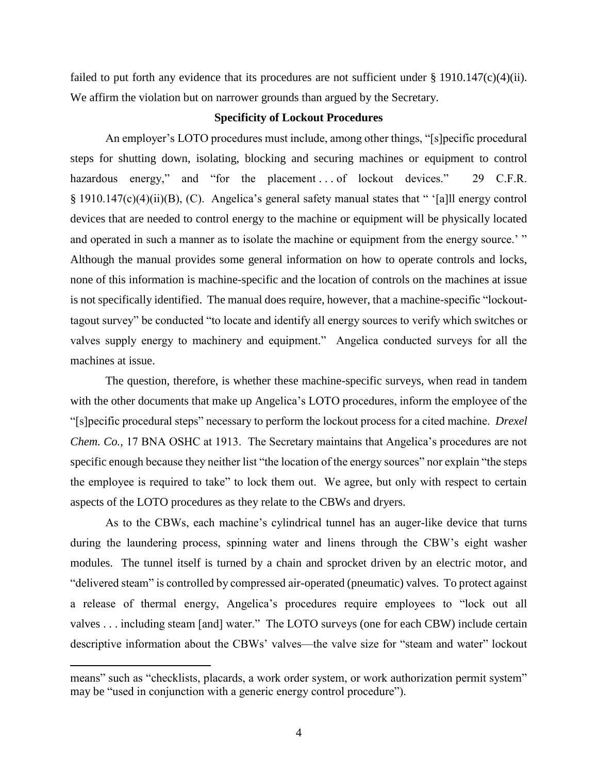failed to put forth any evidence that its procedures are not sufficient under  $\S 1910.147(c)(4)(ii)$ . We affirm the violation but on narrower grounds than argued by the Secretary.

## **Specificity of Lockout Procedures**

An employer's LOTO procedures must include, among other things, "[s]pecific procedural steps for shutting down, isolating, blocking and securing machines or equipment to control hazardous energy," and "for the placement ... of lockout devices." 29 C.F.R. § 1910.147(c)(4)(ii)(B), (C). Angelica's general safety manual states that " '[a]ll energy control devices that are needed to control energy to the machine or equipment will be physically located and operated in such a manner as to isolate the machine or equipment from the energy source.' " Although the manual provides some general information on how to operate controls and locks, none of this information is machine-specific and the location of controls on the machines at issue is not specifically identified. The manual does require, however, that a machine-specific "lockouttagout survey" be conducted "to locate and identify all energy sources to verify which switches or valves supply energy to machinery and equipment." Angelica conducted surveys for all the machines at issue.

The question, therefore, is whether these machine-specific surveys, when read in tandem with the other documents that make up Angelica's LOTO procedures, inform the employee of the "[s]pecific procedural steps" necessary to perform the lockout process for a cited machine. *Drexel Chem. Co.*, 17 BNA OSHC at 1913. The Secretary maintains that Angelica's procedures are not specific enough because they neither list "the location of the energy sources" nor explain "the steps the employee is required to take" to lock them out. We agree, but only with respect to certain aspects of the LOTO procedures as they relate to the CBWs and dryers.

As to the CBWs, each machine's cylindrical tunnel has an auger-like device that turns during the laundering process, spinning water and linens through the CBW's eight washer modules. The tunnel itself is turned by a chain and sprocket driven by an electric motor, and "delivered steam" is controlled by compressed air-operated (pneumatic) valves. To protect against a release of thermal energy, Angelica's procedures require employees to "lock out all valves . . . including steam [and] water." The LOTO surveys (one for each CBW) include certain descriptive information about the CBWs' valves—the valve size for "steam and water" lockout

 $\overline{a}$ 

means" such as "checklists, placards, a work order system, or work authorization permit system" may be "used in conjunction with a generic energy control procedure").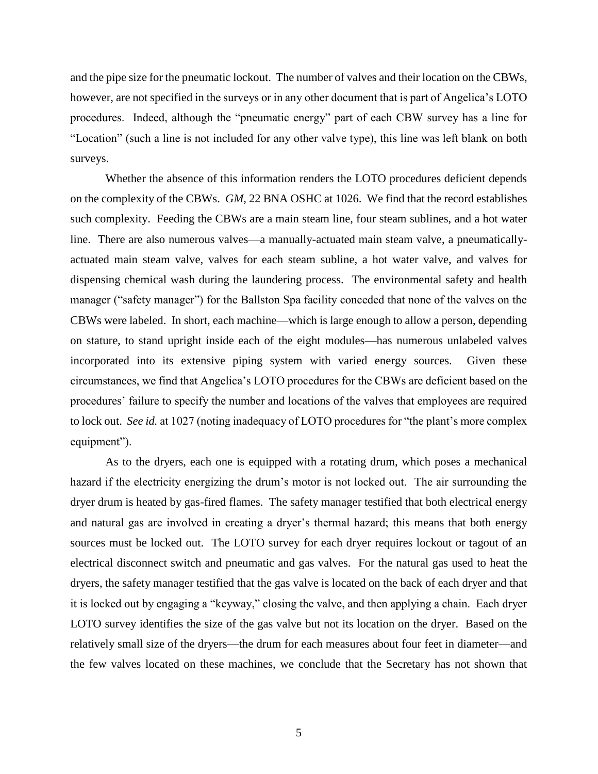and the pipe size for the pneumatic lockout. The number of valves and their location on the CBWs, however, are not specified in the surveys or in any other document that is part of Angelica's LOTO procedures. Indeed, although the "pneumatic energy" part of each CBW survey has a line for "Location" (such a line is not included for any other valve type), this line was left blank on both surveys.

Whether the absence of this information renders the LOTO procedures deficient depends on the complexity of the CBWs. *GM*, 22 BNA OSHC at 1026. We find that the record establishes such complexity. Feeding the CBWs are a main steam line, four steam sublines, and a hot water line. There are also numerous valves—a manually-actuated main steam valve, a pneumaticallyactuated main steam valve, valves for each steam subline, a hot water valve, and valves for dispensing chemical wash during the laundering process. The environmental safety and health manager ("safety manager") for the Ballston Spa facility conceded that none of the valves on the CBWs were labeled. In short, each machine—which is large enough to allow a person, depending on stature, to stand upright inside each of the eight modules—has numerous unlabeled valves incorporated into its extensive piping system with varied energy sources. Given these circumstances, we find that Angelica's LOTO procedures for the CBWs are deficient based on the procedures' failure to specify the number and locations of the valves that employees are required to lock out. *See id.* at 1027 (noting inadequacy of LOTO procedures for "the plant's more complex equipment").

As to the dryers, each one is equipped with a rotating drum, which poses a mechanical hazard if the electricity energizing the drum's motor is not locked out. The air surrounding the dryer drum is heated by gas-fired flames. The safety manager testified that both electrical energy and natural gas are involved in creating a dryer's thermal hazard; this means that both energy sources must be locked out. The LOTO survey for each dryer requires lockout or tagout of an electrical disconnect switch and pneumatic and gas valves. For the natural gas used to heat the dryers, the safety manager testified that the gas valve is located on the back of each dryer and that it is locked out by engaging a "keyway," closing the valve, and then applying a chain. Each dryer LOTO survey identifies the size of the gas valve but not its location on the dryer. Based on the relatively small size of the dryers—the drum for each measures about four feet in diameter—and the few valves located on these machines, we conclude that the Secretary has not shown that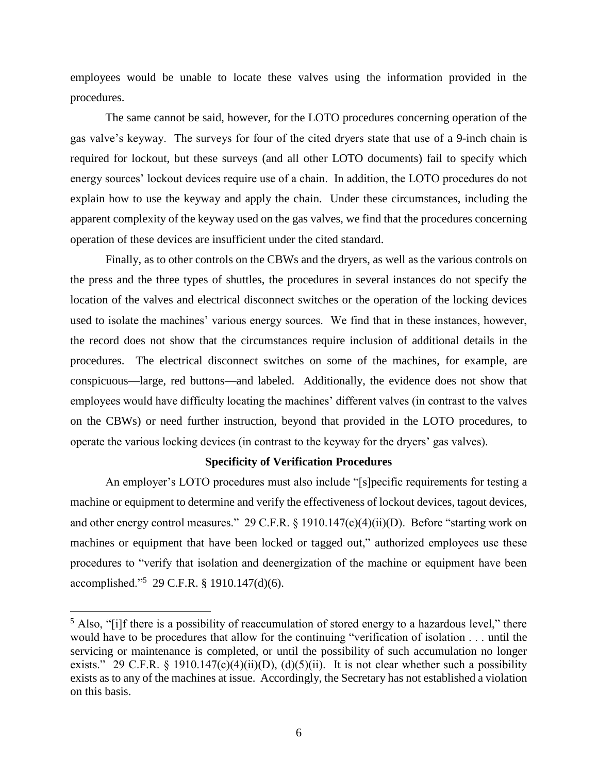employees would be unable to locate these valves using the information provided in the procedures.

The same cannot be said, however, for the LOTO procedures concerning operation of the gas valve's keyway. The surveys for four of the cited dryers state that use of a 9-inch chain is required for lockout, but these surveys (and all other LOTO documents) fail to specify which energy sources' lockout devices require use of a chain. In addition, the LOTO procedures do not explain how to use the keyway and apply the chain. Under these circumstances, including the apparent complexity of the keyway used on the gas valves, we find that the procedures concerning operation of these devices are insufficient under the cited standard.

Finally, as to other controls on the CBWs and the dryers, as well as the various controls on the press and the three types of shuttles, the procedures in several instances do not specify the location of the valves and electrical disconnect switches or the operation of the locking devices used to isolate the machines' various energy sources. We find that in these instances, however, the record does not show that the circumstances require inclusion of additional details in the procedures. The electrical disconnect switches on some of the machines, for example, are conspicuous—large, red buttons—and labeled. Additionally, the evidence does not show that employees would have difficulty locating the machines' different valves (in contrast to the valves on the CBWs) or need further instruction, beyond that provided in the LOTO procedures, to operate the various locking devices (in contrast to the keyway for the dryers' gas valves).

#### **Specificity of Verification Procedures**

An employer's LOTO procedures must also include "[s]pecific requirements for testing a machine or equipment to determine and verify the effectiveness of lockout devices, tagout devices, and other energy control measures." 29 C.F.R. § 1910.147(c)(4)(ii)(D). Before "starting work on machines or equipment that have been locked or tagged out," authorized employees use these procedures to "verify that isolation and deenergization of the machine or equipment have been accomplished."<sup>5</sup> 29 C.F.R. § 1910.147(d)(6).

 $<sup>5</sup>$  Also, "[i]f there is a possibility of reaccumulation of stored energy to a hazardous level," there</sup> would have to be procedures that allow for the continuing "verification of isolation . . . until the servicing or maintenance is completed, or until the possibility of such accumulation no longer exists." 29 C.F.R. § 1910.147(c)(4)(ii)(D), (d)(5)(ii). It is not clear whether such a possibility exists as to any of the machines at issue. Accordingly, the Secretary has not established a violation on this basis.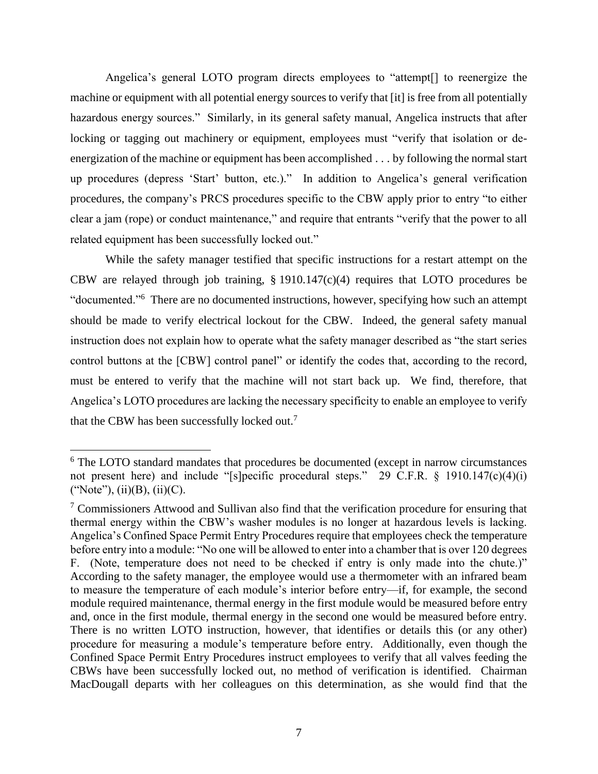Angelica's general LOTO program directs employees to "attempt[] to reenergize the machine or equipment with all potential energy sources to verify that [it] is free from all potentially hazardous energy sources." Similarly, in its general safety manual, Angelica instructs that after locking or tagging out machinery or equipment, employees must "verify that isolation or deenergization of the machine or equipment has been accomplished . . . by following the normal start up procedures (depress 'Start' button, etc.)." In addition to Angelica's general verification procedures, the company's PRCS procedures specific to the CBW apply prior to entry "to either clear a jam (rope) or conduct maintenance," and require that entrants "verify that the power to all related equipment has been successfully locked out."

While the safety manager testified that specific instructions for a restart attempt on the CBW are relayed through job training,  $\S$  1910.147(c)(4) requires that LOTO procedures be "documented."<sup>6</sup> There are no documented instructions, however, specifying how such an attempt should be made to verify electrical lockout for the CBW. Indeed, the general safety manual instruction does not explain how to operate what the safety manager described as "the start series control buttons at the [CBW] control panel" or identify the codes that, according to the record, must be entered to verify that the machine will not start back up. We find, therefore, that Angelica's LOTO procedures are lacking the necessary specificity to enable an employee to verify that the CBW has been successfully locked out.<sup>7</sup>

 $\overline{a}$ 

<sup>&</sup>lt;sup>6</sup> The LOTO standard mandates that procedures be documented (except in narrow circumstances not present here) and include "[s]pecific procedural steps." 29 C.F.R. § 1910.147(c)(4)(i) ("Note"), (ii)(B), (ii)(C).

<sup>&</sup>lt;sup>7</sup> Commissioners Attwood and Sullivan also find that the verification procedure for ensuring that thermal energy within the CBW's washer modules is no longer at hazardous levels is lacking. Angelica's Confined Space Permit Entry Procedures require that employees check the temperature before entry into a module: "No one will be allowed to enter into a chamber that is over 120 degrees F. (Note, temperature does not need to be checked if entry is only made into the chute.)" According to the safety manager, the employee would use a thermometer with an infrared beam to measure the temperature of each module's interior before entry—if, for example, the second module required maintenance, thermal energy in the first module would be measured before entry and, once in the first module, thermal energy in the second one would be measured before entry. There is no written LOTO instruction, however, that identifies or details this (or any other) procedure for measuring a module's temperature before entry. Additionally, even though the Confined Space Permit Entry Procedures instruct employees to verify that all valves feeding the CBWs have been successfully locked out, no method of verification is identified. Chairman MacDougall departs with her colleagues on this determination, as she would find that the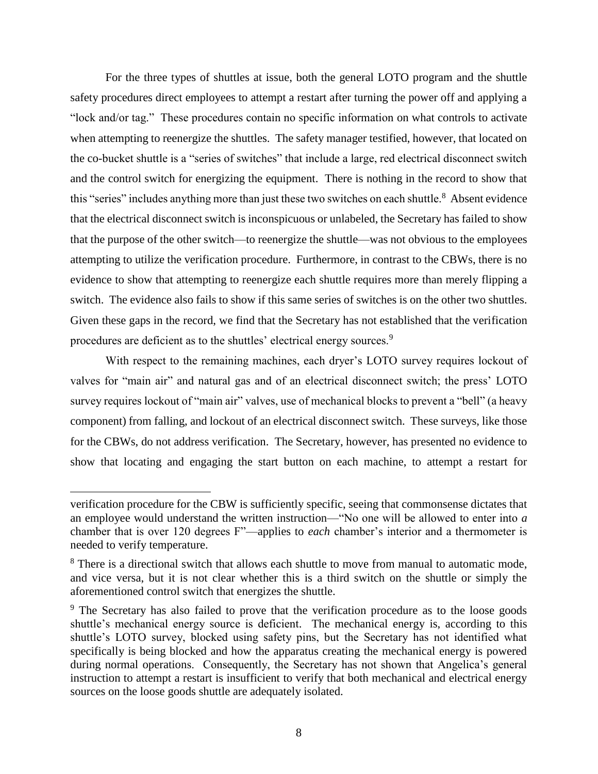For the three types of shuttles at issue, both the general LOTO program and the shuttle safety procedures direct employees to attempt a restart after turning the power off and applying a "lock and/or tag." These procedures contain no specific information on what controls to activate when attempting to reenergize the shuttles. The safety manager testified, however, that located on the co-bucket shuttle is a "series of switches" that include a large, red electrical disconnect switch and the control switch for energizing the equipment. There is nothing in the record to show that this "series" includes anything more than just these two switches on each shuttle.<sup>8</sup> Absent evidence that the electrical disconnect switch is inconspicuous or unlabeled, the Secretary has failed to show that the purpose of the other switch—to reenergize the shuttle—was not obvious to the employees attempting to utilize the verification procedure. Furthermore, in contrast to the CBWs, there is no evidence to show that attempting to reenergize each shuttle requires more than merely flipping a switch. The evidence also fails to show if this same series of switches is on the other two shuttles. Given these gaps in the record, we find that the Secretary has not established that the verification procedures are deficient as to the shuttles' electrical energy sources.<sup>9</sup>

With respect to the remaining machines, each dryer's LOTO survey requires lockout of valves for "main air" and natural gas and of an electrical disconnect switch; the press' LOTO survey requires lockout of "main air" valves, use of mechanical blocks to prevent a "bell" (a heavy component) from falling, and lockout of an electrical disconnect switch. These surveys, like those for the CBWs, do not address verification. The Secretary, however, has presented no evidence to show that locating and engaging the start button on each machine, to attempt a restart for

l

verification procedure for the CBW is sufficiently specific, seeing that commonsense dictates that an employee would understand the written instruction—"No one will be allowed to enter into *a* chamber that is over 120 degrees F"—applies to *each* chamber's interior and a thermometer is needed to verify temperature.

<sup>&</sup>lt;sup>8</sup> There is a directional switch that allows each shuttle to move from manual to automatic mode, and vice versa, but it is not clear whether this is a third switch on the shuttle or simply the aforementioned control switch that energizes the shuttle.

<sup>&</sup>lt;sup>9</sup> The Secretary has also failed to prove that the verification procedure as to the loose goods shuttle's mechanical energy source is deficient. The mechanical energy is, according to this shuttle's LOTO survey, blocked using safety pins, but the Secretary has not identified what specifically is being blocked and how the apparatus creating the mechanical energy is powered during normal operations. Consequently, the Secretary has not shown that Angelica's general instruction to attempt a restart is insufficient to verify that both mechanical and electrical energy sources on the loose goods shuttle are adequately isolated.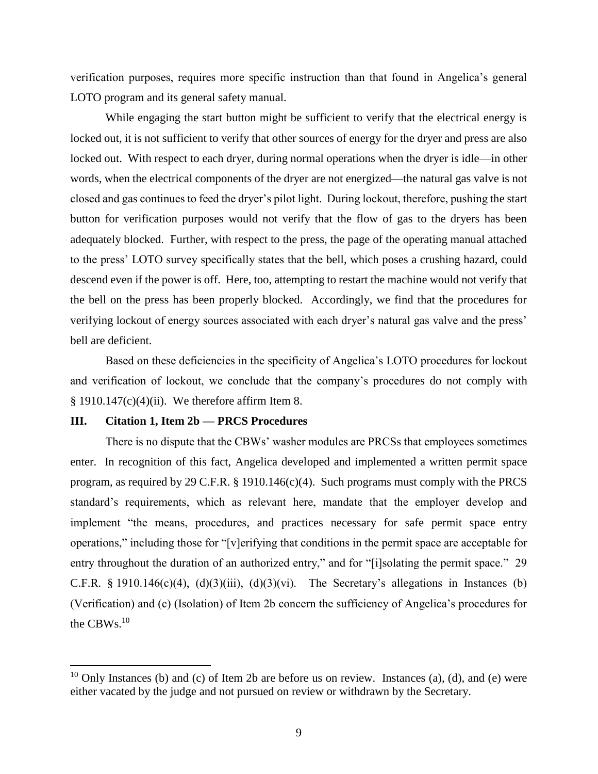verification purposes, requires more specific instruction than that found in Angelica's general LOTO program and its general safety manual.

While engaging the start button might be sufficient to verify that the electrical energy is locked out, it is not sufficient to verify that other sources of energy for the dryer and press are also locked out. With respect to each dryer, during normal operations when the dryer is idle—in other words, when the electrical components of the dryer are not energized—the natural gas valve is not closed and gas continues to feed the dryer's pilot light. During lockout, therefore, pushing the start button for verification purposes would not verify that the flow of gas to the dryers has been adequately blocked. Further, with respect to the press, the page of the operating manual attached to the press' LOTO survey specifically states that the bell, which poses a crushing hazard, could descend even if the power is off. Here, too, attempting to restart the machine would not verify that the bell on the press has been properly blocked. Accordingly, we find that the procedures for verifying lockout of energy sources associated with each dryer's natural gas valve and the press' bell are deficient.

Based on these deficiencies in the specificity of Angelica's LOTO procedures for lockout and verification of lockout, we conclude that the company's procedures do not comply with  $§$  1910.147(c)(4)(ii). We therefore affirm Item 8.

# **III. Citation 1, Item 2b — PRCS Procedures**

 $\overline{a}$ 

There is no dispute that the CBWs' washer modules are PRCSs that employees sometimes enter. In recognition of this fact, Angelica developed and implemented a written permit space program, as required by 29 C.F.R. § 1910.146(c)(4). Such programs must comply with the PRCS standard's requirements, which as relevant here, mandate that the employer develop and implement "the means, procedures, and practices necessary for safe permit space entry operations," including those for "[v]erifying that conditions in the permit space are acceptable for entry throughout the duration of an authorized entry," and for "[i]solating the permit space." 29 C.F.R. § 1910.146(c)(4), (d)(3)(iii), (d)(3)(vi). The Secretary's allegations in Instances (b) (Verification) and (c) (Isolation) of Item 2b concern the sufficiency of Angelica's procedures for the CBWs. $^{10}$ 

<sup>&</sup>lt;sup>10</sup> Only Instances (b) and (c) of Item 2b are before us on review. Instances (a), (d), and (e) were either vacated by the judge and not pursued on review or withdrawn by the Secretary.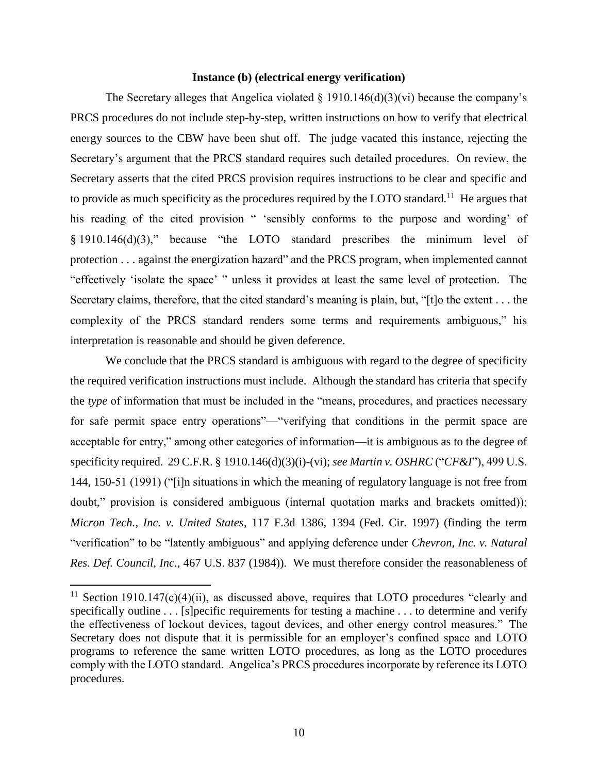## **Instance (b) (electrical energy verification)**

The Secretary alleges that Angelica violated  $\S$  1910.146(d)(3)(vi) because the company's PRCS procedures do not include step-by-step, written instructions on how to verify that electrical energy sources to the CBW have been shut off. The judge vacated this instance, rejecting the Secretary's argument that the PRCS standard requires such detailed procedures. On review, the Secretary asserts that the cited PRCS provision requires instructions to be clear and specific and to provide as much specificity as the procedures required by the LOTO standard.<sup>11</sup> He argues that his reading of the cited provision " 'sensibly conforms to the purpose and wording' of § 1910.146(d)(3)," because "the LOTO standard prescribes the minimum level of protection . . . against the energization hazard" and the PRCS program, when implemented cannot "effectively 'isolate the space' " unless it provides at least the same level of protection. The Secretary claims, therefore, that the cited standard's meaning is plain, but, "[t]o the extent . . . the complexity of the PRCS standard renders some terms and requirements ambiguous," his interpretation is reasonable and should be given deference.

We conclude that the PRCS standard is ambiguous with regard to the degree of specificity the required verification instructions must include. Although the standard has criteria that specify the *type* of information that must be included in the "means, procedures, and practices necessary for safe permit space entry operations"—"verifying that conditions in the permit space are acceptable for entry," among other categories of information—it is ambiguous as to the degree of specificity required. 29 C.F.R. § 1910.146(d)(3)(i)-(vi); *see Martin v. OSHRC* ("*CF&I*"), 499 U.S. 144, 150-51 (1991) ("[i]n situations in which the meaning of regulatory language is not free from doubt," provision is considered ambiguous (internal quotation marks and brackets omitted)); *Micron Tech., Inc. v. United States*, 117 F.3d 1386, 1394 (Fed. Cir. 1997) (finding the term "verification" to be "latently ambiguous" and applying deference under *Chevron, Inc. v. Natural Res. Def. Council, Inc.*, 467 U.S. 837 (1984)). We must therefore consider the reasonableness of

 $\overline{a}$ 

<sup>&</sup>lt;sup>11</sup> Section 1910.147(c)(4)(ii), as discussed above, requires that LOTO procedures "clearly and specifically outline . . . [s]pecific requirements for testing a machine . . . to determine and verify the effectiveness of lockout devices, tagout devices, and other energy control measures." The Secretary does not dispute that it is permissible for an employer's confined space and LOTO programs to reference the same written LOTO procedures, as long as the LOTO procedures comply with the LOTO standard. Angelica's PRCS procedures incorporate by reference its LOTO procedures.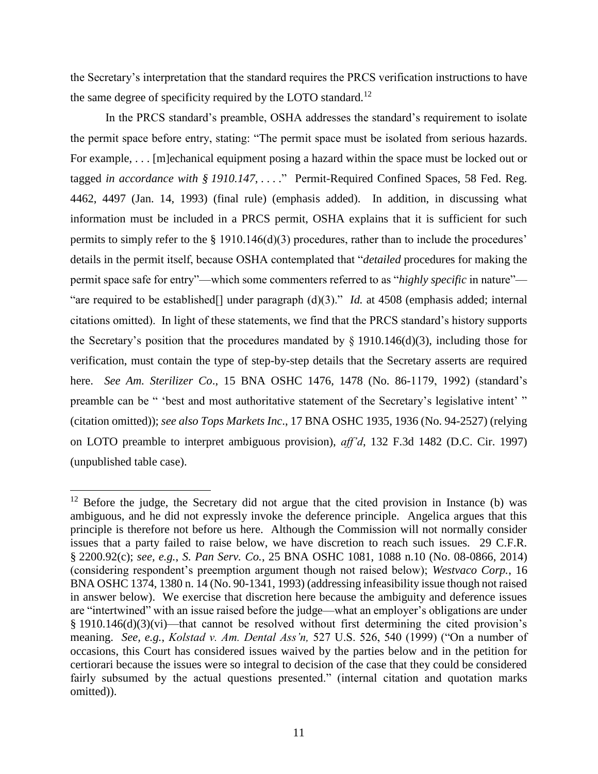the Secretary's interpretation that the standard requires the PRCS verification instructions to have the same degree of specificity required by the LOTO standard.<sup>12</sup>

In the PRCS standard's preamble, OSHA addresses the standard's requirement to isolate the permit space before entry, stating: "The permit space must be isolated from serious hazards. For example, . . . [m]echanical equipment posing a hazard within the space must be locked out or tagged *in accordance with § 1910.147*, . . . ." Permit-Required Confined Spaces, 58 Fed. Reg. 4462, 4497 (Jan. 14, 1993) (final rule) (emphasis added). In addition, in discussing what information must be included in a PRCS permit, OSHA explains that it is sufficient for such permits to simply refer to the § 1910.146(d)(3) procedures, rather than to include the procedures' details in the permit itself, because OSHA contemplated that "*detailed* procedures for making the permit space safe for entry"—which some commenters referred to as "*highly specific* in nature"— "are required to be established[] under paragraph (d)(3)." *Id.* at 4508 (emphasis added; internal citations omitted). In light of these statements, we find that the PRCS standard's history supports the Secretary's position that the procedures mandated by  $\S$  1910.146(d)(3), including those for verification, must contain the type of step-by-step details that the Secretary asserts are required here. *See Am. Sterilizer Co*., 15 BNA OSHC 1476, 1478 (No. 86-1179, 1992) (standard's preamble can be " 'best and most authoritative statement of the Secretary's legislative intent' " (citation omitted)); *see also Tops Markets Inc*., 17 BNA OSHC 1935, 1936 (No. 94-2527) (relying on LOTO preamble to interpret ambiguous provision), *aff'd*, 132 F.3d 1482 (D.C. Cir. 1997) (unpublished table case).

 $12$  Before the judge, the Secretary did not argue that the cited provision in Instance (b) was ambiguous, and he did not expressly invoke the deference principle. Angelica argues that this principle is therefore not before us here. Although the Commission will not normally consider issues that a party failed to raise below, we have discretion to reach such issues. 29 C.F.R. § 2200.92(c); *see, e.g.*, *S. Pan Serv. Co.*, 25 BNA OSHC 1081, 1088 n.10 (No. 08-0866, 2014) (considering respondent's preemption argument though not raised below); *Westvaco Corp.*, 16 BNA OSHC 1374, 1380 n. 14 (No. 90-1341, 1993) (addressing infeasibility issue though not raised in answer below). We exercise that discretion here because the ambiguity and deference issues are "intertwined" with an issue raised before the judge—what an employer's obligations are under § 1910.146(d)(3)(vi)—that cannot be resolved without first determining the cited provision's meaning. *See, e.g.*, *Kolstad v. Am. Dental Ass'n,* 527 U.S. 526, 540 (1999) ("On a number of occasions, this Court has considered issues waived by the parties below and in the petition for certiorari because the issues were so integral to decision of the case that they could be considered fairly subsumed by the actual questions presented." (internal citation and quotation marks omitted)).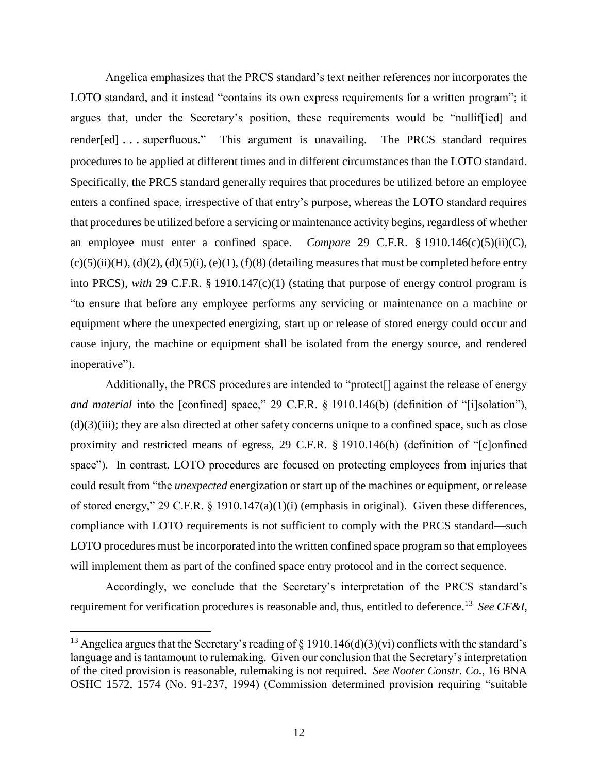Angelica emphasizes that the PRCS standard's text neither references nor incorporates the LOTO standard, and it instead "contains its own express requirements for a written program"; it argues that, under the Secretary's position, these requirements would be "nulliffied] and render[ed] . . . superfluous." This argument is unavailing. The PRCS standard requires procedures to be applied at different times and in different circumstances than the LOTO standard. Specifically, the PRCS standard generally requires that procedures be utilized before an employee enters a confined space, irrespective of that entry's purpose, whereas the LOTO standard requires that procedures be utilized before a servicing or maintenance activity begins, regardless of whether an employee must enter a confined space. *Compare* 29 C.F.R. § 1910.146(c)(5)(ii)(C),  $(c)(5)(ii)(H)$ ,  $(d)(2)$ ,  $(d)(5)(i)$ ,  $(e)(1)$ ,  $(f)(8)$  (detailing measures that must be completed before entry into PRCS), *with* 29 C.F.R. § 1910.147(c)(1) (stating that purpose of energy control program is "to ensure that before any employee performs any servicing or maintenance on a machine or equipment where the unexpected energizing, start up or release of stored energy could occur and cause injury, the machine or equipment shall be isolated from the energy source, and rendered inoperative").

Additionally, the PRCS procedures are intended to "protect[] against the release of energy *and material* into the [confined] space," 29 C.F.R. § 1910.146(b) (definition of "[i]solation"), (d)(3)(iii); they are also directed at other safety concerns unique to a confined space, such as close proximity and restricted means of egress, 29 C.F.R. § 1910.146(b) (definition of "[c]onfined space"). In contrast, LOTO procedures are focused on protecting employees from injuries that could result from "the *unexpected* energization or start up of the machines or equipment, or release of stored energy," 29 C.F.R. § 1910.147(a)(1)(i) (emphasis in original). Given these differences, compliance with LOTO requirements is not sufficient to comply with the PRCS standard—such LOTO procedures must be incorporated into the written confined space program so that employees will implement them as part of the confined space entry protocol and in the correct sequence.

Accordingly, we conclude that the Secretary's interpretation of the PRCS standard's requirement for verification procedures is reasonable and, thus, entitled to deference.<sup>13</sup>  *See CF&I*,

<sup>&</sup>lt;sup>13</sup> Angelica argues that the Secretary's reading of  $\S$  1910.146(d)(3)(vi) conflicts with the standard's language and is tantamount to rulemaking. Given our conclusion that the Secretary's interpretation of the cited provision is reasonable, rulemaking is not required. *See Nooter Constr. Co.*, 16 BNA OSHC 1572, 1574 (No. 91-237, 1994) (Commission determined provision requiring "suitable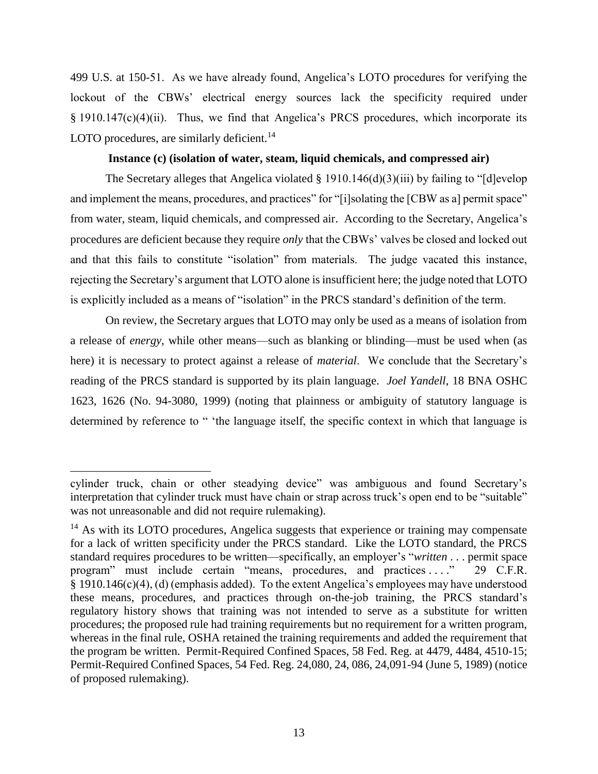499 U.S. at 150-51. As we have already found, Angelica's LOTO procedures for verifying the lockout of the CBWs' electrical energy sources lack the specificity required under § 1910.147(c)(4)(ii). Thus, we find that Angelica's PRCS procedures, which incorporate its LOTO procedures, are similarly deficient.<sup>14</sup>

# **Instance (c) (isolation of water, steam, liquid chemicals, and compressed air)**

The Secretary alleges that Angelica violated § 1910.146(d)(3)(iii) by failing to "[d]evelop and implement the means, procedures, and practices" for "[i]solating the [CBW as a] permit space" from water, steam, liquid chemicals, and compressed air. According to the Secretary, Angelica's procedures are deficient because they require *only* that the CBWs' valves be closed and locked out and that this fails to constitute "isolation" from materials. The judge vacated this instance, rejecting the Secretary's argument that LOTO alone is insufficient here; the judge noted that LOTO is explicitly included as a means of "isolation" in the PRCS standard's definition of the term.

On review, the Secretary argues that LOTO may only be used as a means of isolation from a release of *energy*, while other means—such as blanking or blinding—must be used when (as here) it is necessary to protect against a release of *material*. We conclude that the Secretary's reading of the PRCS standard is supported by its plain language. *Joel Yandell*, 18 BNA OSHC 1623, 1626 (No. 94-3080, 1999) (noting that plainness or ambiguity of statutory language is determined by reference to " 'the language itself, the specific context in which that language is

cylinder truck, chain or other steadying device" was ambiguous and found Secretary's interpretation that cylinder truck must have chain or strap across truck's open end to be "suitable" was not unreasonable and did not require rulemaking).

 $<sup>14</sup>$  As with its LOTO procedures, Angelica suggests that experience or training may compensate</sup> for a lack of written specificity under the PRCS standard. Like the LOTO standard, the PRCS standard requires procedures to be written—specifically, an employer's "*written* . . . permit space program" must include certain "means, procedures, and practices ...," 29 C.F.R. § 1910.146(c)(4), (d) (emphasis added). To the extent Angelica's employees may have understood these means, procedures, and practices through on-the-job training, the PRCS standard's regulatory history shows that training was not intended to serve as a substitute for written procedures; the proposed rule had training requirements but no requirement for a written program, whereas in the final rule, OSHA retained the training requirements and added the requirement that the program be written. Permit-Required Confined Spaces, 58 Fed. Reg. at 4479, 4484, 4510-15; Permit-Required Confined Spaces, 54 Fed. Reg. 24,080, 24, 086, 24,091-94 (June 5, 1989) (notice of proposed rulemaking).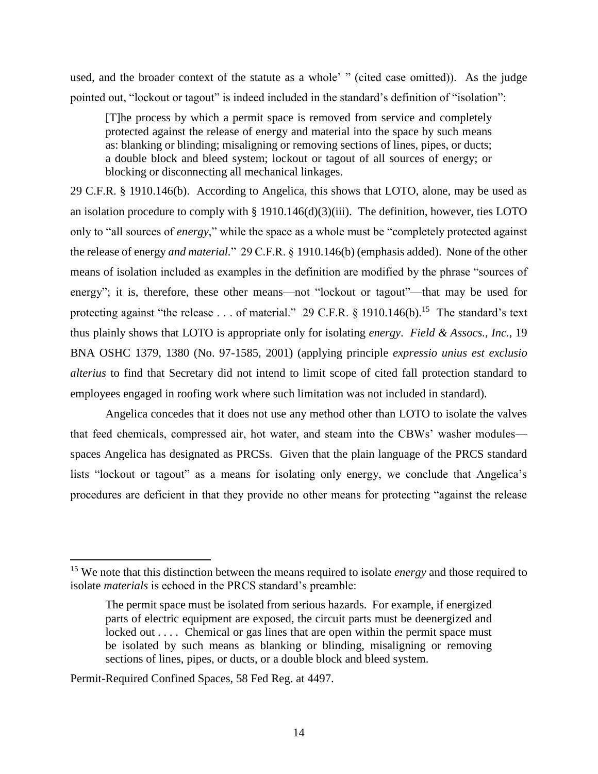used, and the broader context of the statute as a whole' " (cited case omitted)). As the judge pointed out, "lockout or tagout" is indeed included in the standard's definition of "isolation":

[T]he process by which a permit space is removed from service and completely protected against the release of energy and material into the space by such means as: blanking or blinding; misaligning or removing sections of lines, pipes, or ducts; a double block and bleed system; lockout or tagout of all sources of energy; or blocking or disconnecting all mechanical linkages.

29 C.F.R. § 1910.146(b). According to Angelica, this shows that LOTO, alone, may be used as an isolation procedure to comply with  $\S$  1910.146(d)(3)(iii). The definition, however, ties LOTO only to "all sources of *energy*," while the space as a whole must be "completely protected against the release of energy *and material.*" 29 C.F.R. § 1910.146(b) (emphasis added). None of the other means of isolation included as examples in the definition are modified by the phrase "sources of energy"; it is, therefore, these other means—not "lockout or tagout"—that may be used for protecting against "the release . . . of material." 29 C.F.R.  $\S$  1910.146(b).<sup>15</sup> The standard's text thus plainly shows that LOTO is appropriate only for isolating *energy*. *Field & Assocs., Inc.*, 19 BNA OSHC 1379, 1380 (No. 97-1585, 2001) (applying principle *expressio unius est exclusio alterius* to find that Secretary did not intend to limit scope of cited fall protection standard to employees engaged in roofing work where such limitation was not included in standard).

Angelica concedes that it does not use any method other than LOTO to isolate the valves that feed chemicals, compressed air, hot water, and steam into the CBWs' washer modules spaces Angelica has designated as PRCSs. Given that the plain language of the PRCS standard lists "lockout or tagout" as a means for isolating only energy, we conclude that Angelica's procedures are deficient in that they provide no other means for protecting "against the release

l

<sup>15</sup> We note that this distinction between the means required to isolate *energy* and those required to isolate *materials* is echoed in the PRCS standard's preamble:

The permit space must be isolated from serious hazards. For example, if energized parts of electric equipment are exposed, the circuit parts must be deenergized and locked out . . . . Chemical or gas lines that are open within the permit space must be isolated by such means as blanking or blinding, misaligning or removing sections of lines, pipes, or ducts, or a double block and bleed system.

Permit-Required Confined Spaces, 58 Fed Reg. at 4497.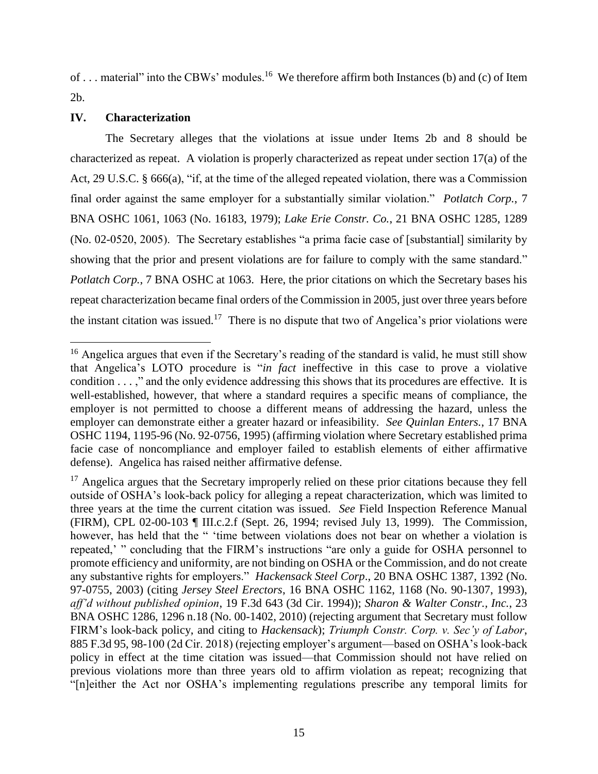of ... material" into the CBWs' modules.<sup>16</sup> We therefore affirm both Instances (b) and (c) of Item 2b.

# **IV. Characterization**

The Secretary alleges that the violations at issue under Items 2b and 8 should be characterized as repeat. A violation is properly characterized as repeat under section 17(a) of the Act, [29 U.S.C. §](https://a.next.westlaw.com/Link/Document/FullText?findType=L&pubNum=1000546&cite=29USCAS666&originatingDoc=I16c1b3f64dba11da974abd26ac2a6030&refType=RB&originationContext=document&transitionType=DocumentItem&contextData=(sc.Search)#co_pp_8b3b0000958a4) 666(a), "if, at the time of the alleged repeated violation, there was a Commission final order against the same employer for a substantially similar violation." *Potlatch Corp.*, 7 BNA OSHC 1061, 1063 (No. 16183, 1979); *Lake Erie Constr. Co.*, 21 BNA OSHC 1285, 1289 (No. 02-0520, 2005). The Secretary establishes "a prima facie case of [substantial] similarity by showing that the prior and present violations are for failure to comply with the same standard." *Potlatch Corp.*, 7 BNA OSHC at 1063. Here, the prior citations on which the Secretary bases his repeat characterization became final orders of the Commission in 2005, just over three years before the instant citation was issued.<sup>17</sup> There is no dispute that two of Angelica's prior violations were

 $\overline{\phantom{a}}$ <sup>16</sup> Angelica argues that even if the Secretary's reading of the standard is valid, he must still show that Angelica's LOTO procedure is "*in fact* ineffective in this case to prove a violative condition . . . ," and the only evidence addressing this shows that its procedures are effective. It is well-established, however, that where a standard requires a specific means of compliance, the employer is not permitted to choose a different means of addressing the hazard, unless the employer can demonstrate either a greater hazard or infeasibility. *See Quinlan Enters.*, 17 BNA OSHC 1194, 1195-96 (No. 92-0756, 1995) (affirming violation where Secretary established prima facie case of noncompliance and employer failed to establish elements of either affirmative defense). Angelica has raised neither affirmative defense.

<sup>&</sup>lt;sup>17</sup> Angelica argues that the Secretary improperly relied on these prior citations because they fell outside of OSHA's look-back policy for alleging a repeat characterization, which was limited to three years at the time the current citation was issued. *See* Field Inspection Reference Manual (FIRM), CPL 02-00-103 ¶ III.c.2.f (Sept. 26, 1994; revised July 13, 1999). The Commission, however, has held that the " 'time between violations does not bear on whether a violation is repeated,' " concluding that the FIRM's instructions "are only a guide for OSHA personnel to promote efficiency and uniformity, are not binding on OSHA or the Commission, and do not create any substantive rights for employers." *Hackensack Steel Corp*., 20 BNA OSHC 1387, 1392 (No. 97-0755, 2003) (citing *Jersey Steel Erectors*, 16 BNA OSHC 1162, 1168 (No. 90-1307, 1993), *aff'd without published opinion*, 19 F.3d 643 (3d Cir. 1994)); *Sharon & Walter Constr., Inc.*, 23 BNA OSHC 1286, 1296 n.18 (No. 00-1402, 2010) (rejecting argument that Secretary must follow FIRM's look-back policy, and citing to *Hackensack*); *Triumph Constr. Corp. v. Sec'y of Labor*, 885 F.3d 95, 98-100 (2d Cir. 2018) (rejecting employer's argument—based on OSHA's look-back policy in effect at the time citation was issued—that Commission should not have relied on previous violations more than three years old to affirm violation as repeat; recognizing that "[n]either the Act nor OSHA's implementing regulations prescribe any temporal limits for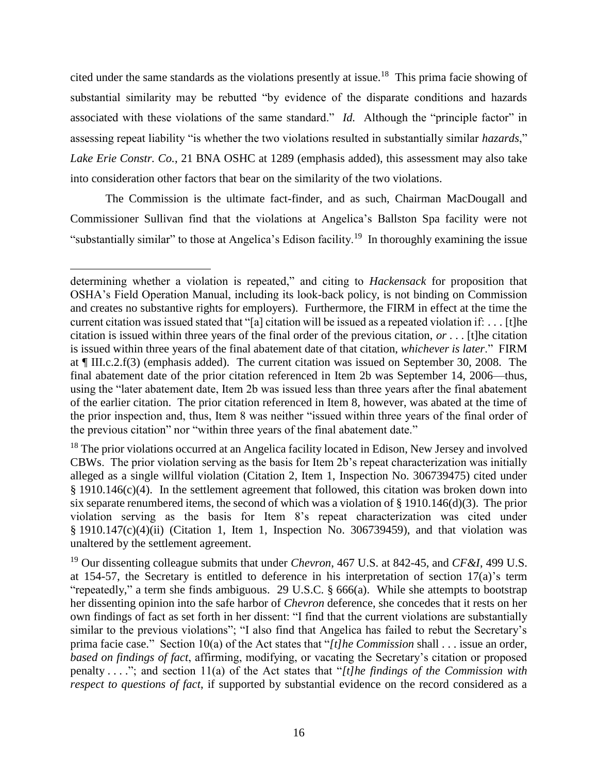cited under the same standards as the violations presently at issue.<sup>18</sup> This prima facie showing of substantial similarity may be rebutted "by evidence of the disparate conditions and hazards associated with these violations of the same standard." *Id.* Although the "principle factor" in assessing repeat liability "is whether the two violations resulted in substantially similar *hazards*," *Lake Erie Constr. Co.*, 21 BNA OSHC at 1289 (emphasis added), this assessment may also take into consideration other factors that bear on the similarity of the two violations.

The Commission is the ultimate fact-finder, and as such, Chairman MacDougall and Commissioner Sullivan find that the violations at Angelica's Ballston Spa facility were not "substantially similar" to those at Angelica's Edison facility.<sup>19</sup> In thoroughly examining the issue

determining whether a violation is repeated," and citing to *Hackensack* for proposition that OSHA's Field Operation Manual, including its look-back policy, is not binding on Commission and creates no substantive rights for employers). Furthermore, the FIRM in effect at the time the current citation was issued stated that "[a] citation will be issued as a repeated violation if: . . . [t]he citation is issued within three years of the final order of the previous citation, *or* . . . [t]he citation is issued within three years of the final abatement date of that citation, *whichever is later*." FIRM at ¶ III.c.2.f(3) (emphasis added). The current citation was issued on September 30, 2008. The final abatement date of the prior citation referenced in Item 2b was September 14, 2006—thus, using the "later abatement date, Item 2b was issued less than three years after the final abatement of the earlier citation. The prior citation referenced in Item 8, however, was abated at the time of the prior inspection and, thus, Item 8 was neither "issued within three years of the final order of the previous citation" nor "within three years of the final abatement date."

<sup>&</sup>lt;sup>18</sup> The prior violations occurred at an Angelica facility located in Edison, New Jersey and involved CBWs. The prior violation serving as the basis for Item 2b's repeat characterization was initially alleged as a single willful violation (Citation 2, Item 1, Inspection No. 306739475) cited under § 1910.146(c)(4). In the settlement agreement that followed, this citation was broken down into six separate renumbered items, the second of which was a violation of § 1910.146(d)(3). The prior violation serving as the basis for Item 8's repeat characterization was cited under § 1910.147(c)(4)(ii) (Citation 1, Item 1, Inspection No. 306739459), and that violation was unaltered by the settlement agreement.

<sup>19</sup> Our dissenting colleague submits that under *Chevron*, 467 U.S. at 842-45, and *CF&I*, 499 U.S. at 154-57, the Secretary is entitled to deference in his interpretation of section 17(a)'s term "repeatedly," a term she finds ambiguous. 29 U.S.C. § 666(a). While she attempts to bootstrap her dissenting opinion into the safe harbor of *Chevron* deference, she concedes that it rests on her own findings of fact as set forth in her dissent: "I find that the current violations are substantially similar to the previous violations"; "I also find that Angelica has failed to rebut the Secretary's prima facie case." Section 10(a) of the Act states that "*[t]he Commission* shall . . . issue an order, *based on findings of fact*, affirming, modifying, or vacating the Secretary's citation or proposed penalty . . . ."; and section 11(a) of the Act states that "*[t]he findings of the Commission with respect to questions of fact*, if supported by substantial evidence on the record considered as a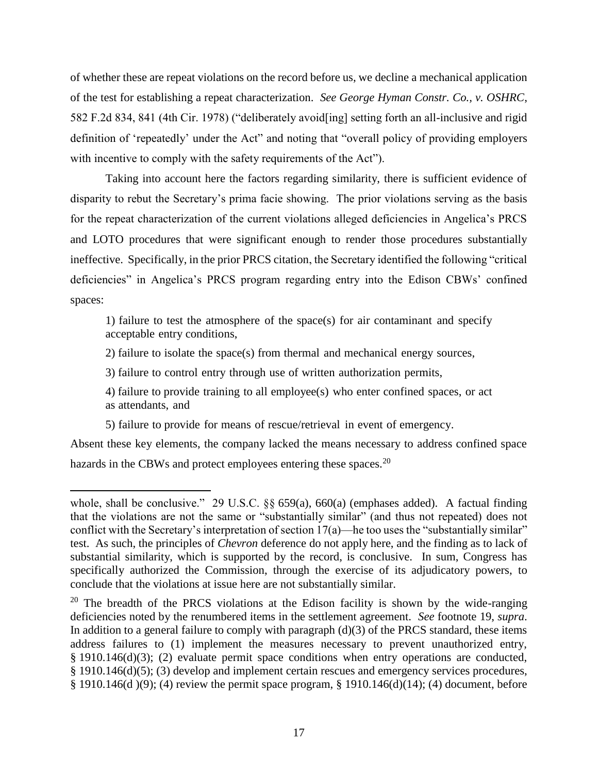of whether these are repeat violations on the record before us, we decline a mechanical application of the test for establishing a repeat characterization. *See George Hyman Constr. Co., v. OSHRC*, 582 F.2d 834, 841 (4th Cir. 1978) ("deliberately avoid[ing] setting forth an all-inclusive and rigid definition of 'repeatedly' under the Act" and noting that "overall policy of providing employers with incentive to comply with the safety requirements of the Act".

Taking into account here the factors regarding similarity, there is sufficient evidence of disparity to rebut the Secretary's prima facie showing. The prior violations serving as the basis for the repeat characterization of the current violations alleged deficiencies in Angelica's PRCS and LOTO procedures that were significant enough to render those procedures substantially ineffective. Specifically, in the prior PRCS citation, the Secretary identified the following "critical deficiencies" in Angelica's PRCS program regarding entry into the Edison CBWs' confined spaces:

1) failure to test the atmosphere of the space(s) for air contaminant and specify acceptable entry conditions,

2) failure to isolate the space(s) from thermal and mechanical energy sources,

3) failure to control entry through use of written authorization permits,

4) failure to provide training to all employee(s) who enter confined spaces, or act as attendants, and

5) failure to provide for means of rescue/retrieval in event of emergency.

 $\overline{\phantom{a}}$ 

Absent these key elements, the company lacked the means necessary to address confined space hazards in the CBWs and protect employees entering these spaces.<sup>20</sup>

whole, shall be conclusive." 29 U.S.C. §§ 659(a), 660(a) (emphases added). A factual finding that the violations are not the same or "substantially similar" (and thus not repeated) does not conflict with the Secretary's interpretation of section 17(a)—he too uses the "substantially similar" test. As such, the principles of *Chevron* deference do not apply here, and the finding as to lack of substantial similarity, which is supported by the record, is conclusive. In sum, Congress has specifically authorized the Commission, through the exercise of its adjudicatory powers, to conclude that the violations at issue here are not substantially similar.

<sup>&</sup>lt;sup>20</sup> The breadth of the PRCS violations at the Edison facility is shown by the wide-ranging deficiencies noted by the renumbered items in the settlement agreement. *See* footnote 19, *supra*. In addition to a general failure to comply with paragraph  $(d)(3)$  of the PRCS standard, these items address failures to (1) implement the measures necessary to prevent unauthorized entry, § 1910.146(d)(3); (2) evaluate permit space conditions when entry operations are conducted, § 1910.146(d)(5); (3) develop and implement certain rescues and emergency services procedures, § 1910.146(d )(9); (4) review the permit space program, § 1910.146(d)(14); (4) document, before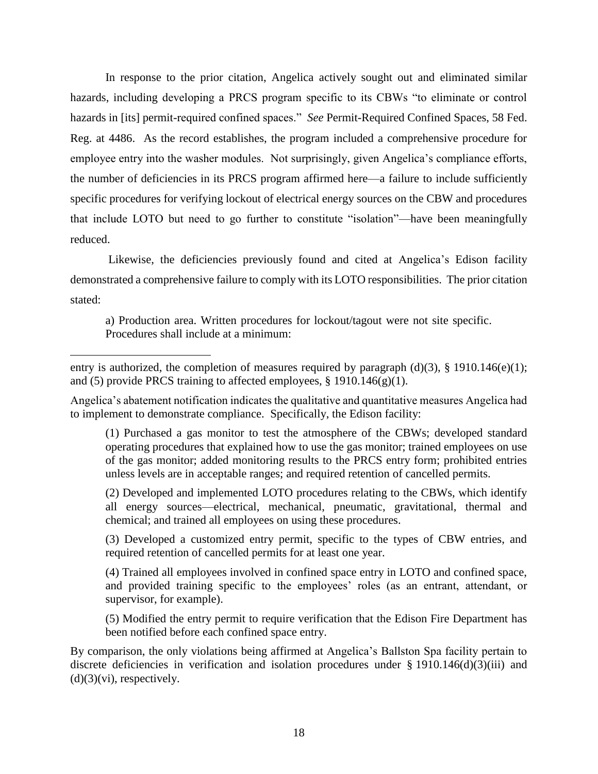In response to the prior citation, Angelica actively sought out and eliminated similar hazards, including developing a PRCS program specific to its CBWs "to eliminate or control hazards in [its] permit-required confined spaces." *See* Permit-Required Confined Spaces, 58 Fed. Reg. at 4486. As the record establishes, the program included a comprehensive procedure for employee entry into the washer modules. Not surprisingly, given Angelica's compliance efforts, the number of deficiencies in its PRCS program affirmed here—a failure to include sufficiently specific procedures for verifying lockout of electrical energy sources on the CBW and procedures that include LOTO but need to go further to constitute "isolation"—have been meaningfully reduced.

Likewise, the deficiencies previously found and cited at Angelica's Edison facility demonstrated a comprehensive failure to comply with its LOTO responsibilities. The prior citation stated:

a) Production area. Written procedures for lockout/tagout were not site specific. Procedures shall include at a minimum:

 $\overline{\phantom{a}}$ 

Angelica's abatement notification indicates the qualitative and quantitative measures Angelica had to implement to demonstrate compliance. Specifically, the Edison facility:

(1) Purchased a gas monitor to test the atmosphere of the CBWs; developed standard operating procedures that explained how to use the gas monitor; trained employees on use of the gas monitor; added monitoring results to the PRCS entry form; prohibited entries unless levels are in acceptable ranges; and required retention of cancelled permits.

(2) Developed and implemented LOTO procedures relating to the CBWs, which identify all energy sources—electrical, mechanical, pneumatic, gravitational, thermal and chemical; and trained all employees on using these procedures.

(3) Developed a customized entry permit, specific to the types of CBW entries, and required retention of cancelled permits for at least one year.

(4) Trained all employees involved in confined space entry in LOTO and confined space, and provided training specific to the employees' roles (as an entrant, attendant, or supervisor, for example).

(5) Modified the entry permit to require verification that the Edison Fire Department has been notified before each confined space entry.

By comparison, the only violations being affirmed at Angelica's Ballston Spa facility pertain to discrete deficiencies in verification and isolation procedures under § 1910.146(d)(3)(iii) and  $(d)(3)(vi)$ , respectively.

entry is authorized, the completion of measures required by paragraph (d)(3), § 1910.146(e)(1); and (5) provide PRCS training to affected employees,  $\S$  1910.146(g)(1).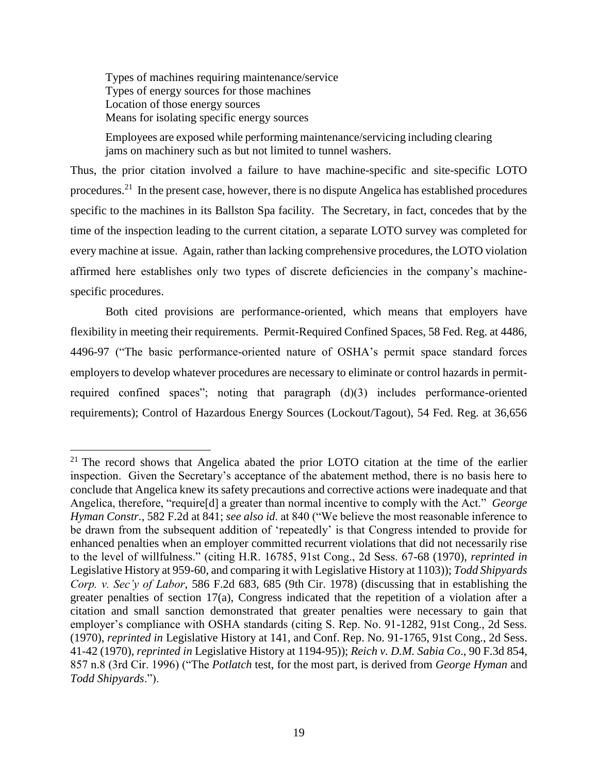Types of machines requiring maintenance/service Types of energy sources for those machines Location of those energy sources Means for isolating specific energy sources

 $\overline{a}$ 

Employees are exposed while performing maintenance/servicing including clearing jams on machinery such as but not limited to tunnel washers.

Thus, the prior citation involved a failure to have machine-specific and site-specific LOTO procedures.<sup>21</sup> In the present case, however, there is no dispute Angelica has established procedures specific to the machines in its Ballston Spa facility. The Secretary, in fact, concedes that by the time of the inspection leading to the current citation, a separate LOTO survey was completed for every machine at issue. Again, rather than lacking comprehensive procedures, the LOTO violation affirmed here establishes only two types of discrete deficiencies in the company's machinespecific procedures.

Both cited provisions are performance-oriented, which means that employers have flexibility in meeting their requirements. Permit-Required Confined Spaces, 58 Fed. Reg. at 4486, 4496-97 ("The basic performance-oriented nature of OSHA's permit space standard forces employers to develop whatever procedures are necessary to eliminate or control hazards in permitrequired confined spaces"; noting that paragraph (d)(3) includes performance-oriented requirements); Control of Hazardous Energy Sources (Lockout/Tagout), 54 Fed. Reg. at 36,656

 $21$  The record shows that Angelica abated the prior LOTO citation at the time of the earlier inspection. Given the Secretary's acceptance of the abatement method, there is no basis here to conclude that Angelica knew its safety precautions and corrective actions were inadequate and that Angelica, therefore, "require[d] a greater than normal incentive to comply with the Act." *George Hyman Constr.*, 582 F.2d at 841; *see also id*. at 840 ("We believe the most reasonable inference to be drawn from the subsequent addition of 'repeatedly' is that Congress intended to provide for enhanced penalties when an employer committed recurrent violations that did not necessarily rise to the level of willfulness." (citing H.R. 16785, 91st Cong., 2d Sess. 67-68 (1970), *reprinted in* Legislative History at 959-60, and comparing it with Legislative History at 1103)); *Todd Shipyards Corp. v. Sec'y of Labor*, 586 F.2d 683, 685 (9th Cir. 1978) (discussing that in establishing the greater penalties of section 17(a), Congress indicated that the repetition of a violation after a citation and small sanction demonstrated that greater penalties were necessary to gain that employer's compliance with OSHA standards (citing S. Rep. No. 91-1282, 91st Cong., 2d Sess. (1970), *reprinted in* Legislative History at 141, and Conf. Rep. No. 91-1765, 91st Cong., 2d Sess. 41-42 (1970), *reprinted in* Legislative History at 1194-95)); *Reich v. D.M. Sabia Co*., 90 F.3d 854, 857 n.8 (3rd Cir. 1996) ("The *Potlatch* test, for the most part, is derived from *George Hyman* and *Todd Shipyards*.").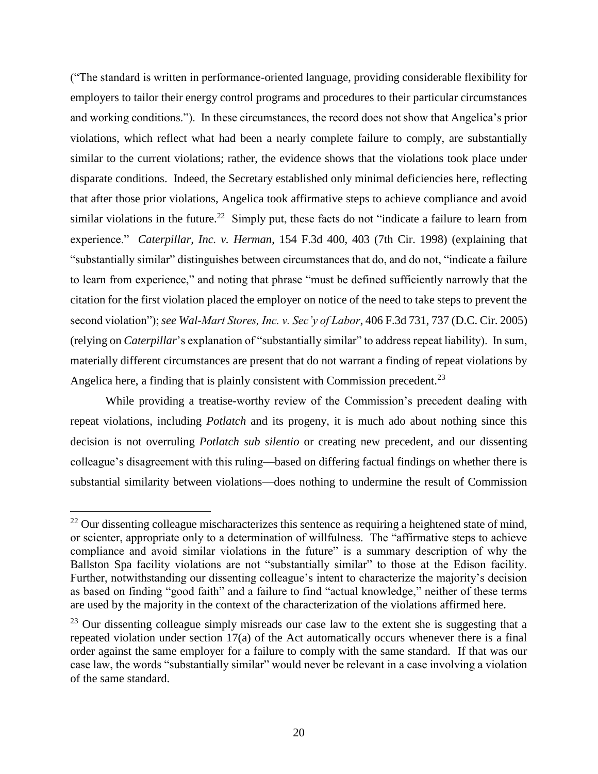("The standard is written in performance-oriented language, providing considerable flexibility for employers to tailor their energy control programs and procedures to their particular circumstances and working conditions."). In these circumstances, the record does not show that Angelica's prior violations, which reflect what had been a nearly complete failure to comply, are substantially similar to the current violations; rather, the evidence shows that the violations took place under disparate conditions. Indeed, the Secretary established only minimal deficiencies here, reflecting that after those prior violations, Angelica took affirmative steps to achieve compliance and avoid similar violations in the future.<sup>22</sup> Simply put, these facts do not "indicate a failure to learn from experience." *Caterpillar, Inc. v. Herman*, 154 F.3d 400, 403 (7th Cir. 1998) (explaining that "substantially similar" distinguishes between circumstances that do, and do not, "indicate a failure to learn from experience," and noting that phrase "must be defined sufficiently narrowly that the citation for the first violation placed the employer on notice of the need to take steps to prevent the second violation"); *see Wal-Mart Stores, Inc. v. Sec'y of Labor*, 406 F.3d 731, 737 (D.C. Cir. 2005) (relying on *Caterpillar*'s explanation of "substantially similar" to address repeat liability). In sum, materially different circumstances are present that do not warrant a finding of repeat violations by Angelica here, a finding that is plainly consistent with Commission precedent.<sup>23</sup>

While providing a treatise-worthy review of the Commission's precedent dealing with repeat violations, including *Potlatch* and its progeny, it is much ado about nothing since this decision is not overruling *Potlatch sub silentio* or creating new precedent, and our dissenting colleague's disagreement with this ruling—based on differing factual findings on whether there is substantial similarity between violations—does nothing to undermine the result of Commission

 $\overline{a}$ 

 $^{22}$  Our dissenting colleague mischaracterizes this sentence as requiring a heightened state of mind, or scienter, appropriate only to a determination of willfulness. The "affirmative steps to achieve compliance and avoid similar violations in the future" is a summary description of why the Ballston Spa facility violations are not "substantially similar" to those at the Edison facility. Further, notwithstanding our dissenting colleague's intent to characterize the majority's decision as based on finding "good faith" and a failure to find "actual knowledge," neither of these terms are used by the majority in the context of the characterization of the violations affirmed here.

<sup>&</sup>lt;sup>23</sup> Our dissenting colleague simply misreads our case law to the extent she is suggesting that a repeated violation under section 17(a) of the Act automatically occurs whenever there is a final order against the same employer for a failure to comply with the same standard. If that was our case law, the words "substantially similar" would never be relevant in a case involving a violation of the same standard.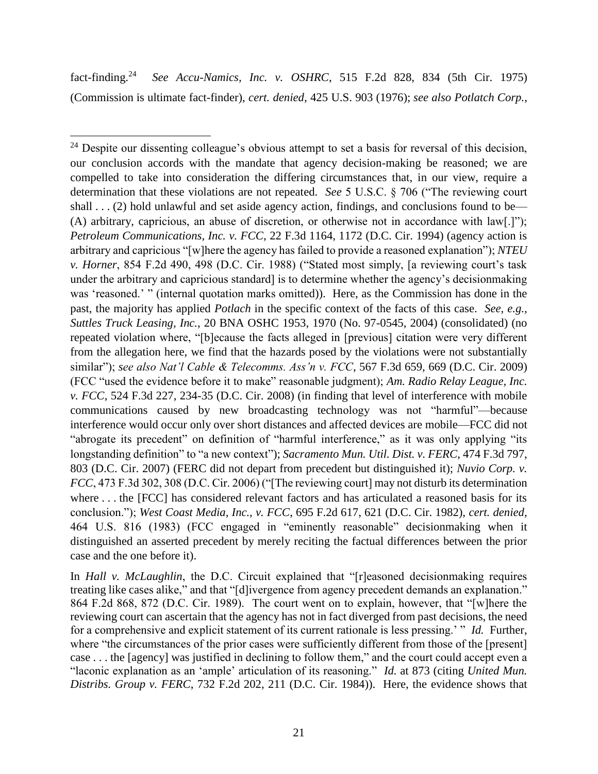fact-finding.<sup>24</sup> *See Accu-Namics, Inc. v. OSHRC*, 515 F.2d 828, 834 (5th Cir. 1975) (Commission is ultimate fact-finder), *cert. denied*, 425 U.S. 903 (1976); *see also Potlatch Corp.*,

In *Hall v. McLaughlin*, the D.C. Circuit explained that "[r]easoned decisionmaking requires treating like cases alike," and that "[d]ivergence from agency precedent demands an explanation." 864 F.2d 868, 872 (D.C. Cir. 1989). The court went on to explain, however, that "[w]here the reviewing court can ascertain that the agency has not in fact diverged from past decisions, the need for a comprehensive and explicit statement of its current rationale is less pressing.' " *Id.* Further, where "the circumstances of the prior cases were sufficiently different from those of the [present] case . . . the [agency] was justified in declining to follow them," and the court could accept even a "laconic explanation as an 'ample' articulation of its reasoning." *Id.* at 873 (citing *United Mun. Distribs. Group v. FERC*, 732 F.2d 202, 211 (D.C. Cir. 1984)). Here, the evidence shows that

 $\overline{\phantom{a}}$ <sup>24</sup> Despite our dissenting colleague's obvious attempt to set a basis for reversal of this decision, our conclusion accords with the mandate that agency decision-making be reasoned; we are compelled to take into consideration the differing circumstances that, in our view, require a determination that these violations are not repeated. *See* 5 U.S.C. § 706 ("The reviewing court shall  $\dots$  (2) hold unlawful and set aside agency action, findings, and conclusions found to be— (A) arbitrary, capricious, an abuse of discretion, or otherwise not in accordance with law[.]"); *Petroleum Communications, Inc. v. FCC*, 22 F.3d 1164, 1172 (D.C. Cir. 1994) (agency action is arbitrary and capricious "[w]here the agency has failed to provide a reasoned explanation"); *NTEU v. Horner*, 854 F.2d 490, 498 (D.C. Cir. 1988) ("Stated most simply, [a reviewing court's task under the arbitrary and capricious standard] is to determine whether the agency's decisionmaking was 'reasoned.' " (internal quotation marks omitted)). Here, as the Commission has done in the past, the majority has applied *Potlach* in the specific context of the facts of this case. *See, e.g., Suttles Truck Leasing, Inc.*, 20 BNA OSHC 1953, 1970 (No. 97-0545, 2004) (consolidated) (no repeated violation where, "[b]ecause the facts alleged in [previous] citation were very different from the allegation here, we find that the hazards posed by the violations were not substantially similar"); *see also Nat'l Cable & Telecomms. Ass'n v. FCC*, 567 F.3d 659, 669 (D.C. Cir. 2009) (FCC "used the evidence before it to make" reasonable judgment); *Am. Radio Relay League, Inc. v. FCC*, 524 F.3d 227, 234-35 (D.C. Cir. 2008) (in finding that level of interference with mobile communications caused by new broadcasting technology was not "harmful"—because interference would occur only over short distances and affected devices are mobile—FCC did not "abrogate its precedent" on definition of "harmful interference," as it was only applying "its longstanding definition" to "a new context"); *Sacramento Mun. Util. Dist. v. FERC*, 474 F.3d 797, 803 (D.C. Cir. 2007) (FERC did not depart from precedent but distinguished it); *Nuvio Corp. v. FCC*, 473 F.3d 302, 308 (D.C. Cir. 2006) ("[The reviewing court] may not disturb its determination where ... the [FCC] has considered relevant factors and has articulated a reasoned basis for its conclusion."); *West Coast Media, Inc., v. FCC*, 695 F.2d 617, 621 (D.C. Cir. 1982), *cert. denied*, 464 U.S. 816 (1983) (FCC engaged in "eminently reasonable" decisionmaking when it distinguished an asserted precedent by merely reciting the factual differences between the prior case and the one before it).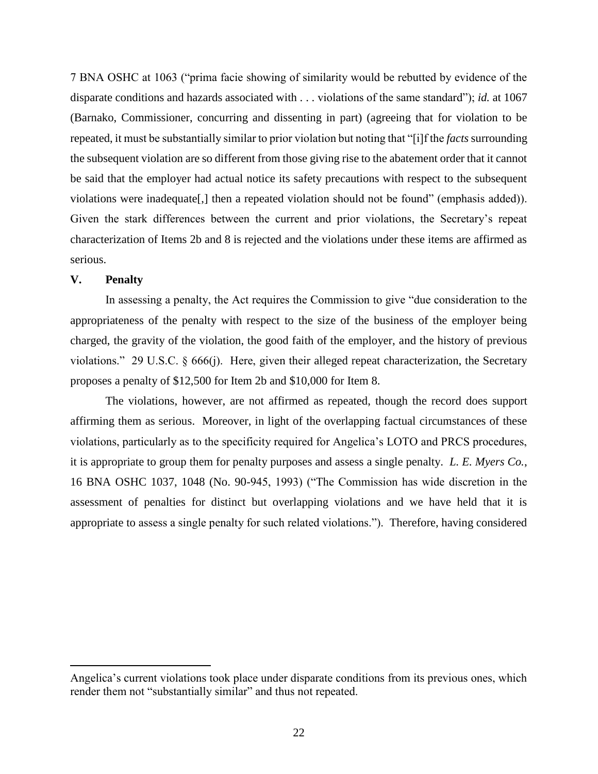7 BNA OSHC at 1063 ("prima facie showing of similarity would be rebutted by evidence of the disparate conditions and hazards associated with . . . violations of the same standard"); *id.* at 1067 (Barnako, Commissioner, concurring and dissenting in part) (agreeing that for violation to be repeated, it must be substantially similar to prior violation but noting that "[i]f the *facts*surrounding the subsequent violation are so different from those giving rise to the abatement order that it cannot be said that the employer had actual notice its safety precautions with respect to the subsequent violations were inadequate[,] then a repeated violation should not be found" (emphasis added)). Given the stark differences between the current and prior violations, the Secretary's repeat characterization of Items 2b and 8 is rejected and the violations under these items are affirmed as serious.

# **V. Penalty**

 $\overline{a}$ 

In assessing a penalty, the Act requires the Commission to give "due consideration to the appropriateness of the penalty with respect to the size of the business of the employer being charged, the gravity of the violation, the good faith of the employer, and the history of previous violations." 29 U.S.C. § 666(j). Here, given their alleged repeat characterization, the Secretary proposes a penalty of \$12,500 for Item 2b and \$10,000 for Item 8.

The violations, however, are not affirmed as repeated, though the record does support affirming them as serious. Moreover, in light of the overlapping factual circumstances of these violations, particularly as to the specificity required for Angelica's LOTO and PRCS procedures, it is appropriate to group them for penalty purposes and assess a single penalty. *L. E. Myers Co.*, 16 BNA OSHC 1037, 1048 (No. 90-945, 1993) ("The Commission has wide discretion in the assessment of penalties for distinct but overlapping violations and we have held that it is appropriate to assess a single penalty for such related violations."). Therefore, having considered

Angelica's current violations took place under disparate conditions from its previous ones, which render them not "substantially similar" and thus not repeated.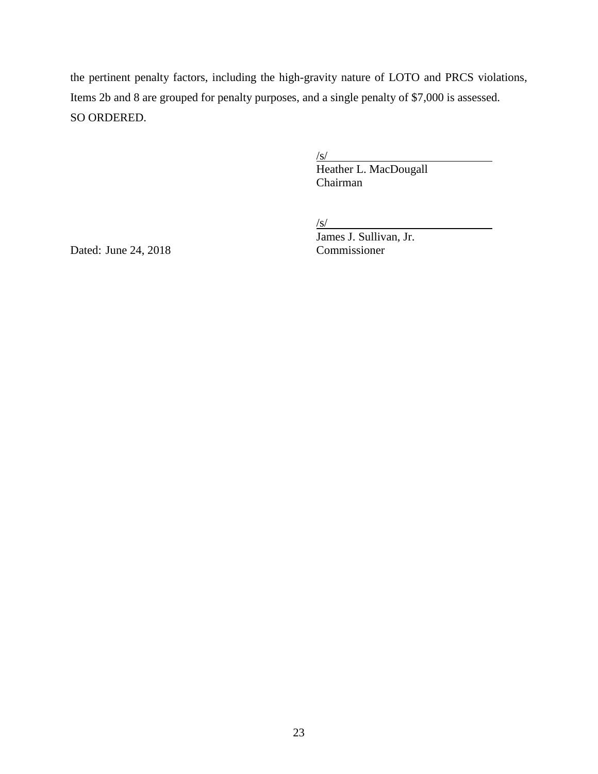the pertinent penalty factors, including the high-gravity nature of LOTO and PRCS violations, Items 2b and 8 are grouped for penalty purposes, and a single penalty of \$7,000 is assessed. SO ORDERED.

 $\sqrt{s/}$ 

Heather L. MacDougall Chairman

 $\sqrt{s/2}$ 

James J. Sullivan, Jr.

Dated: June 24,  $2018$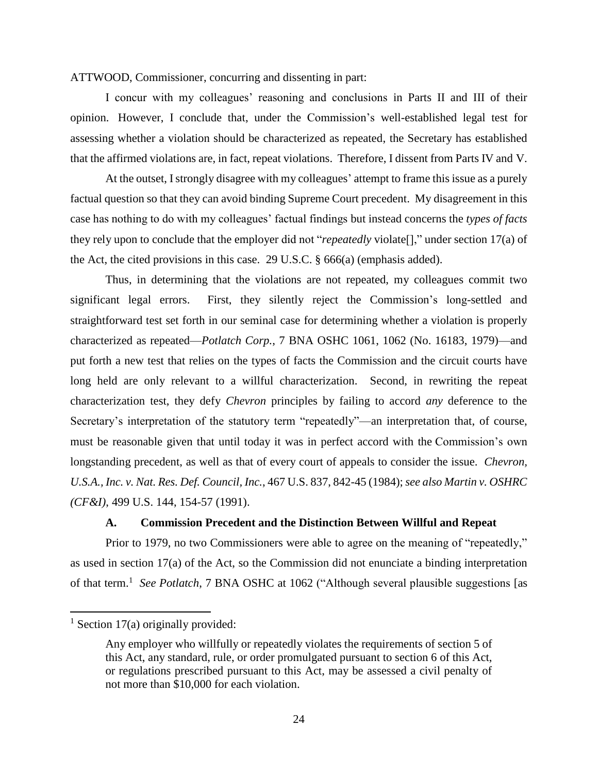ATTWOOD, Commissioner, concurring and dissenting in part:

I concur with my colleagues' reasoning and conclusions in Parts II and III of their opinion. However, I conclude that, under the Commission's well-established legal test for assessing whether a violation should be characterized as repeated, the Secretary has established that the affirmed violations are, in fact, repeat violations. Therefore, I dissent from Parts IV and V.

At the outset, I strongly disagree with my colleagues' attempt to frame this issue as a purely factual question so that they can avoid binding Supreme Court precedent. My disagreement in this case has nothing to do with my colleagues' factual findings but instead concerns the *types of facts* they rely upon to conclude that the employer did not "*repeatedly* violate[]," under section 17(a) of the Act, the cited provisions in this case. 29 U.S.C. § 666(a) (emphasis added).

Thus, in determining that the violations are not repeated, my colleagues commit two significant legal errors. First, they silently reject the Commission's long-settled and straightforward test set forth in our seminal case for determining whether a violation is properly characterized as repeated—*Potlatch Corp.*, 7 BNA OSHC 1061, 1062 (No. 16183, 1979)—and put forth a new test that relies on the types of facts the Commission and the circuit courts have long held are only relevant to a willful characterization. Second, in rewriting the repeat characterization test, they defy *Chevron* principles by failing to accord *any* deference to the Secretary's interpretation of the statutory term "repeatedly"—an interpretation that, of course, must be reasonable given that until today it was in perfect accord with the Commission's own longstanding precedent, as well as that of every court of appeals to consider the issue. *Chevron, U.S.A., Inc. v. Nat. Res. Def. Council, Inc.*, 467 U.S. 837, 842-45 (1984); *see also Martin v. OSHRC (CF&I)*, 499 U.S. 144, 154-57 (1991).

## **A. Commission Precedent and the Distinction Between Willful and Repeat**

Prior to 1979, no two Commissioners were able to agree on the meaning of "repeatedly," as used in section 17(a) of the Act, so the Commission did not enunciate a binding interpretation of that term.<sup>1</sup> See Potlatch, 7 BNA OSHC at 1062 ("Although several plausible suggestions [as

 $<sup>1</sup>$  Section 17(a) originally provided:</sup>

Any employer who willfully or repeatedly violates the requirements of section 5 of this Act, any standard, rule, or order promulgated pursuant to section 6 of this Act, or regulations prescribed pursuant to this Act, may be assessed a civil penalty of not more than \$10,000 for each violation.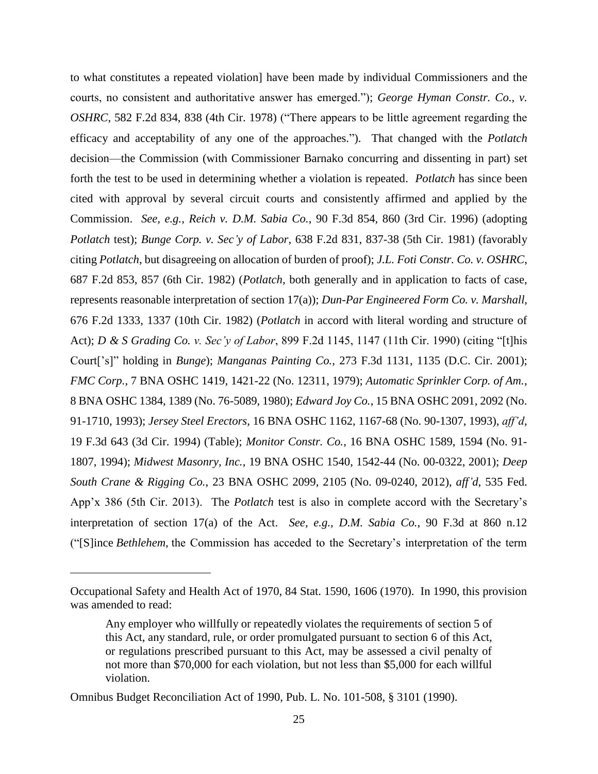to what constitutes a repeated violation] have been made by individual Commissioners and the courts, no consistent and authoritative answer has emerged."); *George Hyman Constr. Co., v. OSHRC*, 582 F.2d 834, 838 (4th Cir. 1978) ("There appears to be little agreement regarding the efficacy and acceptability of any one of the approaches."). That changed with the *Potlatch* decision—the Commission (with Commissioner Barnako concurring and dissenting in part) set forth the test to be used in determining whether a violation is repeated. *Potlatch* has since been cited with approval by several circuit courts and consistently affirmed and applied by the Commission. *See, e.g., Reich v. D.M. Sabia Co.*, 90 F.3d 854, 860 (3rd Cir. 1996) (adopting *Potlatch* test); *Bunge Corp. v. Sec'y of Labor*, 638 F.2d 831, 837-38 (5th Cir. 1981) (favorably citing *Potlatch*, but disagreeing on allocation of burden of proof); *J.L. Foti Constr. Co. v. OSHRC*, 687 F.2d 853, 857 (6th Cir. 1982) (*Potlatch*, both generally and in application to facts of case, represents reasonable interpretation of section 17(a)); *Dun-Par Engineered Form Co. v. Marshall*, 676 F.2d 1333, 1337 (10th Cir. 1982) (*Potlatch* in accord with literal wording and structure of Act); *D & S Grading Co. v. Sec'y of Labor*, 899 F.2d 1145, 1147 (11th Cir. 1990) (citing "[t]his Court['s]" holding in *Bunge*); *Manganas Painting Co.*, 273 F.3d 1131, 1135 (D.C. Cir. 2001); *FMC Corp.*, 7 BNA OSHC 1419, 1421-22 (No. 12311, 1979); *Automatic Sprinkler Corp. of Am.*, 8 BNA OSHC 1384, 1389 (No. 76-5089, 1980); *Edward Joy Co.*, 15 BNA OSHC 2091, 2092 (No. 91-1710, 1993); *Jersey Steel Erectors*, 16 BNA OSHC 1162, 1167-68 (No. 90-1307, 1993), *aff'd*, 19 F.3d 643 (3d Cir. 1994) (Table); *Monitor Constr. Co.*, 16 BNA OSHC 1589, 1594 (No. 91- 1807, 1994); *Midwest Masonry, Inc.*, 19 BNA OSHC 1540, 1542-44 (No. 00-0322, 2001); *Deep South Crane & Rigging Co.*, 23 BNA OSHC 2099, 2105 (No. 09-0240, 2012), *aff'd*, 535 Fed. App'x 386 (5th Cir. 2013).The *Potlatch* test is also in complete accord with the Secretary's interpretation of section 17(a) of the Act. *See, e.g., D.M. Sabia Co.*, 90 F.3d at 860 n.12 ("[S]ince *Bethlehem,* the Commission has acceded to the Secretary's interpretation of the term

 $\overline{a}$ 

Occupational Safety and Health Act of 1970, 84 Stat. 1590, 1606 (1970). In 1990, this provision was amended to read:

Any employer who willfully or repeatedly violates the requirements of [section 5](http://www.westlaw.com/Find/Default.wl?rs=dfa1.0&vr=2.0&DB=1000546&DocName=29USCAS654&FindType=L) of this Act, any standard, rule, or order promulgated pursuant to [section 6](http://www.westlaw.com/Find/Default.wl?rs=dfa1.0&vr=2.0&DB=1000546&DocName=29USCAS655&FindType=L) of this Act, or regulations prescribed pursuant to this Act, may be assessed a civil penalty of not more than \$70,000 for each violation, but not less than \$5,000 for each willful violation.

Omnibus Budget Reconciliation Act of 1990, Pub. L. No. 101-508, § 3101 (1990).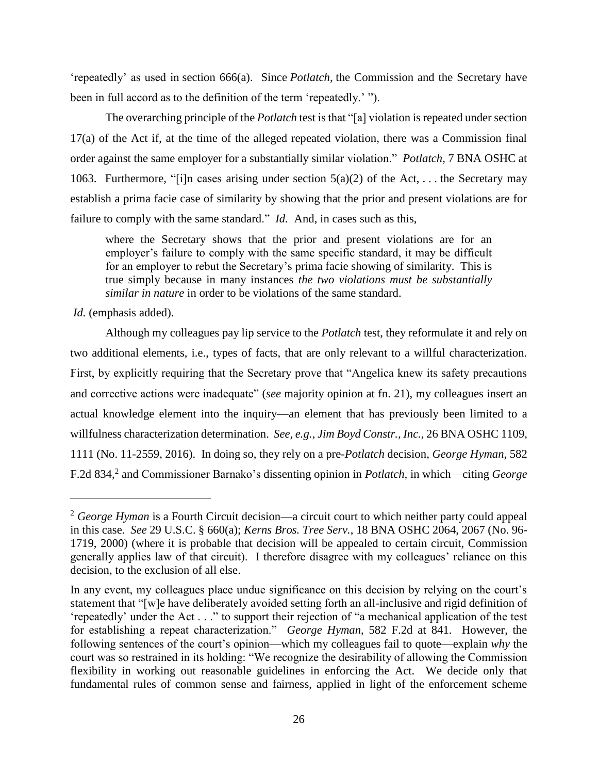'repeatedly' as used in section 666(a). Since *Potlatch,* the Commission and the Secretary have been in full accord as to the definition of the term 'repeatedly.' ").

The overarching principle of the *Potlatch* test is that "[a] violation is repeated under section 17(a) of the Act if, at the time of the alleged repeated violation, there was a Commission final order against the same employer for a substantially similar violation." *Potlatch*, 7 BNA OSHC at 1063. Furthermore, "[i]n cases arising under section  $5(a)(2)$  of the Act, ... the Secretary may establish a prima facie case of similarity by showing that the prior and present violations are for failure to comply with the same standard." *Id.* And, in cases such as this,

where the Secretary shows that the prior and present violations are for an employer's failure to comply with the same specific standard, it may be difficult for an employer to rebut the Secretary's prima facie showing of similarity. This is true simply because in many instances *the two violations must be substantially similar in nature* in order to be violations of the same standard.

Id. (emphasis added).

l

Although my colleagues pay lip service to the *Potlatch* test, they reformulate it and rely on two additional elements, i.e., types of facts, that are only relevant to a willful characterization. First, by explicitly requiring that the Secretary prove that "Angelica knew its safety precautions and corrective actions were inadequate" (*see* majority opinion at fn. 21), my colleagues insert an actual knowledge element into the inquiry—an element that has previously been limited to a willfulness characterization determination. *See, e.g.*, *Jim Boyd Constr., Inc.*, 26 BNA OSHC 1109, 1111 (No. 11-2559, 2016). In doing so, they rely on a pre-*Potlatch* decision, *George Hyman*, 582 F.2d 834, 2 and Commissioner Barnako's dissenting opinion in *Potlatch,* in which—citing *George* 

<sup>2</sup> *George Hyman* is a Fourth Circuit decision—a circuit court to which neither party could appeal in this case. *See* 29 U.S.C. § 660(a); *Kerns Bros. Tree Serv.*, 18 BNA OSHC 2064, 2067 (No. 96- 1719, 2000) (where it is probable that decision will be appealed to certain circuit, Commission generally applies law of that circuit). I therefore disagree with my colleagues' reliance on this decision, to the exclusion of all else.

In any event, my colleagues place undue significance on this decision by relying on the court's statement that "[w]e have deliberately avoided setting forth an all-inclusive and rigid definition of 'repeatedly' under the Act . . ." to support their rejection of "a mechanical application of the test for establishing a repeat characterization." *George Hyman*, 582 F.2d at 841. However, the following sentences of the court's opinion—which my colleagues fail to quote—explain *why* the court was so restrained in its holding: "We recognize the desirability of allowing the Commission flexibility in working out reasonable guidelines in enforcing the Act. We decide only that fundamental rules of common sense and fairness, applied in light of the enforcement scheme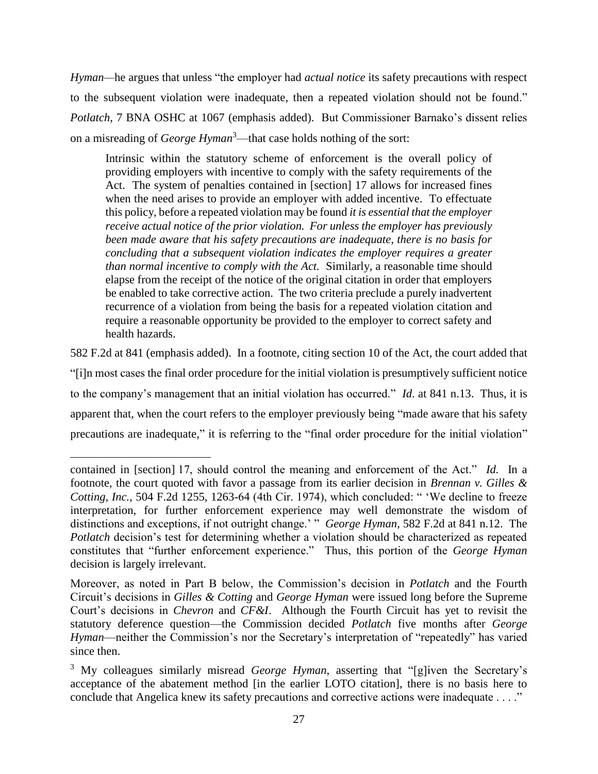*Hyman—*he argues that unless "the employer had *actual notice* its safety precautions with respect to the subsequent violation were inadequate, then a repeated violation should not be found." *Potlatch*, 7 BNA OSHC at 1067 (emphasis added). But Commissioner Barnako's dissent relies on a misreading of *George Hyman*<sup>3</sup>—that case holds nothing of the sort:

Intrinsic within the statutory scheme of enforcement is the overall policy of providing employers with incentive to comply with the safety requirements of the Act. The system of penalties contained in [section] 17 allows for increased fines when the need arises to provide an employer with added incentive. To effectuate this policy, before a repeated violation may be found *it is essential that the employer receive actual notice of the prior violation. For unless the employer has previously been made aware that his safety precautions are inadequate, there is no basis for concluding that a subsequent violation indicates the employer requires a greater than normal incentive to comply with the Act.* Similarly, a reasonable time should elapse from the receipt of the notice of the original citation in order that employers be enabled to take corrective action. The two criteria preclude a purely inadvertent recurrence of a violation from being the basis for a repeated violation citation and require a reasonable opportunity be provided to the employer to correct safety and health hazards.

582 F.2d at 841 (emphasis added). In a footnote, citing section 10 of the Act, the court added that "[i]n most cases the final order procedure for the initial violation is presumptively sufficient notice to the company's management that an initial violation has occurred." *Id*. at 841 n.13. Thus, it is apparent that, when the court refers to the employer previously being "made aware that his safety precautions are inadequate," it is referring to the "final order procedure for the initial violation"

contained in [section] 17, should control the meaning and enforcement of the Act." *Id.* In a footnote, the court quoted with favor a passage from its earlier decision in *Brennan v. Gilles & Cotting, Inc.*, 504 F.2d 1255, 1263-64 (4th Cir. 1974), which concluded: " 'We decline to freeze interpretation, for further enforcement experience may well demonstrate the wisdom of distinctions and exceptions, if not outright change.' " *George Hyman*, 582 F.2d at 841 n.12. The *Potlatch* decision's test for determining whether a violation should be characterized as repeated constitutes that "further enforcement experience." Thus, this portion of the *George Hyman*  decision is largely irrelevant.

Moreover, as noted in Part B below, the Commission's decision in *Potlatch* and the Fourth Circuit's decisions in *Gilles & Cotting* and *George Hyman* were issued long before the Supreme Court's decisions in *Chevron* and *CF&I*. Although the Fourth Circuit has yet to revisit the statutory deference question—the Commission decided *Potlatch* five months after *George Hyman*—neither the Commission's nor the Secretary's interpretation of "repeatedly" has varied since then.

<sup>&</sup>lt;sup>3</sup> My colleagues similarly misread *George Hyman*, asserting that "[g]iven the Secretary's acceptance of the abatement method [in the earlier LOTO citation], there is no basis here to conclude that Angelica knew its safety precautions and corrective actions were inadequate . . . ."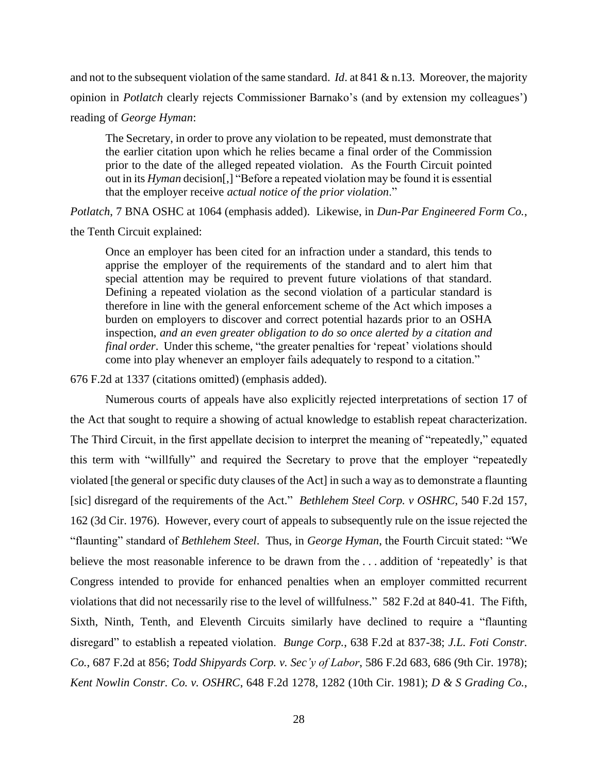and not to the subsequent violation of the same standard. *Id*. at 841 & n.13. Moreover, the majority opinion in *Potlatch* clearly rejects Commissioner Barnako's (and by extension my colleagues') reading of *George Hyman*:

The Secretary, in order to prove any violation to be repeated, must demonstrate that the earlier citation upon which he relies became a final order of the Commission prior to the date of the alleged repeated violation. As the Fourth Circuit pointed out in its *Hyman* decision[,] "Before a repeated violation may be found it is essential that the employer receive *actual notice of the prior violation*."

*Potlatch*, 7 BNA OSHC at 1064 (emphasis added). Likewise, in *Dun-Par Engineered Form Co.*, the Tenth Circuit explained:

Once an employer has been cited for an infraction under a standard, this tends to apprise the employer of the requirements of the standard and to alert him that special attention may be required to prevent future violations of that standard. Defining a repeated violation as the second violation of a particular standard is therefore in line with the general enforcement scheme of the Act which imposes a burden on employers to discover and correct potential hazards prior to an OSHA inspection, *and an even greater obligation to do so once alerted by a citation and final order*. Under this scheme, "the greater penalties for 'repeat' violations should come into play whenever an employer fails adequately to respond to a citation."

676 F.2d at 1337 (citations omitted) (emphasis added).

Numerous courts of appeals have also explicitly rejected interpretations of section 17 of the Act that sought to require a showing of actual knowledge to establish repeat characterization. The Third Circuit, in the first appellate decision to interpret the meaning of "repeatedly," equated this term with "willfully" and required the Secretary to prove that the employer "repeatedly violated [the general or specific duty clauses of the Act] in such a way as to demonstrate a flaunting [sic] disregard of the requirements of the Act." *Bethlehem Steel Corp. v OSHRC*, 540 F.2d 157, 162 (3d Cir. 1976). However, every court of appeals to subsequently rule on the issue rejected the "flaunting" standard of *Bethlehem Steel*. Thus, in *George Hyman*, the Fourth Circuit stated: "We believe the most reasonable inference to be drawn from the . . . addition of 'repeatedly' is that Congress intended to provide for enhanced penalties when an employer committed recurrent violations that did not necessarily rise to the level of willfulness." 582 F.2d at 840-41. The Fifth, Sixth, Ninth, Tenth, and Eleventh Circuits similarly have declined to require a "flaunting disregard" to establish a repeated violation. *Bunge Corp.*, 638 F.2d at 837-38; *J.L. Foti Constr. Co.*, 687 F.2d at 856; *Todd Shipyards Corp. v. Sec'y of Labor*, 586 F.2d 683, 686 (9th Cir. 1978); *Kent Nowlin Constr. Co. v. OSHRC*, 648 F.2d 1278, 1282 (10th Cir. 1981); *D & S Grading Co.*,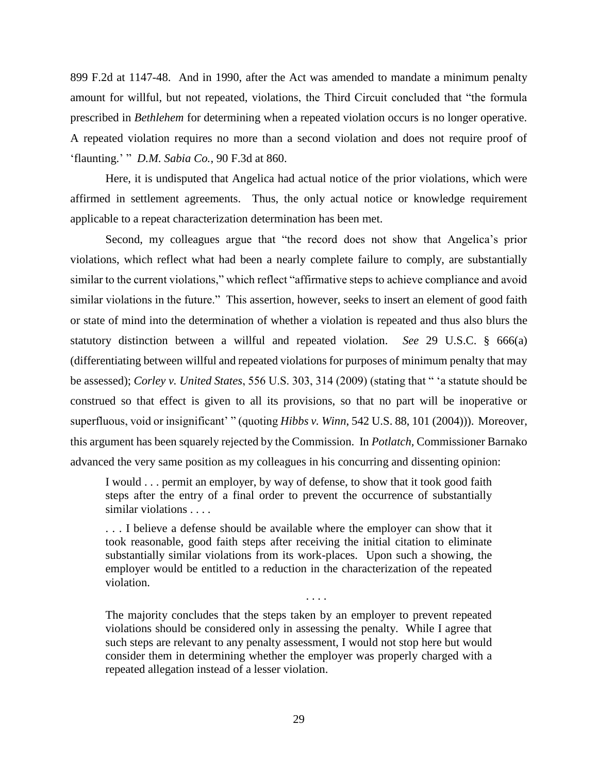899 F.2d at 1147-48. And in 1990, after the Act was amended to mandate a minimum penalty amount for willful, but not repeated, violations, the Third Circuit concluded that "the formula prescribed in *Bethlehem* for determining when a repeated violation occurs is no longer operative. A repeated violation requires no more than a second violation and does not require proof of 'flaunting.' " *D.M. Sabia Co.*, 90 F.3d at 860.

Here, it is undisputed that Angelica had actual notice of the prior violations, which were affirmed in settlement agreements. Thus, the only actual notice or knowledge requirement applicable to a repeat characterization determination has been met.

Second, my colleagues argue that "the record does not show that Angelica's prior violations, which reflect what had been a nearly complete failure to comply, are substantially similar to the current violations," which reflect "affirmative steps to achieve compliance and avoid similar violations in the future." This assertion, however, seeks to insert an element of good faith or state of mind into the determination of whether a violation is repeated and thus also blurs the statutory distinction between a willful and repeated violation. *See* 29 U.S.C. § 666(a) (differentiating between willful and repeated violations for purposes of minimum penalty that may be assessed); *Corley v. United States*, 556 U.S. 303, 314 (2009) (stating that " 'a statute should be construed so that effect is given to all its provisions, so that no part will be inoperative or superfluous, void or insignificant' " (quoting *Hibbs v. Winn*, 542 U.S. 88, 101 (2004))). Moreover, this argument has been squarely rejected by the Commission. In *Potlatch,* Commissioner Barnako advanced the very same position as my colleagues in his concurring and dissenting opinion:

I would . . . permit an employer, by way of defense, to show that it took good faith steps after the entry of a final order to prevent the occurrence of substantially similar violations . . . .

. . . I believe a defense should be available where the employer can show that it took reasonable, good faith steps after receiving the initial citation to eliminate substantially similar violations from its work-places. Upon such a showing, the employer would be entitled to a reduction in the characterization of the repeated violation.

The majority concludes that the steps taken by an employer to prevent repeated violations should be considered only in assessing the penalty. While I agree that such steps are relevant to any penalty assessment, I would not stop here but would consider them in determining whether the employer was properly charged with a repeated allegation instead of a lesser violation.

. . . .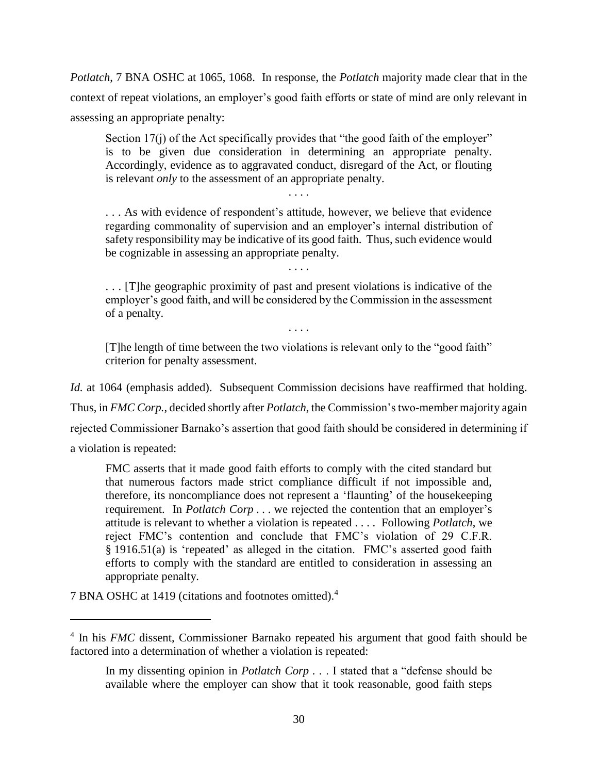*Potlatch*, 7 BNA OSHC at 1065, 1068. In response, the *Potlatch* majority made clear that in the context of repeat violations, an employer's good faith efforts or state of mind are only relevant in assessing an appropriate penalty:

Section 17(j) of the Act specifically provides that "the good faith of the employer" is to be given due consideration in determining an appropriate penalty. Accordingly, evidence as to aggravated conduct, disregard of the Act, or flouting is relevant *only* to the assessment of an appropriate penalty.

. . . .

. . . As with evidence of respondent's attitude, however, we believe that evidence regarding commonality of supervision and an employer's internal distribution of safety responsibility may be indicative of its good faith. Thus, such evidence would be cognizable in assessing an appropriate penalty. . . . .

. . . [T]he geographic proximity of past and present violations is indicative of the employer's good faith, and will be considered by the Commission in the assessment of a penalty.

[T]he length of time between the two violations is relevant only to the "good faith" criterion for penalty assessment.

. . . .

*Id.* at 1064 (emphasis added). Subsequent Commission decisions have reaffirmed that holding. Thus, in *FMC Corp.*, decided shortly after *Potlatch*, the Commission's two-member majority again rejected Commissioner Barnako's assertion that good faith should be considered in determining if a violation is repeated:

FMC asserts that it made good faith efforts to comply with the cited standard but that numerous factors made strict compliance difficult if not impossible and, therefore, its noncompliance does not represent a 'flaunting' of the housekeeping requirement. In *Potlatch Corp . . .* we rejected the contention that an employer's attitude is relevant to whether a violation is repeated . . . . Following *Potlatch*, we reject FMC's contention and conclude that FMC's violation of 29 C.F.R. § 1916.51(a) is 'repeated' as alleged in the citation. FMC's asserted good faith efforts to comply with the standard are entitled to consideration in assessing an appropriate penalty.

7 BNA OSHC at 1419 (citations and footnotes omitted).<sup>4</sup>

<sup>&</sup>lt;sup>4</sup> In his *FMC* dissent, Commissioner Barnako repeated his argument that good faith should be factored into a determination of whether a violation is repeated:

In my dissenting opinion in *Potlatch Corp . .* . I stated that a "defense should be available where the employer can show that it took reasonable, good faith steps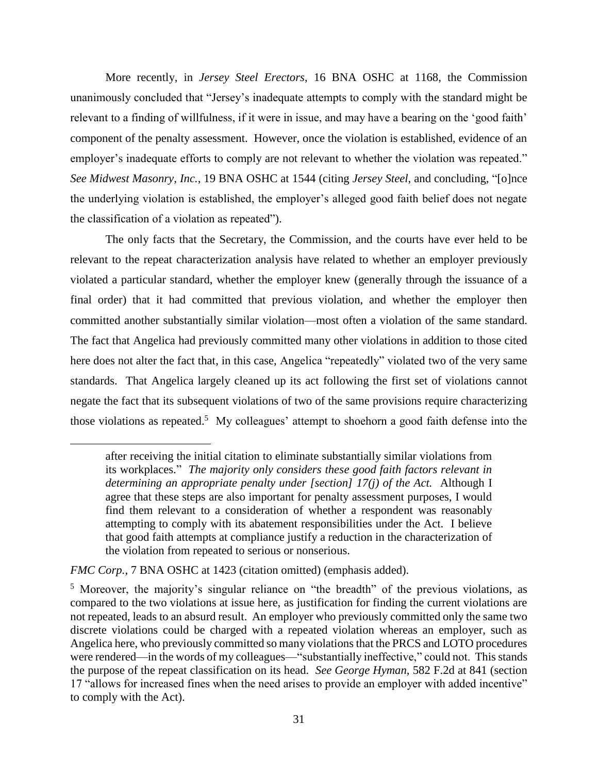More recently, in *Jersey Steel Erectors*, 16 BNA OSHC at 1168, the Commission unanimously concluded that "Jersey's inadequate attempts to comply with the standard might be relevant to a finding of willfulness, if it were in issue, and may have a bearing on the 'good faith' component of the penalty assessment. However, once the violation is established, evidence of an employer's inadequate efforts to comply are not relevant to whether the violation was repeated." *See Midwest Masonry, Inc.*, 19 BNA OSHC at 1544 (citing *Jersey Steel*, and concluding, "[o]nce the underlying violation is established, the employer's alleged good faith belief does not negate the classification of a violation as repeated").

The only facts that the Secretary, the Commission, and the courts have ever held to be relevant to the repeat characterization analysis have related to whether an employer previously violated a particular standard, whether the employer knew (generally through the issuance of a final order) that it had committed that previous violation, and whether the employer then committed another substantially similar violation—most often a violation of the same standard. The fact that Angelica had previously committed many other violations in addition to those cited here does not alter the fact that, in this case, Angelica "repeatedly" violated two of the very same standards. That Angelica largely cleaned up its act following the first set of violations cannot negate the fact that its subsequent violations of two of the same provisions require characterizing those violations as repeated.<sup>5</sup> My colleagues' attempt to shoehorn a good faith defense into the

*FMC Corp.*, 7 BNA OSHC at 1423 (citation omitted) (emphasis added).

 $\overline{a}$ 

after receiving the initial citation to eliminate substantially similar violations from its workplaces." *The majority only considers these good faith factors relevant in determining an appropriate penalty under [section] 17(j) of the Act.* Although I agree that these steps are also important for penalty assessment purposes, I would find them relevant to a consideration of whether a respondent was reasonably attempting to comply with its abatement responsibilities under the Act. I believe that good faith attempts at compliance justify a reduction in the characterization of the violation from repeated to serious or nonserious.

<sup>5</sup> Moreover, the majority's singular reliance on "the breadth" of the previous violations, as compared to the two violations at issue here, as justification for finding the current violations are not repeated, leads to an absurd result. An employer who previously committed only the same two discrete violations could be charged with a repeated violation whereas an employer, such as Angelica here, who previously committed so many violations that the PRCS and LOTO procedures were rendered—in the words of my colleagues—"substantially ineffective," could not. This stands the purpose of the repeat classification on its head. *See George Hyman*, 582 F.2d at 841 (section 17 "allows for increased fines when the need arises to provide an employer with added incentive" to comply with the Act).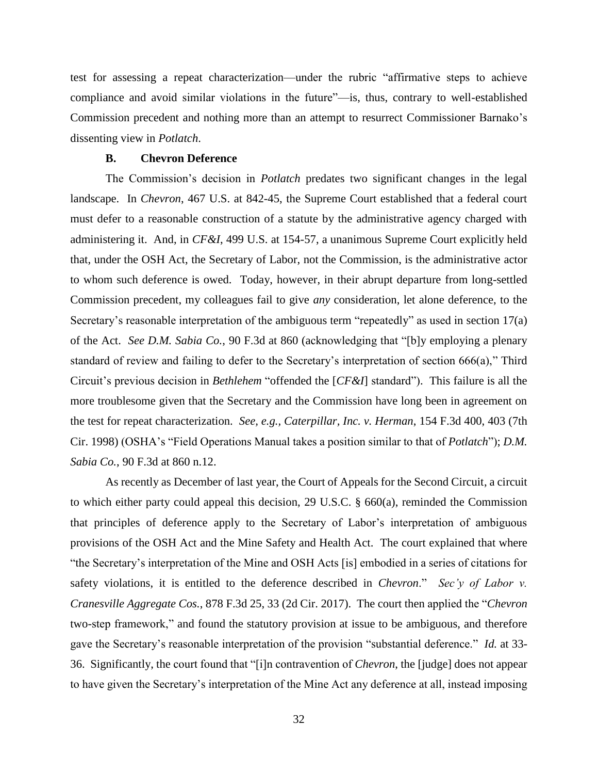test for assessing a repeat characterization—under the rubric "affirmative steps to achieve compliance and avoid similar violations in the future"—is, thus, contrary to well-established Commission precedent and nothing more than an attempt to resurrect Commissioner Barnako's dissenting view in *Potlatch*.

### **B. Chevron Deference**

The Commission's decision in *Potlatch* predates two significant changes in the legal landscape. In *Chevron*, 467 U.S. at 842-45, the Supreme Court established that a federal court must defer to a reasonable construction of a statute by the administrative agency charged with administering it. And, in *CF&I*, 499 U.S. at 154-57, a unanimous Supreme Court explicitly held that, under the OSH Act, the Secretary of Labor, not the Commission, is the administrative actor to whom such deference is owed. Today, however, in their abrupt departure from long-settled Commission precedent, my colleagues fail to give *any* consideration, let alone deference, to the Secretary's reasonable interpretation of the ambiguous term "repeatedly" as used in section 17(a) of the Act. *See D.M. Sabia Co.*, 90 F.3d at 860 (acknowledging that "[b]y employing a plenary standard of review and failing to defer to the Secretary's interpretation of section 666(a)," Third Circuit's previous decision in *Bethlehem* "offended the [*CF&I*] standard"). This failure is all the more troublesome given that the Secretary and the Commission have long been in agreement on the test for repeat characterization. *See, e.g., Caterpillar, Inc. v. Herman*, 154 F.3d 400, 403 (7th Cir. 1998) (OSHA's "Field Operations Manual takes a position similar to that of *Potlatch*"); *D.M. Sabia Co.*, 90 F.3d at 860 n.12.

As recently as December of last year, the Court of Appeals for the Second Circuit, a circuit to which either party could appeal this decision, 29 U.S.C. § 660(a), reminded the Commission that principles of deference apply to the Secretary of Labor's interpretation of ambiguous provisions of the OSH Act and the Mine Safety and Health Act. The court explained that where "the Secretary's interpretation of the Mine and OSH Acts [is] embodied in a series of citations for safety violations, it is entitled to the deference described in *Chevron*." *Sec'y of Labor v. Cranesville Aggregate Cos.*, 878 F.3d 25, 33 (2d Cir. 2017). The court then applied the "*Chevron* two-step framework," and found the statutory provision at issue to be ambiguous, and therefore gave the Secretary's reasonable interpretation of the provision "substantial deference." *Id.* at 33- 36. Significantly, the court found that "[i]n contravention of *Chevron*, the [judge] does not appear to have given the Secretary's interpretation of the Mine Act any deference at all, instead imposing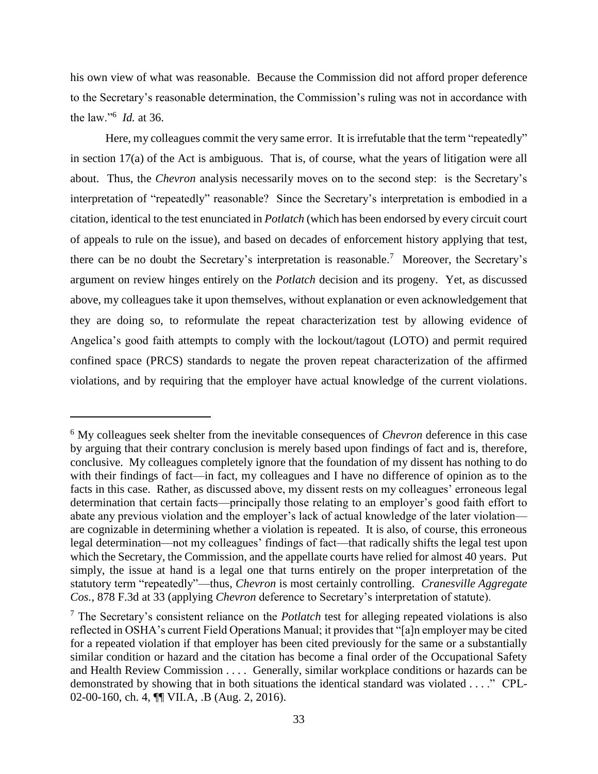his own view of what was reasonable. Because the Commission did not afford proper deference to the Secretary's reasonable determination, the Commission's ruling was not in accordance with the law."<sup>6</sup> *Id.* at 36.

Here, my colleagues commit the very same error. It is irrefutable that the term "repeatedly" in section 17(a) of the Act is ambiguous. That is, of course, what the years of litigation were all about. Thus, the *Chevron* analysis necessarily moves on to the second step: is the Secretary's interpretation of "repeatedly" reasonable? Since the Secretary's interpretation is embodied in a citation, identical to the test enunciated in *Potlatch* (which has been endorsed by every circuit court of appeals to rule on the issue), and based on decades of enforcement history applying that test, there can be no doubt the Secretary's interpretation is reasonable.<sup>7</sup> Moreover, the Secretary's argument on review hinges entirely on the *Potlatch* decision and its progeny. Yet, as discussed above, my colleagues take it upon themselves, without explanation or even acknowledgement that they are doing so, to reformulate the repeat characterization test by allowing evidence of Angelica's good faith attempts to comply with the lockout/tagout (LOTO) and permit required confined space (PRCS) standards to negate the proven repeat characterization of the affirmed violations, and by requiring that the employer have actual knowledge of the current violations.

<sup>6</sup> My colleagues seek shelter from the inevitable consequences of *Chevron* deference in this case by arguing that their contrary conclusion is merely based upon findings of fact and is, therefore, conclusive. My colleagues completely ignore that the foundation of my dissent has nothing to do with their findings of fact—in fact, my colleagues and I have no difference of opinion as to the facts in this case. Rather, as discussed above, my dissent rests on my colleagues' erroneous legal determination that certain facts—principally those relating to an employer's good faith effort to abate any previous violation and the employer's lack of actual knowledge of the later violation are cognizable in determining whether a violation is repeated. It is also, of course, this erroneous legal determination—not my colleagues' findings of fact—that radically shifts the legal test upon which the Secretary, the Commission, and the appellate courts have relied for almost 40 years. Put simply, the issue at hand is a legal one that turns entirely on the proper interpretation of the statutory term "repeatedly"—thus, *Chevron* is most certainly controlling. *Cranesville Aggregate Cos.*, 878 F.3d at 33 (applying *Chevron* deference to Secretary's interpretation of statute).

<sup>7</sup> The Secretary's consistent reliance on the *Potlatch* test for alleging repeated violations is also reflected in OSHA's current Field Operations Manual; it provides that "[a]n employer may be cited for a repeated violation if that employer has been cited previously for the same or a substantially similar condition or hazard and the citation has become a final order of the Occupational Safety and Health Review Commission . . . . Generally, similar workplace conditions or hazards can be demonstrated by showing that in both situations the identical standard was violated . . . ." CPL-02-00-160, ch. 4, ¶¶ VII.A, .B (Aug. 2, 2016).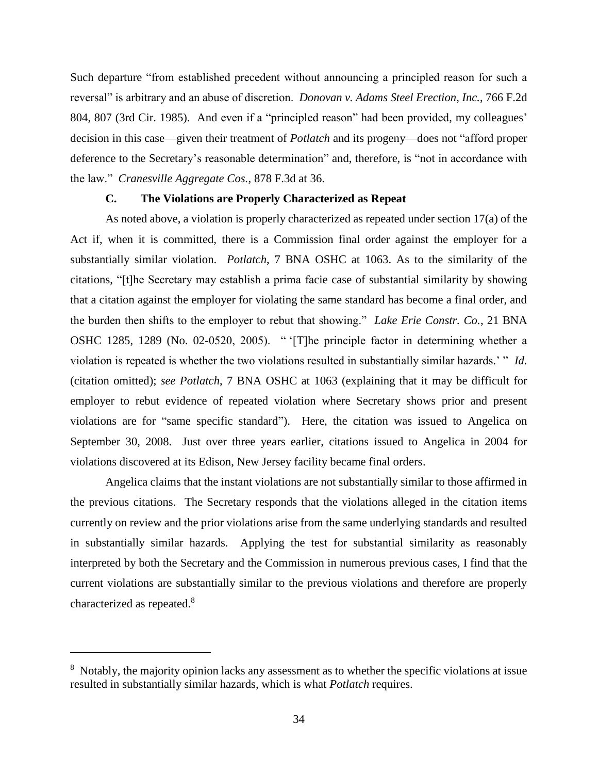Such departure "from established precedent without announcing a principled reason for such a reversal" is arbitrary and an abuse of discretion. *Donovan v. Adams Steel Erection, Inc.*, 766 F.2d 804, 807 (3rd Cir. 1985). And even if a "principled reason" had been provided, my colleagues' decision in this case—given their treatment of *Potlatch* and its progeny—does not "afford proper deference to the Secretary's reasonable determination" and, therefore, is "not in accordance with the law." *Cranesville Aggregate Cos.*, 878 F.3d at 36.

### **C. The Violations are Properly Characterized as Repeat**

As noted above, a violation is properly characterized as repeated under section 17(a) of the Act if, when it is committed, there is a Commission final order against the employer for a substantially similar violation. *Potlatch*, 7 BNA OSHC at 1063. As to the similarity of the citations, "[t]he Secretary may establish a prima facie case of substantial similarity by showing that a citation against the employer for violating the same standard has become a final order, and the burden then shifts to the employer to rebut that showing." *Lake Erie Constr. Co.*, 21 BNA OSHC 1285, 1289 (No. 02-0520, 2005). " '[T]he principle factor in determining whether a violation is repeated is whether the two violations resulted in substantially similar hazards.' " *Id.*  (citation omitted); *see Potlatch*, 7 BNA OSHC at 1063 (explaining that it may be difficult for employer to rebut evidence of repeated violation where Secretary shows prior and present violations are for "same specific standard"). Here, the citation was issued to Angelica on September 30, 2008. Just over three years earlier, citations issued to Angelica in 2004 for violations discovered at its Edison, New Jersey facility became final orders.

Angelica claims that the instant violations are not substantially similar to those affirmed in the previous citations. The Secretary responds that the violations alleged in the citation items currently on review and the prior violations arise from the same underlying standards and resulted in substantially similar hazards. Applying the test for substantial similarity as reasonably interpreted by both the Secretary and the Commission in numerous previous cases, I find that the current violations are substantially similar to the previous violations and therefore are properly characterized as repeated.<sup>8</sup>

 $\overline{a}$ 

<sup>&</sup>lt;sup>8</sup> Notably, the majority opinion lacks any assessment as to whether the specific violations at issue resulted in substantially similar hazards, which is what *Potlatch* requires.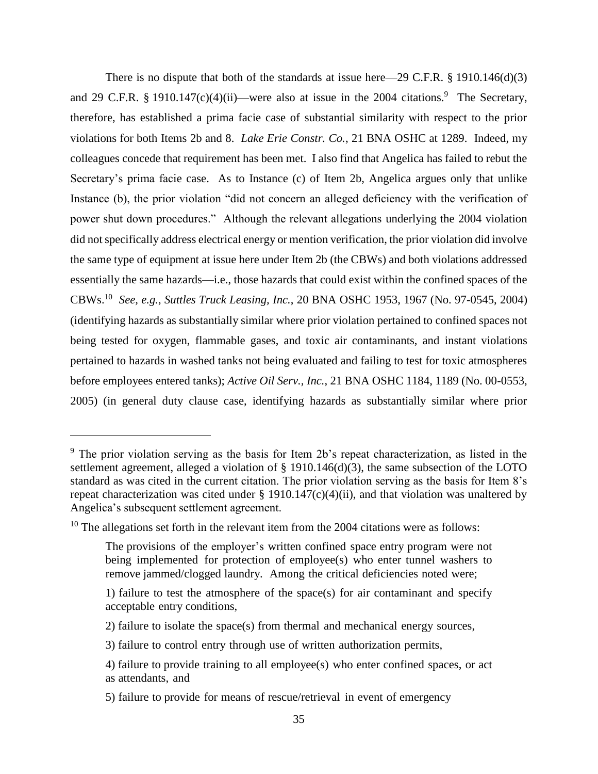There is no dispute that both of the standards at issue here—29 C.F.R.  $\S$  1910.146(d)(3) and 29 C.F.R. § 1910.147(c)(4)(ii)—were also at issue in the 2004 citations.<sup>9</sup> The Secretary, therefore, has established a prima facie case of substantial similarity with respect to the prior violations for both Items 2b and 8. *Lake Erie Constr. Co.*, 21 BNA OSHC at 1289. Indeed, my colleagues concede that requirement has been met. I also find that Angelica has failed to rebut the Secretary's prima facie case. As to Instance (c) of Item 2b, Angelica argues only that unlike Instance (b), the prior violation "did not concern an alleged deficiency with the verification of power shut down procedures." Although the relevant allegations underlying the 2004 violation did not specifically address electrical energy or mention verification, the prior violation did involve the same type of equipment at issue here under Item 2b (the CBWs) and both violations addressed essentially the same hazards—i.e., those hazards that could exist within the confined spaces of the CBWs.<sup>10</sup> *See, e.g.*, *Suttles Truck Leasing, Inc.*, 20 BNA OSHC 1953, 1967 (No. 97-0545, 2004) (identifying hazards as substantially similar where prior violation pertained to confined spaces not being tested for oxygen, flammable gases, and toxic air contaminants, and instant violations pertained to hazards in washed tanks not being evaluated and failing to test for toxic atmospheres before employees entered tanks); *Active Oil Serv., Inc.*, 21 BNA OSHC 1184, 1189 (No. 00-0553, 2005) (in general duty clause case, identifying hazards as substantially similar where prior

<sup>&</sup>lt;sup>9</sup> The prior violation serving as the basis for Item 2b's repeat characterization, as listed in the settlement agreement, alleged a violation of § 1910.146(d)(3), the same subsection of the LOTO standard as was cited in the current citation. The prior violation serving as the basis for Item 8's repeat characterization was cited under § 1910.147(c)(4)(ii), and that violation was unaltered by Angelica's subsequent settlement agreement.

 $10$  The allegations set forth in the relevant item from the 2004 citations were as follows:

The provisions of the employer's written confined space entry program were not being implemented for protection of employee(s) who enter tunnel washers to remove jammed/clogged laundry. Among the critical deficiencies noted were;

<sup>1)</sup> failure to test the atmosphere of the space(s) for air contaminant and specify acceptable entry conditions,

<sup>2)</sup> failure to isolate the space(s) from thermal and mechanical energy sources,

<sup>3)</sup> failure to control entry through use of written authorization permits,

<sup>4)</sup> failure to provide training to all employee(s) who enter confined spaces, or act as attendants, and

<sup>5)</sup> failure to provide for means of rescue/retrieval in event of emergency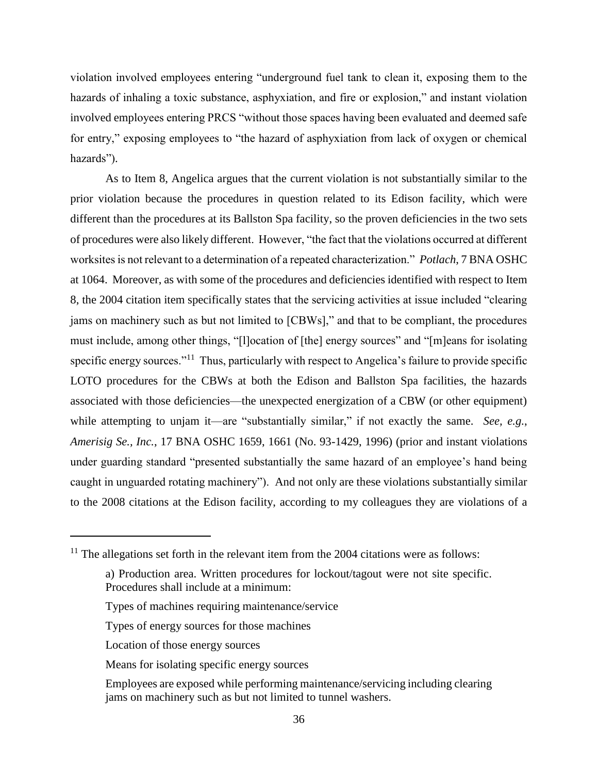violation involved employees entering "underground fuel tank to clean it, exposing them to the hazards of inhaling a toxic substance, asphyxiation, and fire or explosion," and instant violation involved employees entering PRCS "without those spaces having been evaluated and deemed safe for entry," exposing employees to "the hazard of asphyxiation from lack of oxygen or chemical hazards").

As to Item 8, Angelica argues that the current violation is not substantially similar to the prior violation because the procedures in question related to its Edison facility, which were different than the procedures at its Ballston Spa facility, so the proven deficiencies in the two sets of procedures were also likely different. However, "the fact that the violations occurred at different worksites is not relevant to a determination of a repeated characterization." *Potlach*, 7 BNA OSHC at 1064. Moreover, as with some of the procedures and deficiencies identified with respect to Item 8, the 2004 citation item specifically states that the servicing activities at issue included "clearing jams on machinery such as but not limited to [CBWs]," and that to be compliant, the procedures must include, among other things, "[l]ocation of [the] energy sources" and "[m]eans for isolating specific energy sources."<sup>11</sup> Thus, particularly with respect to Angelica's failure to provide specific LOTO procedures for the CBWs at both the Edison and Ballston Spa facilities, the hazards associated with those deficiencies—the unexpected energization of a CBW (or other equipment) while attempting to unjam it—are "substantially similar," if not exactly the same. *See, e.g.*, *Amerisig Se., Inc.*, 17 BNA OSHC 1659, 1661 (No. 93-1429, 1996) (prior and instant violations under guarding standard "presented substantially the same hazard of an employee's hand being caught in unguarded rotating machinery"). And not only are these violations substantially similar to the 2008 citations at the Edison facility, according to my colleagues they are violations of a

- Types of machines requiring maintenance/service
- Types of energy sources for those machines
- Location of those energy sources

l

- Means for isolating specific energy sources
- Employees are exposed while performing maintenance/servicing including clearing jams on machinery such as but not limited to tunnel washers.

 $11$  The allegations set forth in the relevant item from the 2004 citations were as follows:

a) Production area. Written procedures for lockout/tagout were not site specific. Procedures shall include at a minimum: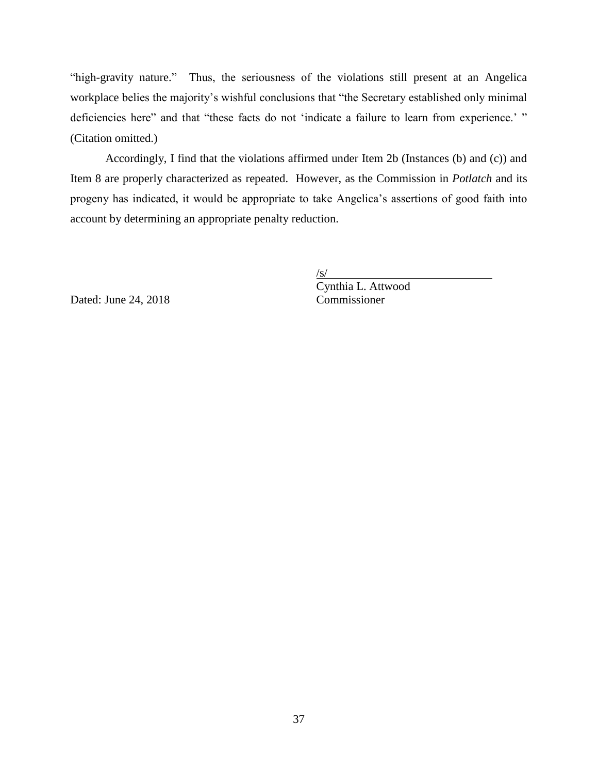"high-gravity nature." Thus, the seriousness of the violations still present at an Angelica workplace belies the majority's wishful conclusions that "the Secretary established only minimal deficiencies here" and that "these facts do not 'indicate a failure to learn from experience.' " (Citation omitted.)

Accordingly, I find that the violations affirmed under Item 2b (Instances (b) and (c)) and Item 8 are properly characterized as repeated. However, as the Commission in *Potlatch* and its progeny has indicated, it would be appropriate to take Angelica's assertions of good faith into account by determining an appropriate penalty reduction.

 $/$ s $/$ 

Dated: June  $24, 2018$ 

Cynthia L. Attwood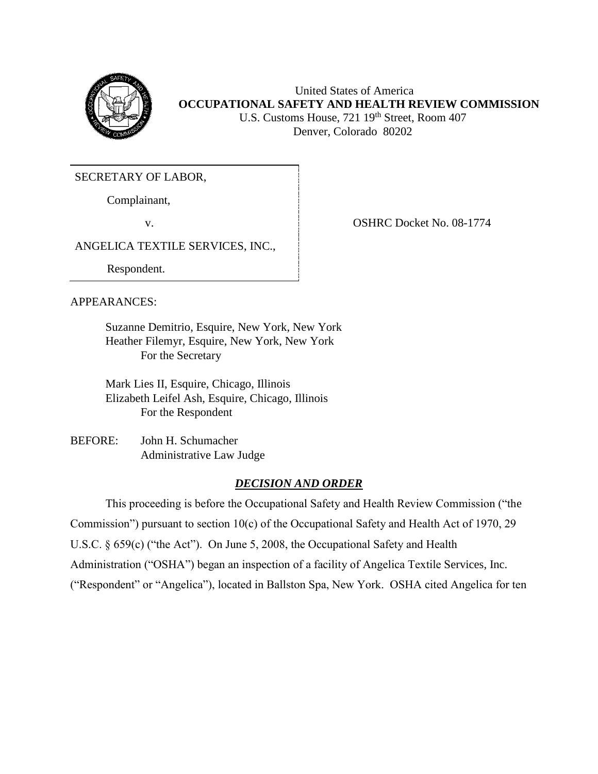

United States of America **OCCUPATIONAL SAFETY AND HEALTH REVIEW COMMISSION** U.S. Customs House, 721 19<sup>th</sup> Street, Room 407 Denver, Colorado 80202

SECRETARY OF LABOR,

Complainant,

v. COSHRC Docket No. 08-1774

ANGELICA TEXTILE SERVICES, INC.,

Respondent.

## APPEARANCES:

Suzanne Demitrio, Esquire, New York, New York Heather Filemyr, Esquire, New York, New York For the Secretary

Mark Lies II, Esquire, Chicago, Illinois Elizabeth Leifel Ash, Esquire, Chicago, Illinois For the Respondent

BEFORE: John H. Schumacher Administrative Law Judge

## *DECISION AND ORDER*

This proceeding is before the Occupational Safety and Health Review Commission ("the Commission") pursuant to section 10(c) of the Occupational Safety and Health Act of 1970, 29 U.S.C. § 659(c) ("the Act"). On June 5, 2008, the Occupational Safety and Health Administration ("OSHA") began an inspection of a facility of Angelica Textile Services, Inc. ("Respondent" or "Angelica"), located in Ballston Spa, New York. OSHA cited Angelica for ten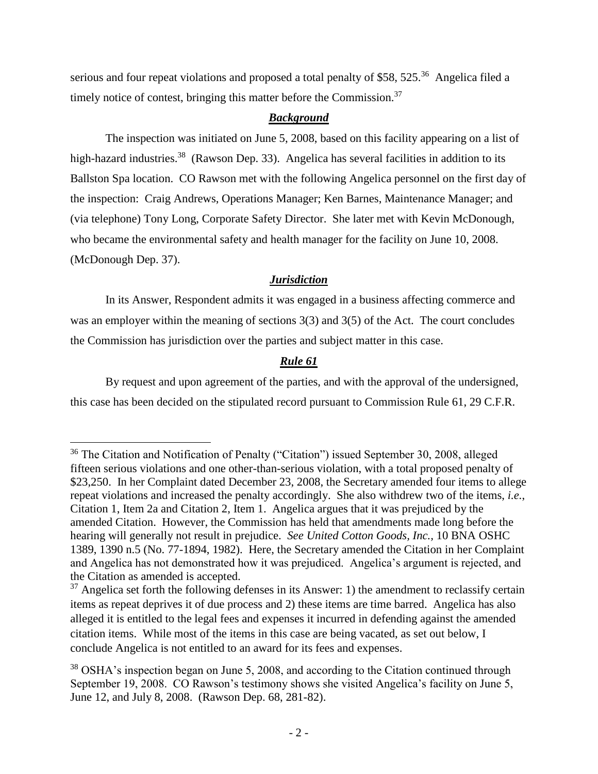serious and four repeat violations and proposed a total penalty of \$58, 525.<sup>36</sup> Angelica filed a timely notice of contest, bringing this matter before the Commission.<sup>37</sup>

### *Background*

The inspection was initiated on June 5, 2008, based on this facility appearing on a list of high-hazard industries.<sup>38</sup> (Rawson Dep. 33). Angelica has several facilities in addition to its Ballston Spa location. CO Rawson met with the following Angelica personnel on the first day of the inspection: Craig Andrews, Operations Manager; Ken Barnes, Maintenance Manager; and (via telephone) Tony Long, Corporate Safety Director. She later met with Kevin McDonough, who became the environmental safety and health manager for the facility on June 10, 2008. (McDonough Dep. 37).

## *Jurisdiction*

In its Answer, Respondent admits it was engaged in a business affecting commerce and was an employer within the meaning of sections 3(3) and 3(5) of the Act. The court concludes the Commission has jurisdiction over the parties and subject matter in this case.

# *Rule 61*

By request and upon agreement of the parties, and with the approval of the undersigned, this case has been decided on the stipulated record pursuant to Commission Rule 61, 29 C.F.R.

l

<sup>36</sup> The Citation and Notification of Penalty ("Citation") issued September 30, 2008, alleged fifteen serious violations and one other-than-serious violation, with a total proposed penalty of \$23,250. In her Complaint dated December 23, 2008, the Secretary amended four items to allege repeat violations and increased the penalty accordingly. She also withdrew two of the items, *i.e.*, Citation 1, Item 2a and Citation 2, Item 1. Angelica argues that it was prejudiced by the amended Citation. However, the Commission has held that amendments made long before the hearing will generally not result in prejudice. *See United Cotton Goods, Inc.,* 10 BNA OSHC 1389, 1390 n.5 (No. 77-1894, 1982). Here, the Secretary amended the Citation in her Complaint and Angelica has not demonstrated how it was prejudiced. Angelica's argument is rejected, and the Citation as amended is accepted.

 $37$  Angelica set forth the following defenses in its Answer: 1) the amendment to reclassify certain items as repeat deprives it of due process and 2) these items are time barred. Angelica has also alleged it is entitled to the legal fees and expenses it incurred in defending against the amended citation items. While most of the items in this case are being vacated, as set out below, I conclude Angelica is not entitled to an award for its fees and expenses.

<sup>&</sup>lt;sup>38</sup> OSHA's inspection began on June 5, 2008, and according to the Citation continued through September 19, 2008. CO Rawson's testimony shows she visited Angelica's facility on June 5, June 12, and July 8, 2008. (Rawson Dep. 68, 281-82).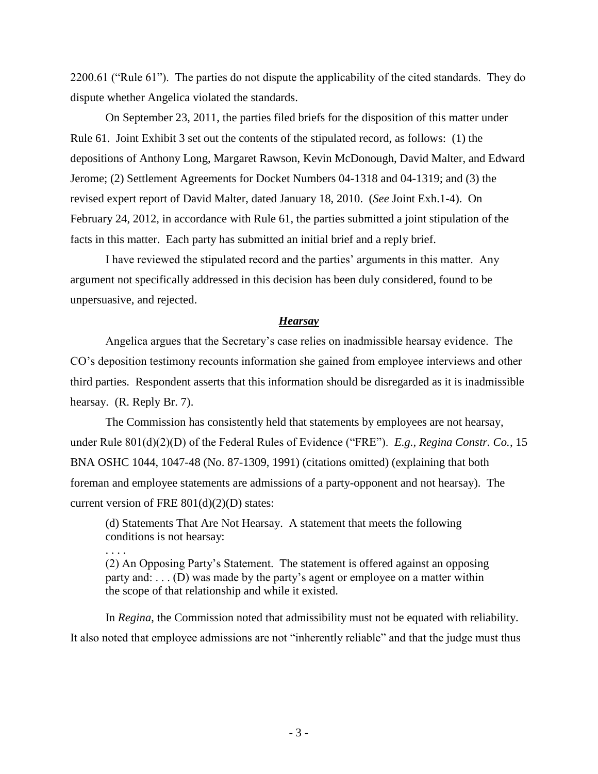2200.61 ("Rule 61"). The parties do not dispute the applicability of the cited standards. They do dispute whether Angelica violated the standards.

On September 23, 2011, the parties filed briefs for the disposition of this matter under Rule 61. Joint Exhibit 3 set out the contents of the stipulated record, as follows: (1) the depositions of Anthony Long, Margaret Rawson, Kevin McDonough, David Malter, and Edward Jerome; (2) Settlement Agreements for Docket Numbers 04-1318 and 04-1319; and (3) the revised expert report of David Malter, dated January 18, 2010. (*See* Joint Exh.1-4). On February 24, 2012, in accordance with Rule 61, the parties submitted a joint stipulation of the facts in this matter. Each party has submitted an initial brief and a reply brief.

I have reviewed the stipulated record and the parties' arguments in this matter. Any argument not specifically addressed in this decision has been duly considered, found to be unpersuasive, and rejected.

#### *Hearsay*

Angelica argues that the Secretary's case relies on inadmissible hearsay evidence. The CO's deposition testimony recounts information she gained from employee interviews and other third parties. Respondent asserts that this information should be disregarded as it is inadmissible hearsay. (R. Reply Br. 7).

The Commission has consistently held that statements by employees are not hearsay, under Rule 801(d)(2)(D) of the Federal Rules of Evidence ("FRE"). *E.g., Regina Constr. Co.*, 15 BNA OSHC 1044, 1047-48 (No. 87-1309, 1991) (citations omitted) (explaining that both foreman and employee statements are admissions of a party-opponent and not hearsay). The current version of FRE 801(d)(2)(D) states:

(d) Statements That Are Not Hearsay. A statement that meets the following conditions is not hearsay:

. . . .

(2) An Opposing Party's Statement.The statement is offered against an opposing party and: . . . (D) was made by the party's agent or employee on a matter within the scope of that relationship and while it existed.

In *Regina*, the Commission noted that admissibility must not be equated with reliability. It also noted that employee admissions are not "inherently reliable" and that the judge must thus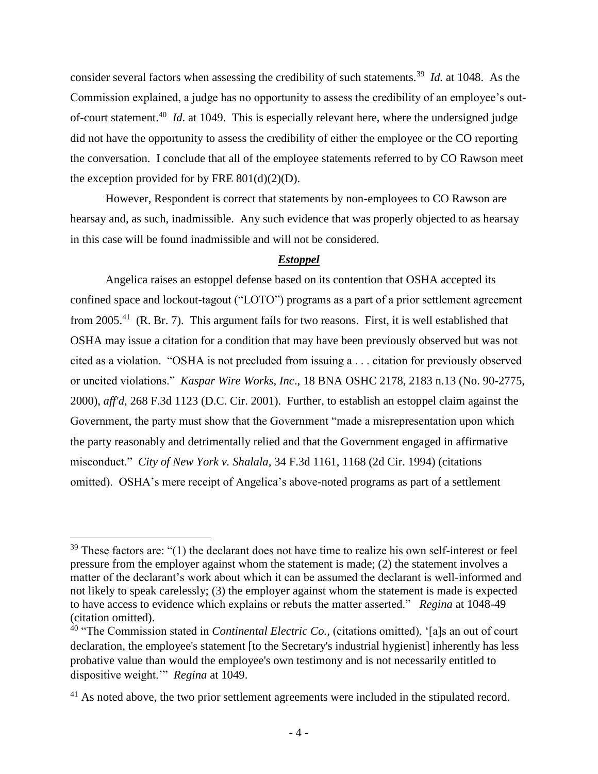consider several factors when assessing the credibility of such statements.<sup>39</sup> *Id.* at 1048. As the Commission explained, a judge has no opportunity to assess the credibility of an employee's outof-court statement.<sup>40</sup> *Id*. at 1049. This is especially relevant here, where the undersigned judge did not have the opportunity to assess the credibility of either the employee or the CO reporting the conversation. I conclude that all of the employee statements referred to by CO Rawson meet the exception provided for by FRE  $801(d)(2)(D)$ .

However, Respondent is correct that statements by non-employees to CO Rawson are hearsay and, as such, inadmissible. Any such evidence that was properly objected to as hearsay in this case will be found inadmissible and will not be considered.

#### *Estoppel*

Angelica raises an estoppel defense based on its contention that OSHA accepted its confined space and lockout-tagout ("LOTO") programs as a part of a prior settlement agreement from 2005.<sup>41</sup> (R. Br. 7). This argument fails for two reasons. First, it is well established that OSHA may issue a citation for a condition that may have been previously observed but was not cited as a violation. "OSHA is not precluded from issuing a . . . citation for previously observed or uncited violations." *Kaspar Wire Works, Inc*., 18 BNA OSHC 2178, 2183 n.13 (No. 90-2775, 2000), *aff'd*, 268 F.3d 1123 (D.C. Cir. 2001). Further, to establish an estoppel claim against the Government, the party must show that the Government "made a misrepresentation upon which the party reasonably and detrimentally relied and that the Government engaged in affirmative misconduct." *City of New York v. Shalala,* 34 F.3d 1161, 1168 (2d Cir. 1994) (citations omitted). OSHA's mere receipt of Angelica's above-noted programs as part of a settlement

 $39$  These factors are: "(1) the declarant does not have time to realize his own self-interest or feel pressure from the employer against whom the statement is made; (2) the statement involves a matter of the declarant's work about which it can be assumed the declarant is well-informed and not likely to speak carelessly; (3) the employer against whom the statement is made is expected to have access to evidence which explains or rebuts the matter asserted." *Regina* at 1048-49 (citation omitted).

<sup>40</sup> "The Commission stated in *Continental Electric Co.,* (citations omitted), '[a]s an out of court declaration, the employee's statement [to the Secretary's industrial hygienist] inherently has less probative value than would the employee's own testimony and is not necessarily entitled to dispositive weight.'" *Regina* at 1049.

<sup>&</sup>lt;sup>41</sup> As noted above, the two prior settlement agreements were included in the stipulated record.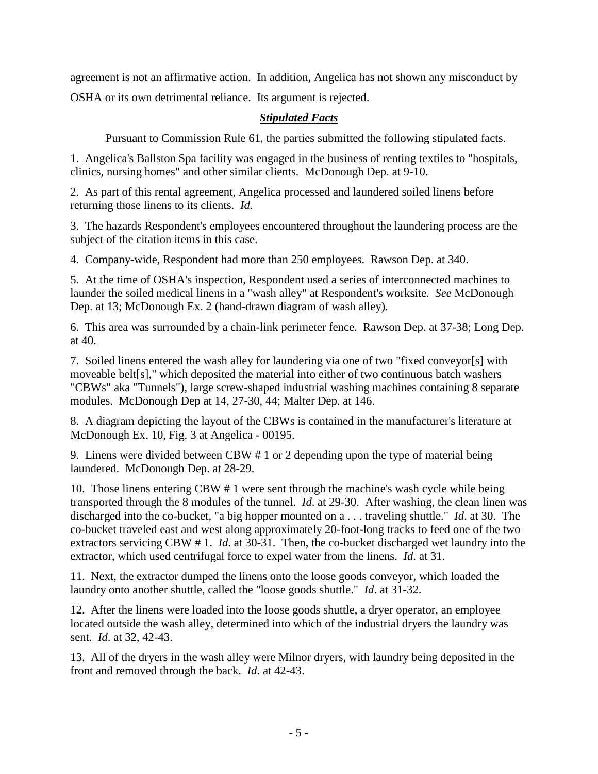agreement is not an affirmative action. In addition, Angelica has not shown any misconduct by OSHA or its own detrimental reliance. Its argument is rejected.

# *Stipulated Facts*

Pursuant to Commission Rule 61, the parties submitted the following stipulated facts.

1. Angelica's Ballston Spa facility was engaged in the business of renting textiles to "hospitals, clinics, nursing homes" and other similar clients. McDonough Dep. at 9-10.

2. As part of this rental agreement, Angelica processed and laundered soiled linens before returning those linens to its clients. *Id.*

3. The hazards Respondent's employees encountered throughout the laundering process are the subject of the citation items in this case.

4. Company-wide, Respondent had more than 250 employees. Rawson Dep. at 340.

5. At the time of OSHA's inspection, Respondent used a series of interconnected machines to launder the soiled medical linens in a "wash alley" at Respondent's worksite. *See* McDonough Dep. at 13; McDonough Ex. 2 (hand-drawn diagram of wash alley).

6. This area was surrounded by a chain-link perimeter fence. Rawson Dep. at 37-38; Long Dep. at 40.

7. Soiled linens entered the wash alley for laundering via one of two "fixed conveyor[s] with moveable belt[s]," which deposited the material into either of two continuous batch washers "CBWs" aka "Tunnels"), large screw-shaped industrial washing machines containing 8 separate modules. McDonough Dep at 14, 27-30, 44; Malter Dep. at 146.

8. A diagram depicting the layout of the CBWs is contained in the manufacturer's literature at McDonough Ex. 10, Fig. 3 at Angelica - 00195.

9. Linens were divided between CBW # 1 or 2 depending upon the type of material being laundered. McDonough Dep. at 28-29.

10. Those linens entering CBW # 1 were sent through the machine's wash cycle while being transported through the 8 modules of the tunnel. *Id*. at 29-30. After washing, the clean linen was discharged into the co-bucket, "a big hopper mounted on a . . . traveling shuttle." *Id*. at 30. The co-bucket traveled east and west along approximately 20-foot-long tracks to feed one of the two extractors servicing CBW # 1. *Id*. at 30-31. Then, the co-bucket discharged wet laundry into the extractor, which used centrifugal force to expel water from the linens. *Id*. at 31.

11. Next, the extractor dumped the linens onto the loose goods conveyor, which loaded the laundry onto another shuttle, called the "loose goods shuttle." *Id*. at 31-32.

12. After the linens were loaded into the loose goods shuttle, a dryer operator, an employee located outside the wash alley, determined into which of the industrial dryers the laundry was sent. *Id*. at 32, 42-43.

13. All of the dryers in the wash alley were Milnor dryers, with laundry being deposited in the front and removed through the back. *Id*. at 42-43.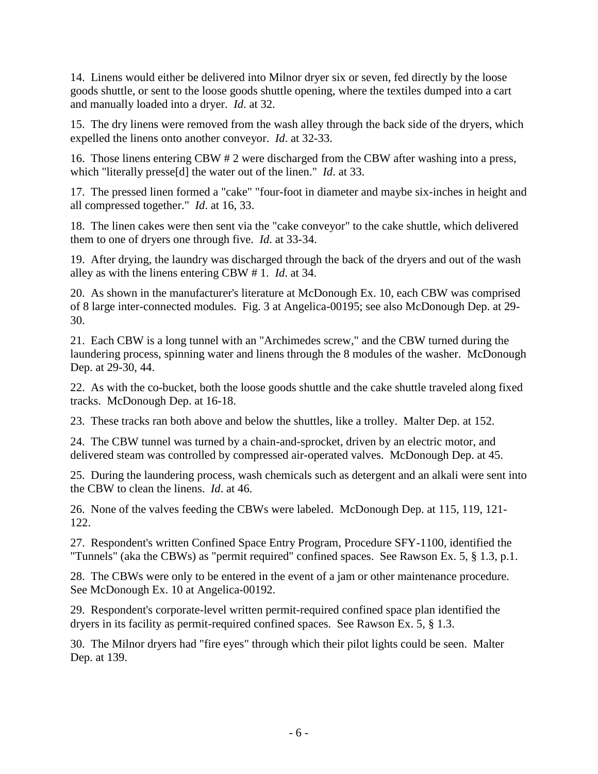14. Linens would either be delivered into Milnor dryer six or seven, fed directly by the loose goods shuttle, or sent to the loose goods shuttle opening, where the textiles dumped into a cart and manually loaded into a dryer. *Id*. at 32.

15. The dry linens were removed from the wash alley through the back side of the dryers, which expelled the linens onto another conveyor. *Id*. at 32-33.

16. Those linens entering CBW # 2 were discharged from the CBW after washing into a press, which "literally presse[d] the water out of the linen." *Id*. at 33.

17. The pressed linen formed a "cake" "four-foot in diameter and maybe six-inches in height and all compressed together." *Id*. at 16, 33.

18. The linen cakes were then sent via the "cake conveyor" to the cake shuttle, which delivered them to one of dryers one through five. *Id*. at 33-34.

19. After drying, the laundry was discharged through the back of the dryers and out of the wash alley as with the linens entering CBW # 1. *Id*. at 34.

20. As shown in the manufacturer's literature at McDonough Ex. 10, each CBW was comprised of 8 large inter-connected modules. Fig. 3 at Angelica-00195; see also McDonough Dep. at 29- 30.

21. Each CBW is a long tunnel with an "Archimedes screw," and the CBW turned during the laundering process, spinning water and linens through the 8 modules of the washer. McDonough Dep. at 29-30, 44.

22. As with the co-bucket, both the loose goods shuttle and the cake shuttle traveled along fixed tracks. McDonough Dep. at 16-18.

23. These tracks ran both above and below the shuttles, like a trolley. Malter Dep. at 152.

24. The CBW tunnel was turned by a chain-and-sprocket, driven by an electric motor, and delivered steam was controlled by compressed air-operated valves. McDonough Dep. at 45.

25. During the laundering process, wash chemicals such as detergent and an alkali were sent into the CBW to clean the linens. *Id*. at 46.

26. None of the valves feeding the CBWs were labeled. McDonough Dep. at 115, 119, 121- 122.

27. Respondent's written Confined Space Entry Program, Procedure SFY-1100, identified the "Tunnels" (aka the CBWs) as "permit required" confined spaces. See Rawson Ex. 5, § 1.3, p.1.

28. The CBWs were only to be entered in the event of a jam or other maintenance procedure. See McDonough Ex. 10 at Angelica-00192.

29. Respondent's corporate-level written permit-required confined space plan identified the dryers in its facility as permit-required confined spaces. See Rawson Ex. 5, § 1.3.

30. The Milnor dryers had "fire eyes" through which their pilot lights could be seen. Malter Dep. at 139.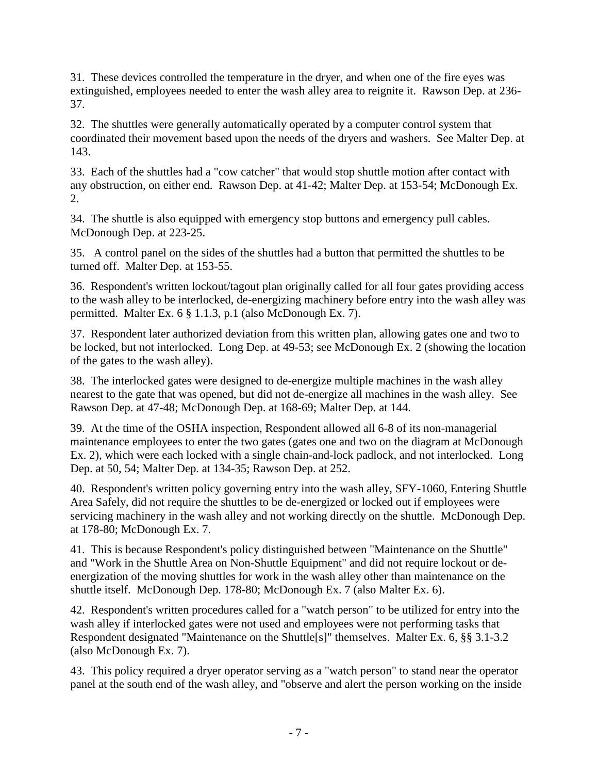31. These devices controlled the temperature in the dryer, and when one of the fire eyes was extinguished, employees needed to enter the wash alley area to reignite it. Rawson Dep. at 236- 37.

32. The shuttles were generally automatically operated by a computer control system that coordinated their movement based upon the needs of the dryers and washers. See Malter Dep. at 143.

33. Each of the shuttles had a "cow catcher" that would stop shuttle motion after contact with any obstruction, on either end. Rawson Dep. at 41-42; Malter Dep. at 153-54; McDonough Ex. 2.

34. The shuttle is also equipped with emergency stop buttons and emergency pull cables. McDonough Dep. at 223-25.

35. A control panel on the sides of the shuttles had a button that permitted the shuttles to be turned off. Malter Dep. at 153-55.

36. Respondent's written lockout/tagout plan originally called for all four gates providing access to the wash alley to be interlocked, de-energizing machinery before entry into the wash alley was permitted. Malter Ex. 6 § 1.1.3, p.1 (also McDonough Ex. 7).

37. Respondent later authorized deviation from this written plan, allowing gates one and two to be locked, but not interlocked. Long Dep. at 49-53; see McDonough Ex. 2 (showing the location of the gates to the wash alley).

38. The interlocked gates were designed to de-energize multiple machines in the wash alley nearest to the gate that was opened, but did not de-energize all machines in the wash alley. See Rawson Dep. at 47-48; McDonough Dep. at 168-69; Malter Dep. at 144.

39. At the time of the OSHA inspection, Respondent allowed all 6-8 of its non-managerial maintenance employees to enter the two gates (gates one and two on the diagram at McDonough Ex. 2), which were each locked with a single chain-and-lock padlock, and not interlocked. Long Dep. at 50, 54; Malter Dep. at 134-35; Rawson Dep. at 252.

40. Respondent's written policy governing entry into the wash alley, SFY-1060, Entering Shuttle Area Safely, did not require the shuttles to be de-energized or locked out if employees were servicing machinery in the wash alley and not working directly on the shuttle. McDonough Dep. at 178-80; McDonough Ex. 7.

41. This is because Respondent's policy distinguished between "Maintenance on the Shuttle" and "Work in the Shuttle Area on Non-Shuttle Equipment" and did not require lockout or deenergization of the moving shuttles for work in the wash alley other than maintenance on the shuttle itself. McDonough Dep. 178-80; McDonough Ex. 7 (also Malter Ex. 6).

42. Respondent's written procedures called for a "watch person" to be utilized for entry into the wash alley if interlocked gates were not used and employees were not performing tasks that Respondent designated "Maintenance on the Shuttle[s]" themselves. Malter Ex. 6, §§ 3.1-3.2 (also McDonough Ex. 7).

43. This policy required a dryer operator serving as a "watch person" to stand near the operator panel at the south end of the wash alley, and "observe and alert the person working on the inside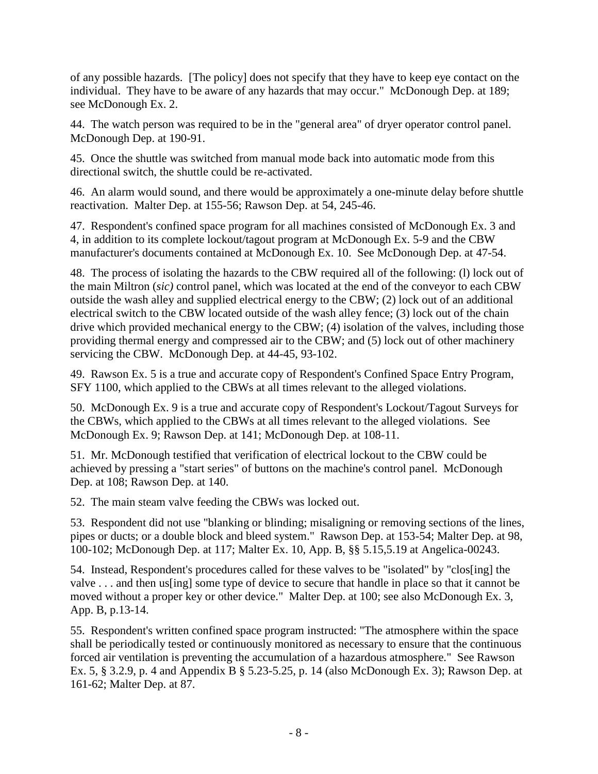of any possible hazards. [The policy] does not specify that they have to keep eye contact on the individual. They have to be aware of any hazards that may occur." McDonough Dep. at 189; see McDonough Ex. 2.

44. The watch person was required to be in the "general area" of dryer operator control panel. McDonough Dep. at 190-91.

45. Once the shuttle was switched from manual mode back into automatic mode from this directional switch, the shuttle could be re-activated.

46. An alarm would sound, and there would be approximately a one-minute delay before shuttle reactivation. Malter Dep. at 155-56; Rawson Dep. at 54, 245-46.

47. Respondent's confined space program for all machines consisted of McDonough Ex. 3 and 4, in addition to its complete lockout/tagout program at McDonough Ex. 5-9 and the CBW manufacturer's documents contained at McDonough Ex. 10. See McDonough Dep. at 47-54.

48. The process of isolating the hazards to the CBW required all of the following: (l) lock out of the main Miltron (*sic)* control panel, which was located at the end of the conveyor to each CBW outside the wash alley and supplied electrical energy to the CBW; (2) lock out of an additional electrical switch to the CBW located outside of the wash alley fence; (3) lock out of the chain drive which provided mechanical energy to the CBW; (4) isolation of the valves, including those providing thermal energy and compressed air to the CBW; and (5) lock out of other machinery servicing the CBW. McDonough Dep. at 44-45, 93-102.

49. Rawson Ex. 5 is a true and accurate copy of Respondent's Confined Space Entry Program, SFY 1100, which applied to the CBWs at all times relevant to the alleged violations.

50. McDonough Ex. 9 is a true and accurate copy of Respondent's Lockout/Tagout Surveys for the CBWs, which applied to the CBWs at all times relevant to the alleged violations. See McDonough Ex. 9; Rawson Dep. at 141; McDonough Dep. at 108-11.

51. Mr. McDonough testified that verification of electrical lockout to the CBW could be achieved by pressing a "start series" of buttons on the machine's control panel. McDonough Dep. at 108; Rawson Dep. at 140.

52. The main steam valve feeding the CBWs was locked out.

53. Respondent did not use "blanking or blinding; misaligning or removing sections of the lines, pipes or ducts; or a double block and bleed system." Rawson Dep. at 153-54; Malter Dep. at 98, 100-102; McDonough Dep. at 117; Malter Ex. 10, App. B, §§ 5.15,5.19 at Angelica-00243.

54. Instead, Respondent's procedures called for these valves to be "isolated" by "clos[ing] the valve . . . and then us[ing] some type of device to secure that handle in place so that it cannot be moved without a proper key or other device." Malter Dep. at 100; see also McDonough Ex. 3, App. B, p.13-14.

55. Respondent's written confined space program instructed: "The atmosphere within the space shall be periodically tested or continuously monitored as necessary to ensure that the continuous forced air ventilation is preventing the accumulation of a hazardous atmosphere." See Rawson Ex. 5, § 3.2.9, p. 4 and Appendix B § 5.23-5.25, p. 14 (also McDonough Ex. 3); Rawson Dep. at 161-62; Malter Dep. at 87.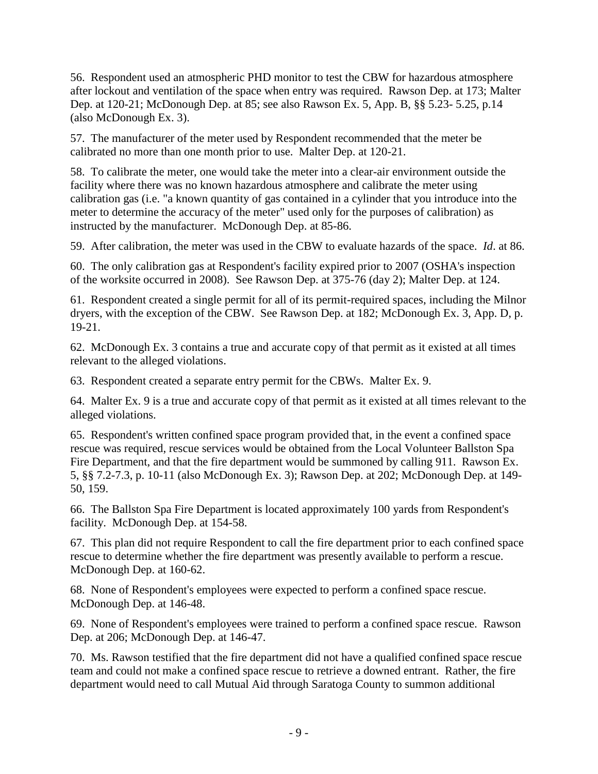56. Respondent used an atmospheric PHD monitor to test the CBW for hazardous atmosphere after lockout and ventilation of the space when entry was required. Rawson Dep. at 173; Malter Dep. at 120-21; McDonough Dep. at 85; see also Rawson Ex. 5, App. B, §§ 5.23- 5.25, p.14 (also McDonough Ex. 3).

57. The manufacturer of the meter used by Respondent recommended that the meter be calibrated no more than one month prior to use. Malter Dep. at 120-21.

58. To calibrate the meter, one would take the meter into a clear-air environment outside the facility where there was no known hazardous atmosphere and calibrate the meter using calibration gas (i.e. "a known quantity of gas contained in a cylinder that you introduce into the meter to determine the accuracy of the meter" used only for the purposes of calibration) as instructed by the manufacturer. McDonough Dep. at 85-86.

59. After calibration, the meter was used in the CBW to evaluate hazards of the space. *Id*. at 86.

60. The only calibration gas at Respondent's facility expired prior to 2007 (OSHA's inspection of the worksite occurred in 2008). See Rawson Dep. at 375-76 (day 2); Malter Dep. at 124.

61. Respondent created a single permit for all of its permit-required spaces, including the Milnor dryers, with the exception of the CBW. See Rawson Dep. at 182; McDonough Ex. 3, App. D, p. 19-21.

62. McDonough Ex. 3 contains a true and accurate copy of that permit as it existed at all times relevant to the alleged violations.

63. Respondent created a separate entry permit for the CBWs. Malter Ex. 9.

64. Malter Ex. 9 is a true and accurate copy of that permit as it existed at all times relevant to the alleged violations.

65. Respondent's written confined space program provided that, in the event a confined space rescue was required, rescue services would be obtained from the Local Volunteer Ballston Spa Fire Department, and that the fire department would be summoned by calling 911. Rawson Ex. 5, §§ 7.2-7.3, p. 10-11 (also McDonough Ex. 3); Rawson Dep. at 202; McDonough Dep. at 149- 50, 159.

66. The Ballston Spa Fire Department is located approximately 100 yards from Respondent's facility. McDonough Dep. at 154-58.

67. This plan did not require Respondent to call the fire department prior to each confined space rescue to determine whether the fire department was presently available to perform a rescue. McDonough Dep. at 160-62.

68. None of Respondent's employees were expected to perform a confined space rescue. McDonough Dep. at 146-48.

69. None of Respondent's employees were trained to perform a confined space rescue. Rawson Dep. at 206; McDonough Dep. at 146-47.

70. Ms. Rawson testified that the fire department did not have a qualified confined space rescue team and could not make a confined space rescue to retrieve a downed entrant. Rather, the fire department would need to call Mutual Aid through Saratoga County to summon additional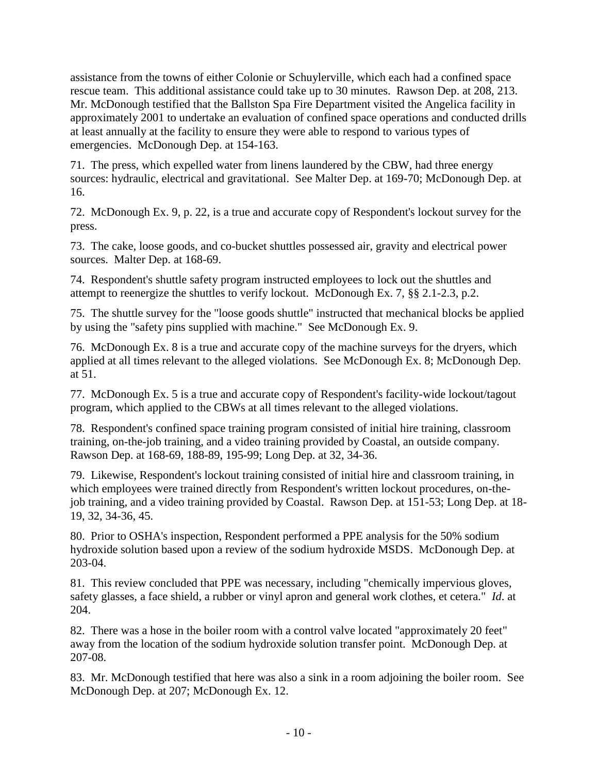assistance from the towns of either Colonie or Schuylerville, which each had a confined space rescue team. This additional assistance could take up to 30 minutes. Rawson Dep. at 208, 213. Mr. McDonough testified that the Ballston Spa Fire Department visited the Angelica facility in approximately 2001 to undertake an evaluation of confined space operations and conducted drills at least annually at the facility to ensure they were able to respond to various types of emergencies. McDonough Dep. at 154-163.

71. The press, which expelled water from linens laundered by the CBW, had three energy sources: hydraulic, electrical and gravitational. See Malter Dep. at 169-70; McDonough Dep. at 16.

72. McDonough Ex. 9, p. 22, is a true and accurate copy of Respondent's lockout survey for the press.

73. The cake, loose goods, and co-bucket shuttles possessed air, gravity and electrical power sources. Malter Dep. at 168-69.

74. Respondent's shuttle safety program instructed employees to lock out the shuttles and attempt to reenergize the shuttles to verify lockout. McDonough Ex. 7, §§ 2.1-2.3, p.2.

75. The shuttle survey for the "loose goods shuttle" instructed that mechanical blocks be applied by using the "safety pins supplied with machine." See McDonough Ex. 9.

76. McDonough Ex. 8 is a true and accurate copy of the machine surveys for the dryers, which applied at all times relevant to the alleged violations. See McDonough Ex. 8; McDonough Dep. at 51.

77. McDonough Ex. 5 is a true and accurate copy of Respondent's facility-wide lockout/tagout program, which applied to the CBWs at all times relevant to the alleged violations.

78. Respondent's confined space training program consisted of initial hire training, classroom training, on-the-job training, and a video training provided by Coastal, an outside company. Rawson Dep. at 168-69, 188-89, 195-99; Long Dep. at 32, 34-36.

79. Likewise, Respondent's lockout training consisted of initial hire and classroom training, in which employees were trained directly from Respondent's written lockout procedures, on-thejob training, and a video training provided by Coastal. Rawson Dep. at 151-53; Long Dep. at 18- 19, 32, 34-36, 45.

80. Prior to OSHA's inspection, Respondent performed a PPE analysis for the 50% sodium hydroxide solution based upon a review of the sodium hydroxide MSDS. McDonough Dep. at 203-04.

81. This review concluded that PPE was necessary, including "chemically impervious gloves, safety glasses, a face shield, a rubber or vinyl apron and general work clothes, et cetera." *Id*. at 204.

82. There was a hose in the boiler room with a control valve located "approximately 20 feet" away from the location of the sodium hydroxide solution transfer point. McDonough Dep. at 207-08.

83. Mr. McDonough testified that here was also a sink in a room adjoining the boiler room. See McDonough Dep. at 207; McDonough Ex. 12.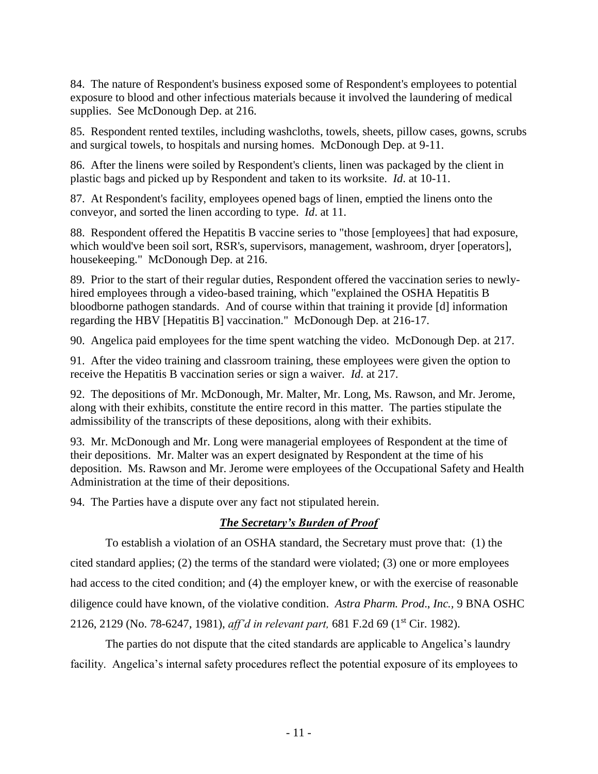84. The nature of Respondent's business exposed some of Respondent's employees to potential exposure to blood and other infectious materials because it involved the laundering of medical supplies. See McDonough Dep. at 216.

85. Respondent rented textiles, including washcloths, towels, sheets, pillow cases, gowns, scrubs and surgical towels, to hospitals and nursing homes. McDonough Dep. at 9-11.

86. After the linens were soiled by Respondent's clients, linen was packaged by the client in plastic bags and picked up by Respondent and taken to its worksite. *Id*. at 10-11.

87. At Respondent's facility, employees opened bags of linen, emptied the linens onto the conveyor, and sorted the linen according to type. *Id*. at 11.

88. Respondent offered the Hepatitis B vaccine series to "those [employees] that had exposure, which would've been soil sort, RSR's, supervisors, management, washroom, dryer [operators], housekeeping." McDonough Dep. at 216.

89. Prior to the start of their regular duties, Respondent offered the vaccination series to newlyhired employees through a video-based training, which "explained the OSHA Hepatitis B bloodborne pathogen standards. And of course within that training it provide [d] information regarding the HBV [Hepatitis B] vaccination." McDonough Dep. at 216-17.

90. Angelica paid employees for the time spent watching the video. McDonough Dep. at 217.

91. After the video training and classroom training, these employees were given the option to receive the Hepatitis B vaccination series or sign a waiver. *Id*. at 217.

92. The depositions of Mr. McDonough, Mr. Malter, Mr. Long, Ms. Rawson, and Mr. Jerome, along with their exhibits, constitute the entire record in this matter. The parties stipulate the admissibility of the transcripts of these depositions, along with their exhibits.

93. Mr. McDonough and Mr. Long were managerial employees of Respondent at the time of their depositions. Mr. Malter was an expert designated by Respondent at the time of his deposition. Ms. Rawson and Mr. Jerome were employees of the Occupational Safety and Health Administration at the time of their depositions.

94. The Parties have a dispute over any fact not stipulated herein.

# *The Secretary's Burden of Proof*

To establish a violation of an OSHA standard, the Secretary must prove that: (1) the cited standard applies; (2) the terms of the standard were violated; (3) one or more employees had access to the cited condition; and (4) the employer knew, or with the exercise of reasonable diligence could have known, of the violative condition. *Astra Pharm. Prod*., *Inc.,* 9 BNA OSHC 2126, 2129 (No. 78-6247, 1981), *aff'd in relevant part,* 681 F.2d 69 (1st Cir. 1982).

The parties do not dispute that the cited standards are applicable to Angelica's laundry facility. Angelica's internal safety procedures reflect the potential exposure of its employees to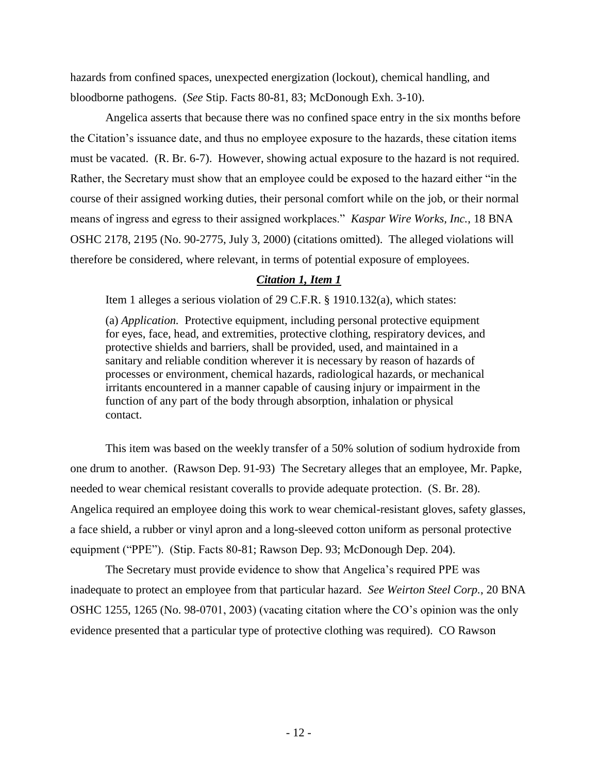hazards from confined spaces, unexpected energization (lockout), chemical handling, and bloodborne pathogens. (*See* Stip. Facts 80-81, 83; McDonough Exh. 3-10).

Angelica asserts that because there was no confined space entry in the six months before the Citation's issuance date, and thus no employee exposure to the hazards, these citation items must be vacated. (R. Br. 6-7). However, showing actual exposure to the hazard is not required. Rather, the Secretary must show that an employee could be exposed to the hazard either "in the course of their assigned working duties, their personal comfort while on the job, or their normal means of ingress and egress to their assigned workplaces." *Kaspar Wire Works, Inc.*, 18 BNA OSHC 2178, 2195 (No. 90-2775, July 3, 2000) (citations omitted). The alleged violations will therefore be considered, where relevant, in terms of potential exposure of employees.

#### *Citation 1, Item 1*

Item 1 alleges a serious violation of 29 C.F.R. § 1910.132(a), which states:

(a) *Application.* Protective equipment, including personal protective equipment for eyes, face, head, and extremities, protective clothing, respiratory devices, and protective shields and barriers, shall be provided, used, and maintained in a sanitary and reliable condition wherever it is necessary by reason of hazards of processes or environment, chemical hazards, radiological hazards, or mechanical irritants encountered in a manner capable of causing injury or impairment in the function of any part of the body through absorption, inhalation or physical contact.

This item was based on the weekly transfer of a 50% solution of sodium hydroxide from one drum to another. (Rawson Dep. 91-93) The Secretary alleges that an employee, Mr. Papke, needed to wear chemical resistant coveralls to provide adequate protection. (S. Br. 28). Angelica required an employee doing this work to wear chemical-resistant gloves, safety glasses, a face shield, a rubber or vinyl apron and a long-sleeved cotton uniform as personal protective equipment ("PPE"). (Stip. Facts 80-81; Rawson Dep. 93; McDonough Dep. 204).

The Secretary must provide evidence to show that Angelica's required PPE was inadequate to protect an employee from that particular hazard. *See Weirton Steel Corp.*, 20 BNA OSHC 1255, 1265 (No. 98-0701, 2003) (vacating citation where the CO's opinion was the only evidence presented that a particular type of protective clothing was required). CO Rawson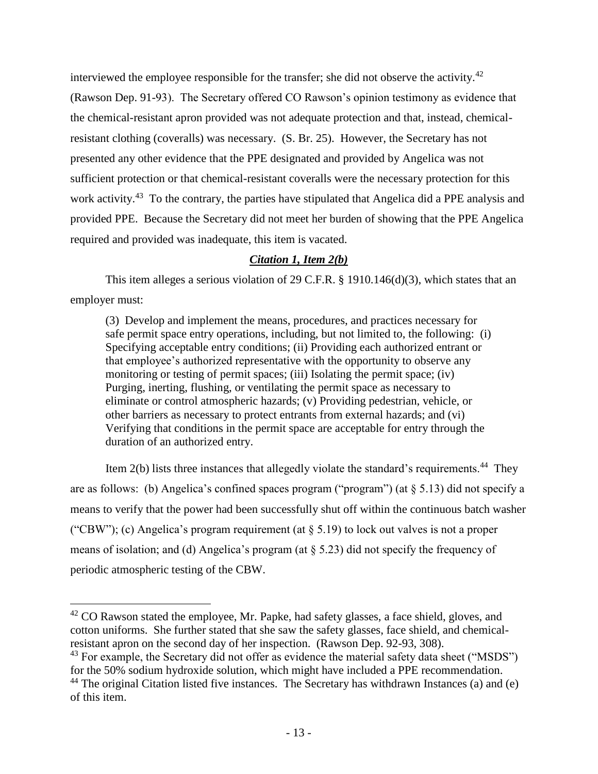interviewed the employee responsible for the transfer; she did not observe the activity.<sup>42</sup> (Rawson Dep. 91-93). The Secretary offered CO Rawson's opinion testimony as evidence that the chemical-resistant apron provided was not adequate protection and that, instead, chemicalresistant clothing (coveralls) was necessary. (S. Br. 25). However, the Secretary has not presented any other evidence that the PPE designated and provided by Angelica was not sufficient protection or that chemical-resistant coveralls were the necessary protection for this work activity.<sup>43</sup> To the contrary, the parties have stipulated that Angelica did a PPE analysis and provided PPE. Because the Secretary did not meet her burden of showing that the PPE Angelica required and provided was inadequate, this item is vacated.

#### *Citation 1, Item 2(b)*

This item alleges a serious violation of 29 C.F.R. § 1910.146(d)(3), which states that an employer must:

(3) Develop and implement the means, procedures, and practices necessary for safe permit space entry operations, including, but not limited to, the following: (i) Specifying acceptable entry conditions; (ii) Providing each authorized entrant or that employee's authorized representative with the opportunity to observe any monitoring or testing of permit spaces; (iii) Isolating the permit space; (iv) Purging, inerting, flushing, or ventilating the permit space as necessary to eliminate or control atmospheric hazards; (v) Providing pedestrian, vehicle, or other barriers as necessary to protect entrants from external hazards; and (vi) Verifying that conditions in the permit space are acceptable for entry through the duration of an authorized entry.

Item  $2(b)$  lists three instances that allegedly violate the standard's requirements.<sup>44</sup> They are as follows: (b) Angelica's confined spaces program ("program") (at § 5.13) did not specify a means to verify that the power had been successfully shut off within the continuous batch washer ("CBW"); (c) Angelica's program requirement (at  $\S$  5.19) to lock out valves is not a proper means of isolation; and (d) Angelica's program (at  $\S$  5.23) did not specify the frequency of periodic atmospheric testing of the CBW.

 $42$  CO Rawson stated the employee, Mr. Papke, had safety glasses, a face shield, gloves, and cotton uniforms. She further stated that she saw the safety glasses, face shield, and chemicalresistant apron on the second day of her inspection. (Rawson Dep. 92-93, 308).

<sup>&</sup>lt;sup>43</sup> For example, the Secretary did not offer as evidence the material safety data sheet ("MSDS") for the 50% sodium hydroxide solution, which might have included a PPE recommendation.

 $44$  The original Citation listed five instances. The Secretary has withdrawn Instances (a) and (e) of this item.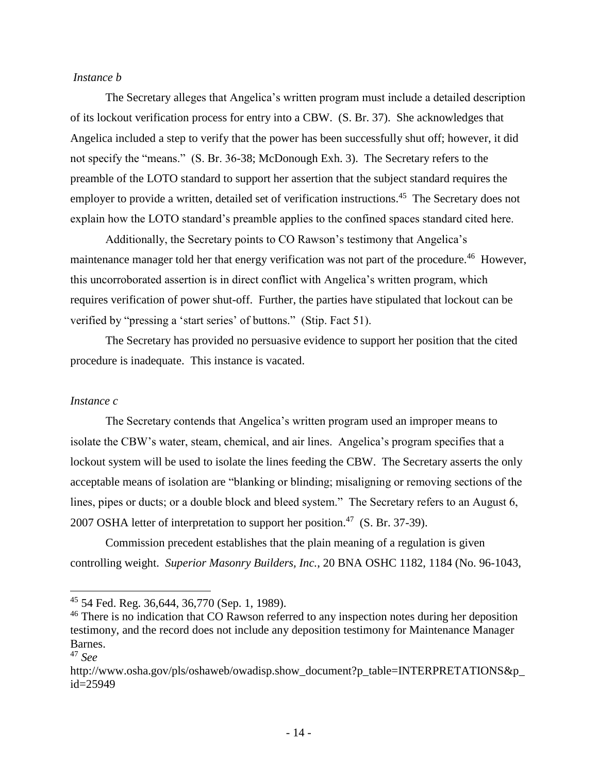#### *Instance b*

The Secretary alleges that Angelica's written program must include a detailed description of its lockout verification process for entry into a CBW. (S. Br. 37). She acknowledges that Angelica included a step to verify that the power has been successfully shut off; however, it did not specify the "means." (S. Br. 36-38; McDonough Exh. 3). The Secretary refers to the preamble of the LOTO standard to support her assertion that the subject standard requires the employer to provide a written, detailed set of verification instructions.<sup>45</sup> The Secretary does not explain how the LOTO standard's preamble applies to the confined spaces standard cited here.

Additionally, the Secretary points to CO Rawson's testimony that Angelica's maintenance manager told her that energy verification was not part of the procedure.<sup>46</sup> However, this uncorroborated assertion is in direct conflict with Angelica's written program, which requires verification of power shut-off. Further, the parties have stipulated that lockout can be verified by "pressing a 'start series' of buttons." (Stip. Fact 51).

The Secretary has provided no persuasive evidence to support her position that the cited procedure is inadequate. This instance is vacated.

#### *Instance c*

The Secretary contends that Angelica's written program used an improper means to isolate the CBW's water, steam, chemical, and air lines. Angelica's program specifies that a lockout system will be used to isolate the lines feeding the CBW. The Secretary asserts the only acceptable means of isolation are "blanking or blinding; misaligning or removing sections of the lines, pipes or ducts; or a double block and bleed system." The Secretary refers to an August 6, 2007 OSHA letter of interpretation to support her position.<sup>47</sup> (S. Br. 37-39).

Commission precedent establishes that the plain meaning of a regulation is given controlling weight. *Superior Masonry Builders, Inc.*, 20 BNA OSHC 1182, 1184 (No. 96-1043,

 $45$  54 Fed. Reg. 36,644, 36,770 (Sep. 1, 1989).

<sup>&</sup>lt;sup>46</sup> There is no indication that CO Rawson referred to any inspection notes during her deposition testimony, and the record does not include any deposition testimony for Maintenance Manager Barnes.

<sup>47</sup> *See* 

http://www.osha.gov/pls/oshaweb/owadisp.show\_document?p\_table=INTERPRETATIONS&p id=25949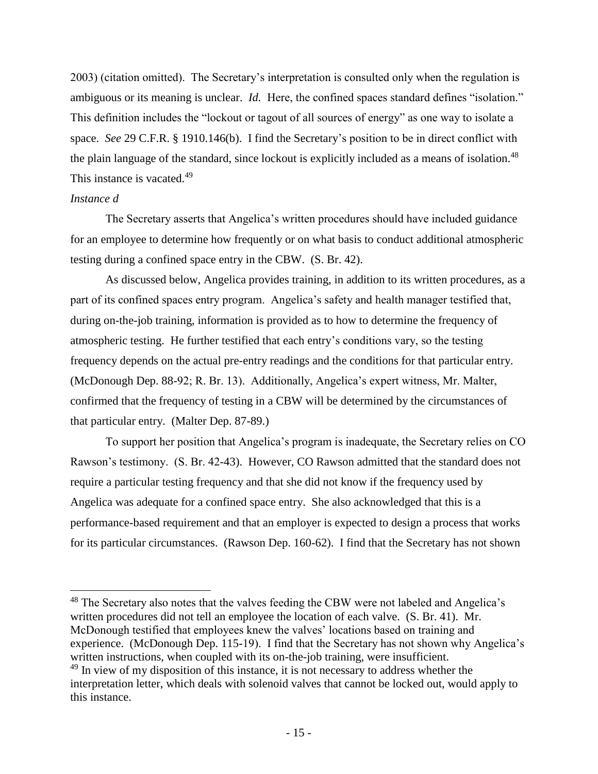2003) (citation omitted). The Secretary's interpretation is consulted only when the regulation is ambiguous or its meaning is unclear. *Id.* Here, the confined spaces standard defines "isolation." This definition includes the "lockout or tagout of all sources of energy" as one way to isolate a space. *See* 29 C.F.R. § 1910.146(b).I find the Secretary's position to be in direct conflict with the plain language of the standard, since lockout is explicitly included as a means of isolation.<sup>48</sup> This instance is vacated.<sup>49</sup>

#### *Instance d*

The Secretary asserts that Angelica's written procedures should have included guidance for an employee to determine how frequently or on what basis to conduct additional atmospheric testing during a confined space entry in the CBW. (S. Br. 42).

As discussed below, Angelica provides training, in addition to its written procedures, as a part of its confined spaces entry program. Angelica's safety and health manager testified that, during on-the-job training, information is provided as to how to determine the frequency of atmospheric testing. He further testified that each entry's conditions vary, so the testing frequency depends on the actual pre-entry readings and the conditions for that particular entry. (McDonough Dep. 88-92; R. Br. 13). Additionally, Angelica's expert witness, Mr. Malter, confirmed that the frequency of testing in a CBW will be determined by the circumstances of that particular entry. (Malter Dep. 87-89.)

To support her position that Angelica's program is inadequate, the Secretary relies on CO Rawson's testimony. (S. Br. 42-43). However, CO Rawson admitted that the standard does not require a particular testing frequency and that she did not know if the frequency used by Angelica was adequate for a confined space entry. She also acknowledged that this is a performance-based requirement and that an employer is expected to design a process that works for its particular circumstances. (Rawson Dep. 160-62). I find that the Secretary has not shown

 $48$  The Secretary also notes that the valves feeding the CBW were not labeled and Angelica's written procedures did not tell an employee the location of each valve. (S. Br. 41). Mr. McDonough testified that employees knew the valves' locations based on training and experience. (McDonough Dep. 115-19). I find that the Secretary has not shown why Angelica's written instructions, when coupled with its on-the-job training, were insufficient.  $49$  In view of my disposition of this instance, it is not necessary to address whether the interpretation letter, which deals with solenoid valves that cannot be locked out, would apply to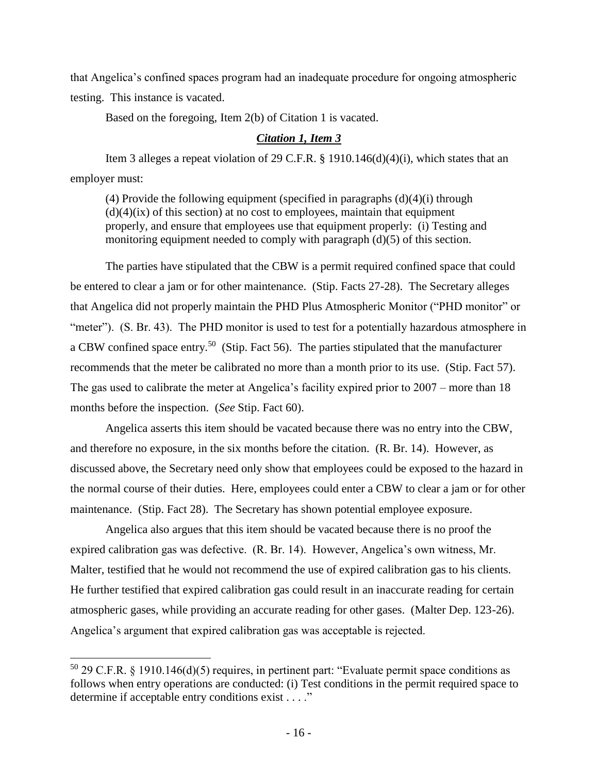that Angelica's confined spaces program had an inadequate procedure for ongoing atmospheric testing. This instance is vacated.

Based on the foregoing, Item 2(b) of Citation 1 is vacated.

## *Citation 1, Item 3*

Item 3 alleges a repeat violation of 29 C.F.R. § 1910.146(d)(4)(i), which states that an employer must:

(4) Provide the following equipment (specified in paragraphs  $(d)(4)(i)$  through  $(d)(4)(ix)$  of this section) at no cost to employees, maintain that equipment properly, and ensure that employees use that equipment properly: (i) Testing and monitoring equipment needed to comply with paragraph (d)(5) of this section.

The parties have stipulated that the CBW is a permit required confined space that could be entered to clear a jam or for other maintenance. (Stip. Facts 27-28). The Secretary alleges that Angelica did not properly maintain the PHD Plus Atmospheric Monitor ("PHD monitor" or "meter"). (S. Br. 43). The PHD monitor is used to test for a potentially hazardous atmosphere in a CBW confined space entry.<sup>50</sup> (Stip. Fact 56). The parties stipulated that the manufacturer recommends that the meter be calibrated no more than a month prior to its use. (Stip. Fact 57). The gas used to calibrate the meter at Angelica's facility expired prior to 2007 – more than 18 months before the inspection. (*See* Stip. Fact 60).

Angelica asserts this item should be vacated because there was no entry into the CBW, and therefore no exposure, in the six months before the citation. (R. Br. 14). However, as discussed above, the Secretary need only show that employees could be exposed to the hazard in the normal course of their duties. Here, employees could enter a CBW to clear a jam or for other maintenance. (Stip. Fact 28). The Secretary has shown potential employee exposure.

Angelica also argues that this item should be vacated because there is no proof the expired calibration gas was defective. (R. Br. 14). However, Angelica's own witness, Mr. Malter, testified that he would not recommend the use of expired calibration gas to his clients. He further testified that expired calibration gas could result in an inaccurate reading for certain atmospheric gases, while providing an accurate reading for other gases. (Malter Dep. 123-26). Angelica's argument that expired calibration gas was acceptable is rejected.

l

 $50$  29 C.F.R. § 1910.146(d)(5) requires, in pertinent part: "Evaluate permit space conditions as follows when entry operations are conducted: (i) Test conditions in the permit required space to determine if acceptable entry conditions exist . . . ."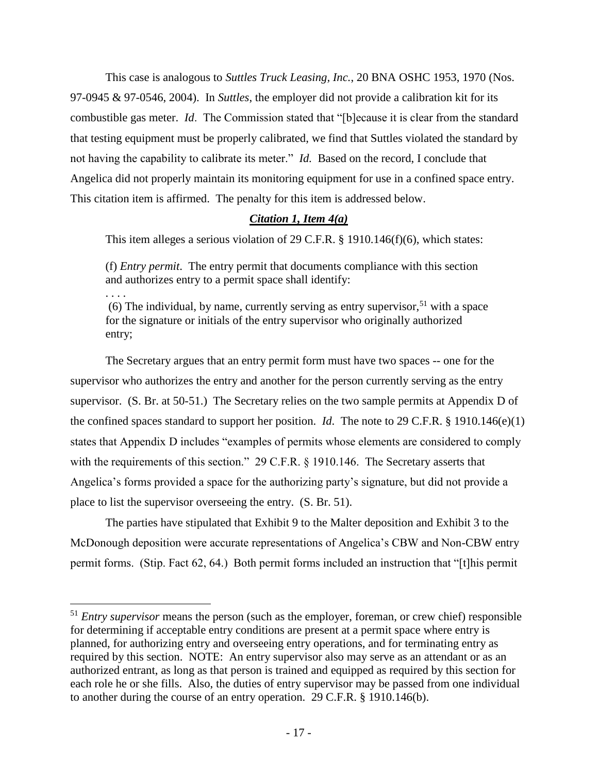This case is analogous to *Suttles Truck Leasing, Inc.*, 20 BNA OSHC 1953, 1970 (Nos. 97-0945 & 97-0546, 2004). In *Suttles*, the employer did not provide a calibration kit for its combustible gas meter. *Id*. The Commission stated that "[b]ecause it is clear from the standard that testing equipment must be properly calibrated, we find that Suttles violated the standard by not having the capability to calibrate its meter." *Id.* Based on the record, I conclude that Angelica did not properly maintain its monitoring equipment for use in a confined space entry. This citation item is affirmed. The penalty for this item is addressed below.

## *Citation 1, Item 4(a)*

This item alleges a serious violation of 29 C.F.R. § 1910.146(f)(6), which states:

(f) *Entry permit*. The entry permit that documents compliance with this section and authorizes entry to a permit space shall identify:

. . . .

 $\overline{a}$ 

(6) The individual, by name, currently serving as entry supervisor,<sup>51</sup> with a space for the signature or initials of the entry supervisor who originally authorized entry;

The Secretary argues that an entry permit form must have two spaces -- one for the supervisor who authorizes the entry and another for the person currently serving as the entry supervisor. (S. Br. at 50-51.) The Secretary relies on the two sample permits at Appendix D of the confined spaces standard to support her position. *Id*. The note to 29 C.F.R. § 1910.146(e)(1) states that Appendix D includes "examples of permits whose elements are considered to comply with the requirements of this section." 29 C.F.R. § 1910.146. The Secretary asserts that Angelica's forms provided a space for the authorizing party's signature, but did not provide a place to list the supervisor overseeing the entry. (S. Br. 51).

The parties have stipulated that Exhibit 9 to the Malter deposition and Exhibit 3 to the McDonough deposition were accurate representations of Angelica's CBW and Non-CBW entry permit forms. (Stip. Fact 62, 64.) Both permit forms included an instruction that "[t]his permit

<sup>51</sup> *Entry supervisor* means the person (such as the employer, foreman, or crew chief) responsible for determining if acceptable entry conditions are present at a permit space where entry is planned, for authorizing entry and overseeing entry operations, and for terminating entry as required by this section. NOTE: An entry supervisor also may serve as an attendant or as an authorized entrant, as long as that person is trained and equipped as required by this section for each role he or she fills. Also, the duties of entry supervisor may be passed from one individual to another during the course of an entry operation. 29 C.F.R. § 1910.146(b).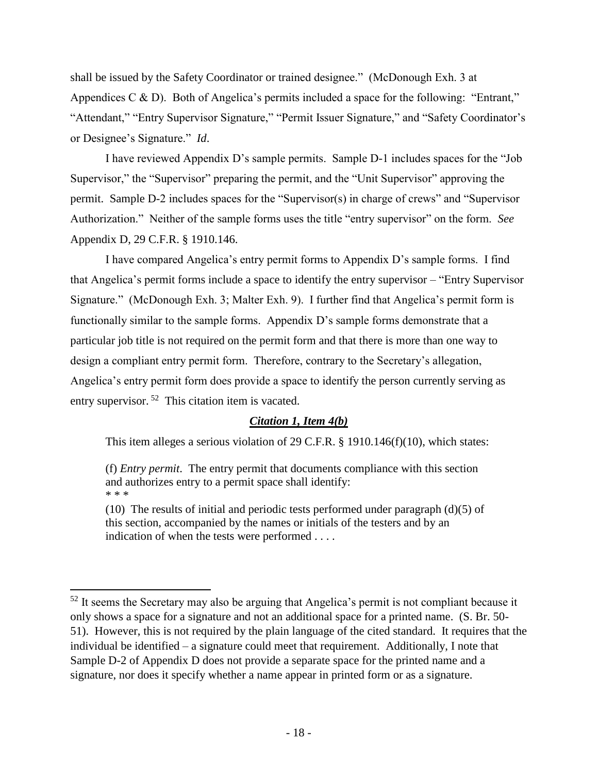shall be issued by the Safety Coordinator or trained designee." (McDonough Exh. 3 at Appendices C & D). Both of Angelica's permits included a space for the following: "Entrant," "Attendant," "Entry Supervisor Signature," "Permit Issuer Signature," and "Safety Coordinator's or Designee's Signature." *Id*.

I have reviewed Appendix D's sample permits. Sample D-1 includes spaces for the "Job Supervisor," the "Supervisor" preparing the permit, and the "Unit Supervisor" approving the permit. Sample D-2 includes spaces for the "Supervisor(s) in charge of crews" and "Supervisor Authorization." Neither of the sample forms uses the title "entry supervisor" on the form. *See* Appendix D, 29 C.F.R. § 1910.146.

I have compared Angelica's entry permit forms to Appendix D's sample forms. I find that Angelica's permit forms include a space to identify the entry supervisor – "Entry Supervisor Signature." (McDonough Exh. 3; Malter Exh. 9). I further find that Angelica's permit form is functionally similar to the sample forms. Appendix D's sample forms demonstrate that a particular job title is not required on the permit form and that there is more than one way to design a compliant entry permit form. Therefore, contrary to the Secretary's allegation, Angelica's entry permit form does provide a space to identify the person currently serving as entry supervisor.<sup>52</sup> This citation item is vacated.

## *Citation 1, Item 4(b)*

This item alleges a serious violation of 29 C.F.R. § 1910.146(f)(10), which states:

(f) *Entry permit*. The entry permit that documents compliance with this section and authorizes entry to a permit space shall identify: \* \* \*

(10) The results of initial and periodic tests performed under paragraph  $(d)(5)$  of this section, accompanied by the names or initials of the testers and by an indication of when the tests were performed . . . .

l

 $52$  It seems the Secretary may also be arguing that Angelica's permit is not compliant because it only shows a space for a signature and not an additional space for a printed name. (S. Br. 50- 51). However, this is not required by the plain language of the cited standard. It requires that the individual be identified – a signature could meet that requirement. Additionally, I note that Sample D-2 of Appendix D does not provide a separate space for the printed name and a signature, nor does it specify whether a name appear in printed form or as a signature.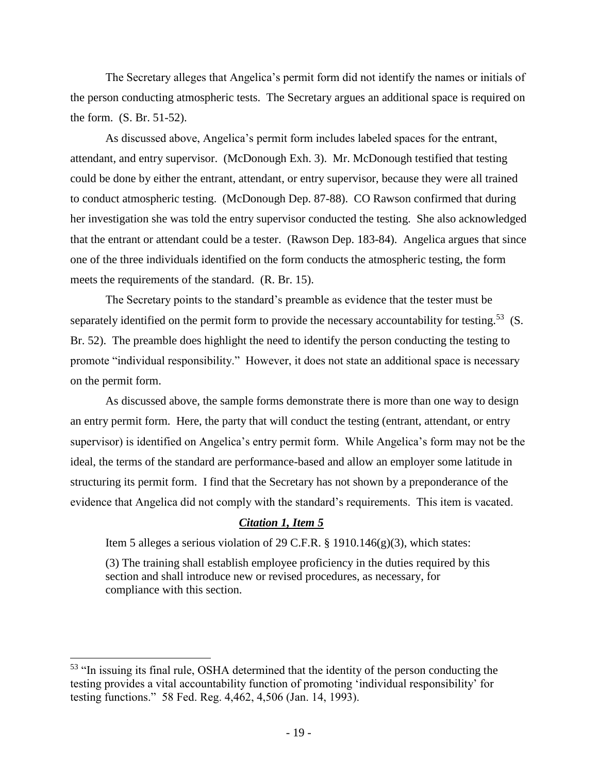The Secretary alleges that Angelica's permit form did not identify the names or initials of the person conducting atmospheric tests. The Secretary argues an additional space is required on the form. (S. Br. 51-52).

As discussed above, Angelica's permit form includes labeled spaces for the entrant, attendant, and entry supervisor. (McDonough Exh. 3). Mr. McDonough testified that testing could be done by either the entrant, attendant, or entry supervisor, because they were all trained to conduct atmospheric testing. (McDonough Dep. 87-88). CO Rawson confirmed that during her investigation she was told the entry supervisor conducted the testing. She also acknowledged that the entrant or attendant could be a tester. (Rawson Dep. 183-84). Angelica argues that since one of the three individuals identified on the form conducts the atmospheric testing, the form meets the requirements of the standard. (R. Br. 15).

The Secretary points to the standard's preamble as evidence that the tester must be separately identified on the permit form to provide the necessary accountability for testing.<sup>53</sup> (S. Br. 52). The preamble does highlight the need to identify the person conducting the testing to promote "individual responsibility." However, it does not state an additional space is necessary on the permit form.

As discussed above, the sample forms demonstrate there is more than one way to design an entry permit form. Here, the party that will conduct the testing (entrant, attendant, or entry supervisor) is identified on Angelica's entry permit form. While Angelica's form may not be the ideal, the terms of the standard are performance-based and allow an employer some latitude in structuring its permit form. I find that the Secretary has not shown by a preponderance of the evidence that Angelica did not comply with the standard's requirements. This item is vacated.

## *Citation 1, Item 5*

Item 5 alleges a serious violation of 29 C.F.R. § 1910.146(g)(3), which states:

(3) The training shall establish employee proficiency in the duties required by this section and shall introduce new or revised procedures, as necessary, for compliance with this section.

l

<sup>&</sup>lt;sup>53</sup> "In issuing its final rule, OSHA determined that the identity of the person conducting the testing provides a vital accountability function of promoting 'individual responsibility' for testing functions." 58 Fed. Reg. 4,462, 4,506 (Jan. 14, 1993).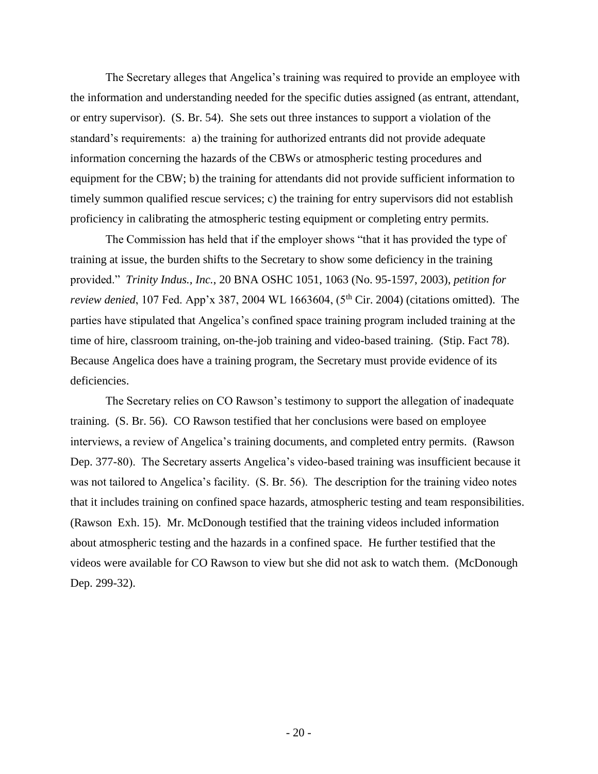The Secretary alleges that Angelica's training was required to provide an employee with the information and understanding needed for the specific duties assigned (as entrant, attendant, or entry supervisor). (S. Br. 54). She sets out three instances to support a violation of the standard's requirements: a) the training for authorized entrants did not provide adequate information concerning the hazards of the CBWs or atmospheric testing procedures and equipment for the CBW; b) the training for attendants did not provide sufficient information to timely summon qualified rescue services; c) the training for entry supervisors did not establish proficiency in calibrating the atmospheric testing equipment or completing entry permits.

The Commission has held that if the employer shows "that it has provided the type of training at issue, the burden shifts to the Secretary to show some deficiency in the training provided." *Trinity Indus., Inc.*, 20 BNA OSHC 1051, 1063 (No. 95-1597, 2003), *petition for review denied*, 107 Fed. App'x 387, 2004 WL 1663604, (5<sup>th</sup> Cir. 2004) (citations omitted). The parties have stipulated that Angelica's confined space training program included training at the time of hire, classroom training, on-the-job training and video-based training. (Stip. Fact 78). Because Angelica does have a training program, the Secretary must provide evidence of its deficiencies.

The Secretary relies on CO Rawson's testimony to support the allegation of inadequate training. (S. Br. 56). CO Rawson testified that her conclusions were based on employee interviews, a review of Angelica's training documents, and completed entry permits. (Rawson Dep. 377-80). The Secretary asserts Angelica's video-based training was insufficient because it was not tailored to Angelica's facility. (S. Br. 56). The description for the training video notes that it includes training on confined space hazards, atmospheric testing and team responsibilities. (Rawson Exh. 15). Mr. McDonough testified that the training videos included information about atmospheric testing and the hazards in a confined space. He further testified that the videos were available for CO Rawson to view but she did not ask to watch them. (McDonough Dep. 299-32).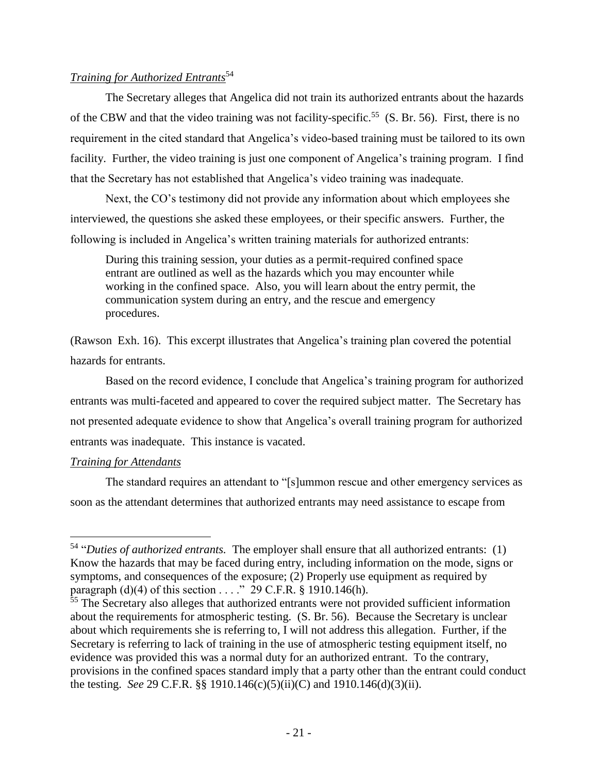## *Training for Authorized Entrants*<sup>54</sup>

The Secretary alleges that Angelica did not train its authorized entrants about the hazards of the CBW and that the video training was not facility-specific.<sup>55</sup> (S. Br. 56). First, there is no requirement in the cited standard that Angelica's video-based training must be tailored to its own facility. Further, the video training is just one component of Angelica's training program. I find that the Secretary has not established that Angelica's video training was inadequate.

Next, the CO's testimony did not provide any information about which employees she interviewed, the questions she asked these employees, or their specific answers. Further, the following is included in Angelica's written training materials for authorized entrants:

During this training session, your duties as a permit-required confined space entrant are outlined as well as the hazards which you may encounter while working in the confined space. Also, you will learn about the entry permit, the communication system during an entry, and the rescue and emergency procedures.

(Rawson Exh. 16). This excerpt illustrates that Angelica's training plan covered the potential hazards for entrants.

Based on the record evidence, I conclude that Angelica's training program for authorized entrants was multi-faceted and appeared to cover the required subject matter. The Secretary has not presented adequate evidence to show that Angelica's overall training program for authorized entrants was inadequate. This instance is vacated.

## *Training for Attendants*

 $\overline{\phantom{a}}$ 

The standard requires an attendant to "[s]ummon rescue and other emergency services as soon as the attendant determines that authorized entrants may need assistance to escape from

<sup>54</sup> "*Duties of authorized entrants.* The employer shall ensure that all authorized entrants: (1) Know the hazards that may be faced during entry, including information on the mode, signs or symptoms, and consequences of the exposure; (2) Properly use equipment as required by paragraph  $(d)(4)$  of this section . . . ." 29 C.F.R. § 1910.146(h).

 $55$  The Secretary also alleges that authorized entrants were not provided sufficient information about the requirements for atmospheric testing. (S. Br. 56). Because the Secretary is unclear about which requirements she is referring to, I will not address this allegation. Further, if the Secretary is referring to lack of training in the use of atmospheric testing equipment itself, no evidence was provided this was a normal duty for an authorized entrant. To the contrary, provisions in the confined spaces standard imply that a party other than the entrant could conduct the testing. *See* 29 C.F.R. §§ 1910.146(c)(5)(ii)(C) and 1910.146(d)(3)(ii).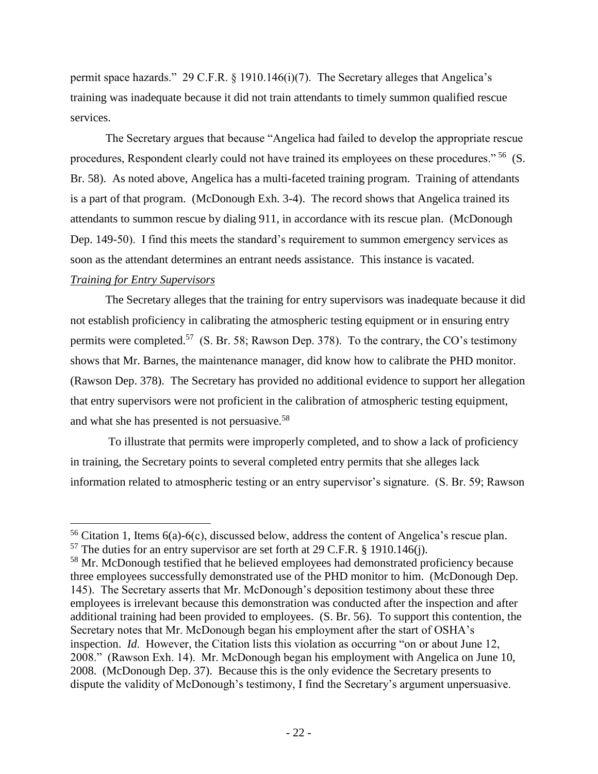permit space hazards." 29 C.F.R. § 1910.146(i)(7). The Secretary alleges that Angelica's training was inadequate because it did not train attendants to timely summon qualified rescue services.

The Secretary argues that because "Angelica had failed to develop the appropriate rescue procedures, Respondent clearly could not have trained its employees on these procedures."<sup>56</sup> (S. Br. 58). As noted above, Angelica has a multi-faceted training program. Training of attendants is a part of that program. (McDonough Exh. 3-4). The record shows that Angelica trained its attendants to summon rescue by dialing 911, in accordance with its rescue plan. (McDonough Dep. 149-50). I find this meets the standard's requirement to summon emergency services as soon as the attendant determines an entrant needs assistance. This instance is vacated.

#### *Training for Entry Supervisors*

 $\overline{a}$ 

The Secretary alleges that the training for entry supervisors was inadequate because it did not establish proficiency in calibrating the atmospheric testing equipment or in ensuring entry permits were completed.<sup>57</sup> (S. Br. 58; Rawson Dep. 378). To the contrary, the CO's testimony shows that Mr. Barnes, the maintenance manager, did know how to calibrate the PHD monitor. (Rawson Dep. 378). The Secretary has provided no additional evidence to support her allegation that entry supervisors were not proficient in the calibration of atmospheric testing equipment, and what she has presented is not persuasive.<sup>58</sup>

To illustrate that permits were improperly completed, and to show a lack of proficiency in training, the Secretary points to several completed entry permits that she alleges lack information related to atmospheric testing or an entry supervisor's signature. (S. Br. 59; Rawson

 $56$  Citation 1, Items  $6(a)$ - $6(c)$ , discussed below, address the content of Angelica's rescue plan.

 $57$  The duties for an entry supervisor are set forth at 29 C.F.R. § 1910.146(j).

<sup>&</sup>lt;sup>58</sup> Mr. McDonough testified that he believed employees had demonstrated proficiency because three employees successfully demonstrated use of the PHD monitor to him. (McDonough Dep. 145). The Secretary asserts that Mr. McDonough's deposition testimony about these three employees is irrelevant because this demonstration was conducted after the inspection and after additional training had been provided to employees. (S. Br. 56). To support this contention, the Secretary notes that Mr. McDonough began his employment after the start of OSHA's inspection. *Id*. However, the Citation lists this violation as occurring "on or about June 12, 2008." (Rawson Exh. 14). Mr. McDonough began his employment with Angelica on June 10, 2008. (McDonough Dep. 37). Because this is the only evidence the Secretary presents to dispute the validity of McDonough's testimony, I find the Secretary's argument unpersuasive.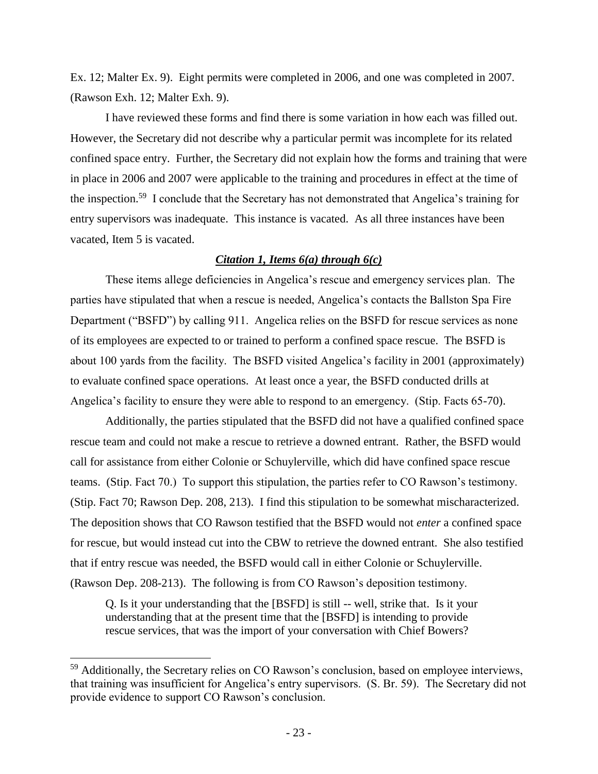Ex. 12; Malter Ex. 9). Eight permits were completed in 2006, and one was completed in 2007. (Rawson Exh. 12; Malter Exh. 9).

I have reviewed these forms and find there is some variation in how each was filled out. However, the Secretary did not describe why a particular permit was incomplete for its related confined space entry. Further, the Secretary did not explain how the forms and training that were in place in 2006 and 2007 were applicable to the training and procedures in effect at the time of the inspection.<sup>59</sup> I conclude that the Secretary has not demonstrated that Angelica's training for entry supervisors was inadequate. This instance is vacated. As all three instances have been vacated, Item 5 is vacated.

#### *Citation 1, Items 6(a) through 6(c)*

These items allege deficiencies in Angelica's rescue and emergency services plan. The parties have stipulated that when a rescue is needed, Angelica's contacts the Ballston Spa Fire Department ("BSFD") by calling 911. Angelica relies on the BSFD for rescue services as none of its employees are expected to or trained to perform a confined space rescue. The BSFD is about 100 yards from the facility. The BSFD visited Angelica's facility in 2001 (approximately) to evaluate confined space operations. At least once a year, the BSFD conducted drills at Angelica's facility to ensure they were able to respond to an emergency. (Stip. Facts 65-70).

Additionally, the parties stipulated that the BSFD did not have a qualified confined space rescue team and could not make a rescue to retrieve a downed entrant. Rather, the BSFD would call for assistance from either Colonie or Schuylerville, which did have confined space rescue teams. (Stip. Fact 70.) To support this stipulation, the parties refer to CO Rawson's testimony. (Stip. Fact 70; Rawson Dep. 208, 213). I find this stipulation to be somewhat mischaracterized. The deposition shows that CO Rawson testified that the BSFD would not *enter* a confined space for rescue, but would instead cut into the CBW to retrieve the downed entrant. She also testified that if entry rescue was needed, the BSFD would call in either Colonie or Schuylerville. (Rawson Dep. 208-213). The following is from CO Rawson's deposition testimony.

Q. Is it your understanding that the [BSFD] is still -- well, strike that. Is it your understanding that at the present time that the [BSFD] is intending to provide rescue services, that was the import of your conversation with Chief Bowers?

l

<sup>&</sup>lt;sup>59</sup> Additionally, the Secretary relies on CO Rawson's conclusion, based on employee interviews, that training was insufficient for Angelica's entry supervisors. (S. Br. 59). The Secretary did not provide evidence to support CO Rawson's conclusion.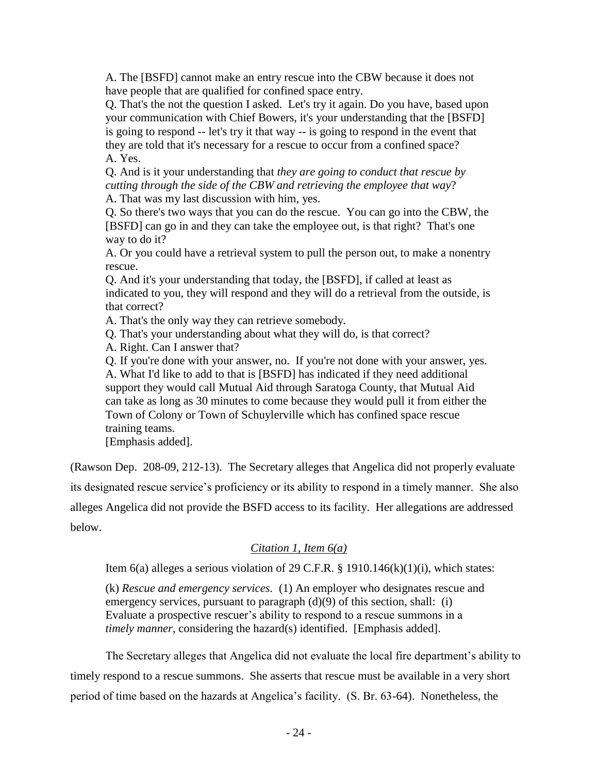A. The [BSFD] cannot make an entry rescue into the CBW because it does not have people that are qualified for confined space entry.

Q. That's the not the question I asked. Let's try it again. Do you have, based upon your communication with Chief Bowers, it's your understanding that the [BSFD] is going to respond -- let's try it that way -- is going to respond in the event that they are told that it's necessary for a rescue to occur from a confined space? A. Yes.

Q. And is it your understanding that *they are going to conduct that rescue by cutting through the side of the CBW and retrieving the employee that way*?

A. That was my last discussion with him, yes.

Q. So there's two ways that you can do the rescue. You can go into the CBW, the [BSFD] can go in and they can take the employee out, is that right? That's one way to do it?

A. Or you could have a retrieval system to pull the person out, to make a nonentry rescue.

Q. And it's your understanding that today, the [BSFD], if called at least as indicated to you, they will respond and they will do a retrieval from the outside, is that correct?

A. That's the only way they can retrieve somebody.

Q. That's your understanding about what they will do, is that correct?

A. Right. Can I answer that?

Q. If you're done with your answer, no. If you're not done with your answer, yes. A. What I'd like to add to that is [BSFD] has indicated if they need additional support they would call Mutual Aid through Saratoga County, that Mutual Aid can take as long as 30 minutes to come because they would pull it from either the Town of Colony or Town of Schuylerville which has confined space rescue training teams.

[Emphasis added].

(Rawson Dep. 208-09, 212-13). The Secretary alleges that Angelica did not properly evaluate

its designated rescue service's proficiency or its ability to respond in a timely manner. She also

alleges Angelica did not provide the BSFD access to its facility. Her allegations are addressed below.

## *Citation 1, Item 6(a)*

Item  $6(a)$  alleges a serious violation of 29 C.F.R. § 1910.14 $6(k)(1)(i)$ , which states:

(k) *Rescue and emergency services.* (1) An employer who designates rescue and emergency services, pursuant to paragraph (d)(9) of this section, shall: (i) Evaluate a prospective rescuer's ability to respond to a rescue summons in a *timely manner*, considering the hazard(s) identified. [Emphasis added].

The Secretary alleges that Angelica did not evaluate the local fire department's ability to timely respond to a rescue summons. She asserts that rescue must be available in a very short period of time based on the hazards at Angelica's facility. (S. Br. 63-64). Nonetheless, the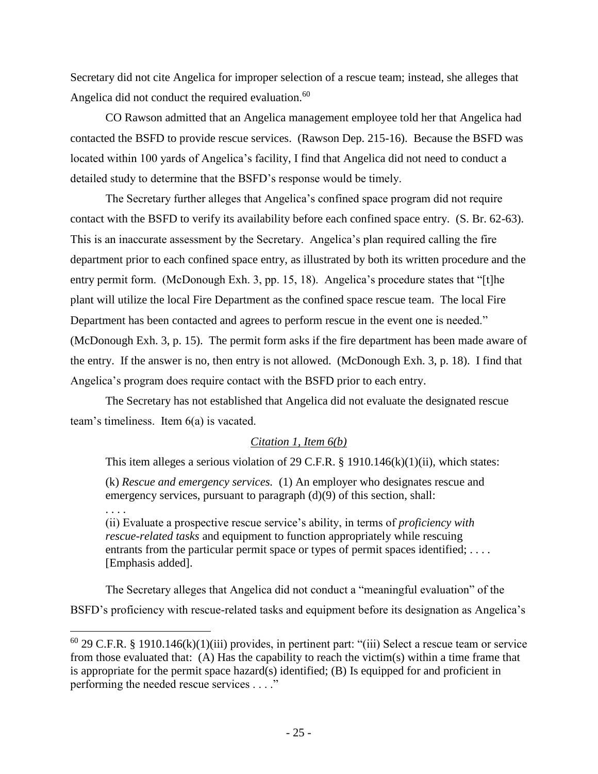Secretary did not cite Angelica for improper selection of a rescue team; instead, she alleges that Angelica did not conduct the required evaluation.<sup>60</sup>

CO Rawson admitted that an Angelica management employee told her that Angelica had contacted the BSFD to provide rescue services. (Rawson Dep. 215-16). Because the BSFD was located within 100 yards of Angelica's facility, I find that Angelica did not need to conduct a detailed study to determine that the BSFD's response would be timely.

The Secretary further alleges that Angelica's confined space program did not require contact with the BSFD to verify its availability before each confined space entry. (S. Br. 62-63). This is an inaccurate assessment by the Secretary. Angelica's plan required calling the fire department prior to each confined space entry, as illustrated by both its written procedure and the entry permit form. (McDonough Exh. 3, pp. 15, 18). Angelica's procedure states that "[t]he plant will utilize the local Fire Department as the confined space rescue team. The local Fire Department has been contacted and agrees to perform rescue in the event one is needed." (McDonough Exh. 3, p. 15). The permit form asks if the fire department has been made aware of the entry. If the answer is no, then entry is not allowed. (McDonough Exh. 3, p. 18). I find that Angelica's program does require contact with the BSFD prior to each entry.

The Secretary has not established that Angelica did not evaluate the designated rescue team's timeliness. Item 6(a) is vacated.

#### *Citation 1, Item 6(b)*

This item alleges a serious violation of 29 C.F.R.  $\S$  1910.146(k)(1)(ii), which states:

(k) *Rescue and emergency services.* (1) An employer who designates rescue and emergency services, pursuant to paragraph (d)(9) of this section, shall:

. . . .

 $\overline{\phantom{a}}$ 

(ii) Evaluate a prospective rescue service's ability, in terms of *proficiency with rescue-related tasks* and equipment to function appropriately while rescuing entrants from the particular permit space or types of permit spaces identified; .... [Emphasis added].

The Secretary alleges that Angelica did not conduct a "meaningful evaluation" of the BSFD's proficiency with rescue-related tasks and equipment before its designation as Angelica's

 $60$  29 C.F.R. § 1910.146(k)(1)(iii) provides, in pertinent part: "(iii) Select a rescue team or service from those evaluated that: (A) Has the capability to reach the victim(s) within a time frame that is appropriate for the permit space hazard(s) identified; (B) Is equipped for and proficient in performing the needed rescue services . . . ."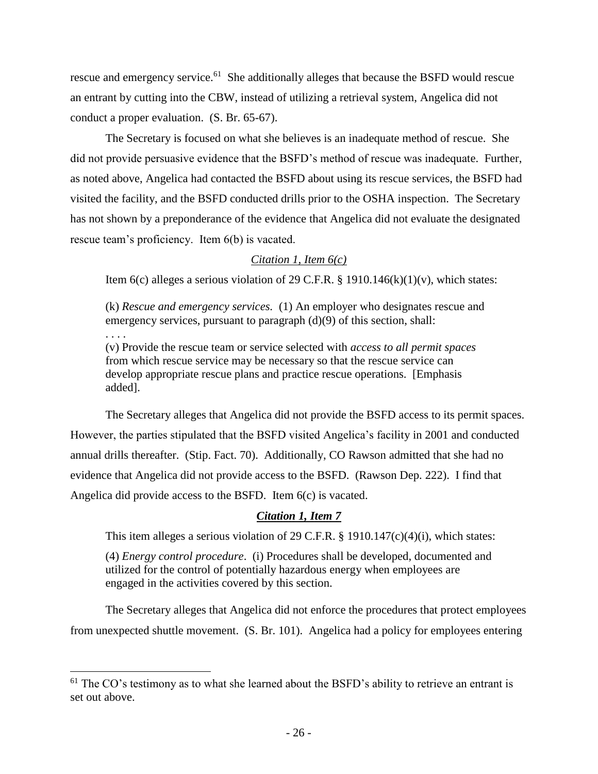rescue and emergency service.<sup>61</sup> She additionally alleges that because the BSFD would rescue an entrant by cutting into the CBW, instead of utilizing a retrieval system, Angelica did not conduct a proper evaluation. (S. Br. 65-67).

The Secretary is focused on what she believes is an inadequate method of rescue. She did not provide persuasive evidence that the BSFD's method of rescue was inadequate. Further, as noted above, Angelica had contacted the BSFD about using its rescue services, the BSFD had visited the facility, and the BSFD conducted drills prior to the OSHA inspection. The Secretary has not shown by a preponderance of the evidence that Angelica did not evaluate the designated rescue team's proficiency. Item 6(b) is vacated.

## *Citation 1, Item 6(c)*

Item  $6(c)$  alleges a serious violation of 29 C.F.R. § 1910.146(k)(1)(v), which states:

(k) *Rescue and emergency services.* (1) An employer who designates rescue and emergency services, pursuant to paragraph (d)(9) of this section, shall:

(v) Provide the rescue team or service selected with *access to all permit spaces* from which rescue service may be necessary so that the rescue service can develop appropriate rescue plans and practice rescue operations. [Emphasis added].

. . . .

 $\overline{a}$ 

The Secretary alleges that Angelica did not provide the BSFD access to its permit spaces. However, the parties stipulated that the BSFD visited Angelica's facility in 2001 and conducted annual drills thereafter. (Stip. Fact. 70). Additionally, CO Rawson admitted that she had no evidence that Angelica did not provide access to the BSFD. (Rawson Dep. 222). I find that Angelica did provide access to the BSFD. Item 6(c) is vacated.

#### *Citation 1, Item 7*

This item alleges a serious violation of 29 C.F.R. § 1910.147(c)(4)(i), which states:

(4) *Energy control procedure*. (i) Procedures shall be developed, documented and utilized for the control of potentially hazardous energy when employees are engaged in the activities covered by this section.

The Secretary alleges that Angelica did not enforce the procedures that protect employees from unexpected shuttle movement. (S. Br. 101). Angelica had a policy for employees entering

 $61$  The CO's testimony as to what she learned about the BSFD's ability to retrieve an entrant is set out above.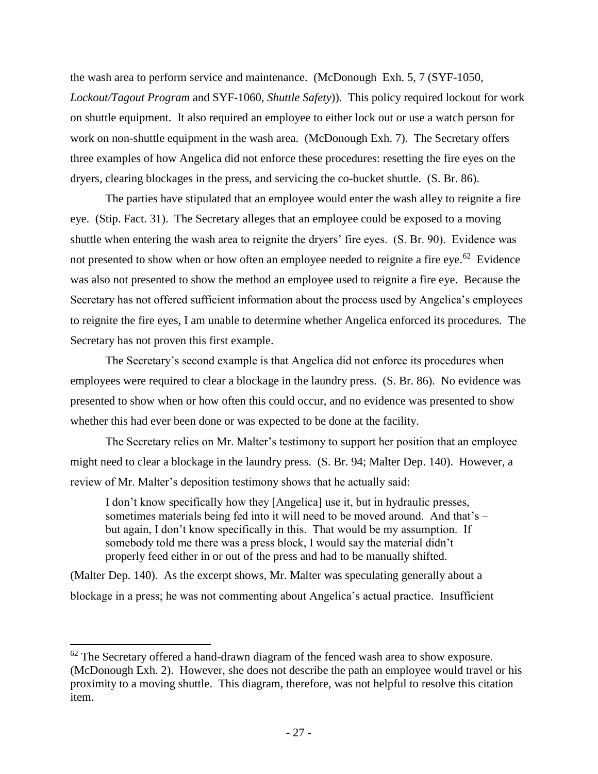the wash area to perform service and maintenance. (McDonough Exh. 5, 7 (SYF-1050, *Lockout/Tagout Program* and SYF-1060, *Shuttle Safety*)). This policy required lockout for work on shuttle equipment. It also required an employee to either lock out or use a watch person for work on non-shuttle equipment in the wash area. (McDonough Exh. 7). The Secretary offers three examples of how Angelica did not enforce these procedures: resetting the fire eyes on the dryers, clearing blockages in the press, and servicing the co-bucket shuttle. (S. Br. 86).

The parties have stipulated that an employee would enter the wash alley to reignite a fire eye. (Stip. Fact. 31). The Secretary alleges that an employee could be exposed to a moving shuttle when entering the wash area to reignite the dryers' fire eyes. (S. Br. 90). Evidence was not presented to show when or how often an employee needed to reignite a fire eye.<sup>62</sup> Evidence was also not presented to show the method an employee used to reignite a fire eye. Because the Secretary has not offered sufficient information about the process used by Angelica's employees to reignite the fire eyes, I am unable to determine whether Angelica enforced its procedures. The Secretary has not proven this first example.

The Secretary's second example is that Angelica did not enforce its procedures when employees were required to clear a blockage in the laundry press. (S. Br. 86). No evidence was presented to show when or how often this could occur, and no evidence was presented to show whether this had ever been done or was expected to be done at the facility.

The Secretary relies on Mr. Malter's testimony to support her position that an employee might need to clear a blockage in the laundry press. (S. Br. 94; Malter Dep. 140). However, a review of Mr. Malter's deposition testimony shows that he actually said:

I don't know specifically how they [Angelica] use it, but in hydraulic presses, sometimes materials being fed into it will need to be moved around. And that's – but again, I don't know specifically in this. That would be my assumption. If somebody told me there was a press block, I would say the material didn't properly feed either in or out of the press and had to be manually shifted.

(Malter Dep. 140). As the excerpt shows, Mr. Malter was speculating generally about a blockage in a press; he was not commenting about Angelica's actual practice. Insufficient

<sup>&</sup>lt;sup>62</sup> The Secretary offered a hand-drawn diagram of the fenced wash area to show exposure. (McDonough Exh. 2). However, she does not describe the path an employee would travel or his proximity to a moving shuttle. This diagram, therefore, was not helpful to resolve this citation item.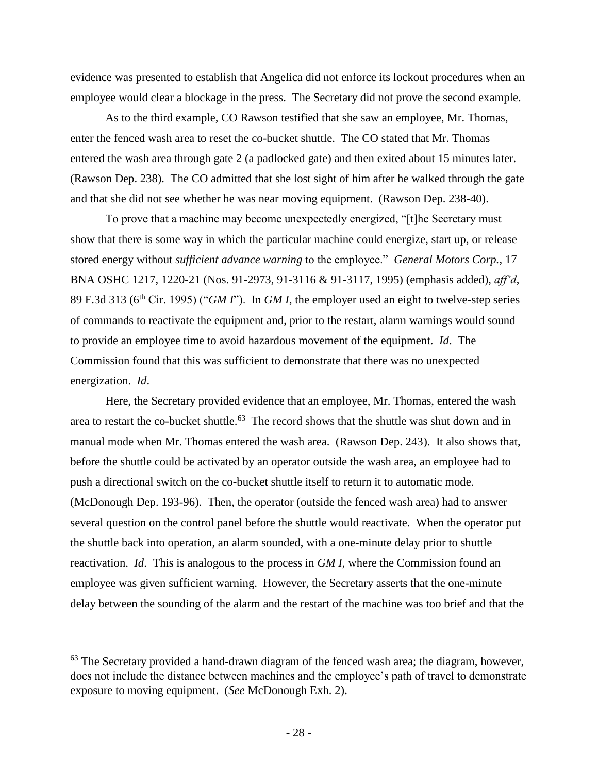evidence was presented to establish that Angelica did not enforce its lockout procedures when an employee would clear a blockage in the press. The Secretary did not prove the second example.

As to the third example, CO Rawson testified that she saw an employee, Mr. Thomas, enter the fenced wash area to reset the co-bucket shuttle. The CO stated that Mr. Thomas entered the wash area through gate 2 (a padlocked gate) and then exited about 15 minutes later. (Rawson Dep. 238). The CO admitted that she lost sight of him after he walked through the gate and that she did not see whether he was near moving equipment. (Rawson Dep. 238-40).

To prove that a machine may become unexpectedly energized, "[t]he Secretary must show that there is some way in which the particular machine could energize, start up, or release stored energy without *sufficient advance warning* to the employee." *General Motors Corp.*, 17 BNA OSHC 1217, 1220-21 (Nos. 91-2973, 91-3116 & 91-3117, 1995) (emphasis added), *aff'd*, 89 F.3d 313 (6th Cir. 1995) ("*GM I*"). In *GM I*, the employer used an eight to twelve-step series of commands to reactivate the equipment and, prior to the restart, alarm warnings would sound to provide an employee time to avoid hazardous movement of the equipment. *Id*. The Commission found that this was sufficient to demonstrate that there was no unexpected energization. *Id*.

Here, the Secretary provided evidence that an employee, Mr. Thomas, entered the wash area to restart the co-bucket shuttle.<sup>63</sup> The record shows that the shuttle was shut down and in manual mode when Mr. Thomas entered the wash area. (Rawson Dep. 243). It also shows that, before the shuttle could be activated by an operator outside the wash area, an employee had to push a directional switch on the co-bucket shuttle itself to return it to automatic mode. (McDonough Dep. 193-96). Then, the operator (outside the fenced wash area) had to answer several question on the control panel before the shuttle would reactivate. When the operator put the shuttle back into operation, an alarm sounded, with a one-minute delay prior to shuttle reactivation. *Id*. This is analogous to the process in *GM I*, where the Commission found an employee was given sufficient warning. However, the Secretary asserts that the one-minute delay between the sounding of the alarm and the restart of the machine was too brief and that the

<sup>&</sup>lt;sup>63</sup> The Secretary provided a hand-drawn diagram of the fenced wash area; the diagram, however, does not include the distance between machines and the employee's path of travel to demonstrate exposure to moving equipment. (*See* McDonough Exh. 2).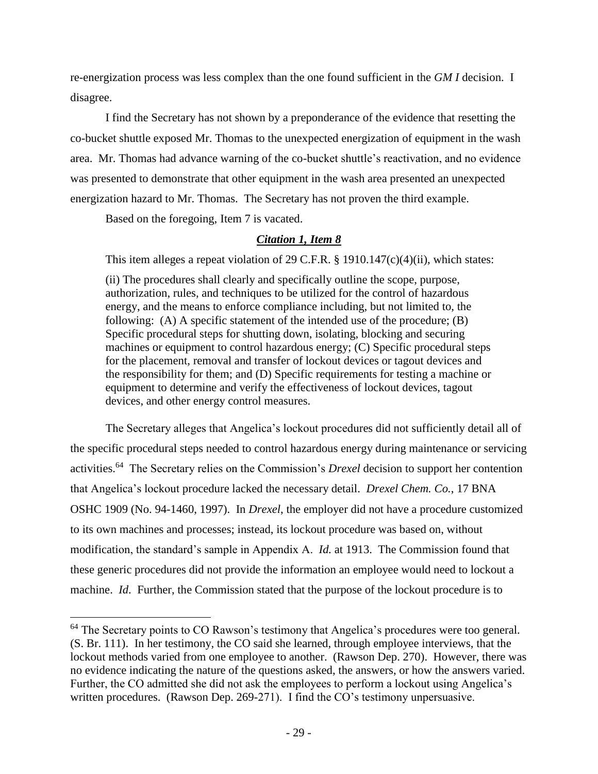re-energization process was less complex than the one found sufficient in the *GM I* decision. I disagree.

I find the Secretary has not shown by a preponderance of the evidence that resetting the co-bucket shuttle exposed Mr. Thomas to the unexpected energization of equipment in the wash area. Mr. Thomas had advance warning of the co-bucket shuttle's reactivation, and no evidence was presented to demonstrate that other equipment in the wash area presented an unexpected energization hazard to Mr. Thomas. The Secretary has not proven the third example.

Based on the foregoing, Item 7 is vacated.

 $\overline{\phantom{a}}$ 

# *Citation 1, Item 8*

This item alleges a repeat violation of 29 C.F.R. § 1910.147(c)(4)(ii), which states:

(ii) The procedures shall clearly and specifically outline the scope, purpose, authorization, rules, and techniques to be utilized for the control of hazardous energy, and the means to enforce compliance including, but not limited to, the following: (A) A specific statement of the intended use of the procedure; (B) Specific procedural steps for shutting down, isolating, blocking and securing machines or equipment to control hazardous energy; (C) Specific procedural steps for the placement, removal and transfer of lockout devices or tagout devices and the responsibility for them; and (D) Specific requirements for testing a machine or equipment to determine and verify the effectiveness of lockout devices, tagout devices, and other energy control measures.

The Secretary alleges that Angelica's lockout procedures did not sufficiently detail all of the specific procedural steps needed to control hazardous energy during maintenance or servicing activities.<sup>64</sup> The Secretary relies on the Commission's *Drexel* decision to support her contention that Angelica's lockout procedure lacked the necessary detail. *Drexel Chem. Co.*, 17 BNA OSHC 1909 (No. 94-1460, 1997). In *Drexel*, the employer did not have a procedure customized to its own machines and processes; instead, its lockout procedure was based on, without modification, the standard's sample in Appendix A. *Id.* at 1913. The Commission found that these generic procedures did not provide the information an employee would need to lockout a machine. *Id*. Further, the Commission stated that the purpose of the lockout procedure is to

 $64$  The Secretary points to CO Rawson's testimony that Angelica's procedures were too general. (S. Br. 111). In her testimony, the CO said she learned, through employee interviews, that the lockout methods varied from one employee to another. (Rawson Dep. 270). However, there was no evidence indicating the nature of the questions asked, the answers, or how the answers varied. Further, the CO admitted she did not ask the employees to perform a lockout using Angelica's written procedures. (Rawson Dep. 269-271). I find the CO's testimony unpersuasive.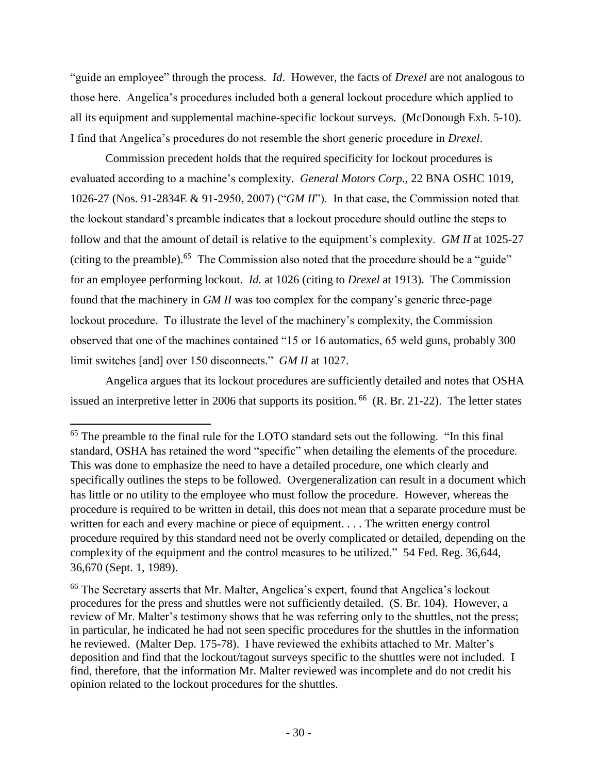"guide an employee" through the process. *Id*. However, the facts of *Drexel* are not analogous to those here. Angelica's procedures included both a general lockout procedure which applied to all its equipment and supplemental machine-specific lockout surveys. (McDonough Exh. 5-10). I find that Angelica's procedures do not resemble the short generic procedure in *Drexel*.

Commission precedent holds that the required specificity for lockout procedures is evaluated according to a machine's complexity. *General Motors Corp.,* 22 BNA OSHC 1019, 1026-27 (Nos. 91-2834E & 91-2950, 2007) ("*GM II*"). In that case, the Commission noted that the lockout standard's preamble indicates that a lockout procedure should outline the steps to follow and that the amount of detail is relative to the equipment's complexity. *GM II* at 1025-27 (citing to the preamble).<sup>65</sup> The Commission also noted that the procedure should be a "guide" for an employee performing lockout. *Id.* at 1026 (citing to *Drexel* at 1913). The Commission found that the machinery in *GM II* was too complex for the company's generic three-page lockout procedure. To illustrate the level of the machinery's complexity, the Commission observed that one of the machines contained "15 or 16 automatics, 65 weld guns, probably 300 limit switches [and] over 150 disconnects." *GM II* at 1027.

Angelica argues that its lockout procedures are sufficiently detailed and notes that OSHA issued an interpretive letter in 2006 that supports its position.  $^{66}$  (R. Br. 21-22). The letter states

<sup>&</sup>lt;sup>65</sup> The preamble to the final rule for the LOTO standard sets out the following. "In this final standard, OSHA has retained the word "specific" when detailing the elements of the procedure. This was done to emphasize the need to have a detailed procedure, one which clearly and specifically outlines the steps to be followed. Overgeneralization can result in a document which has little or no utility to the employee who must follow the procedure. However, whereas the procedure is required to be written in detail, this does not mean that a separate procedure must be written for each and every machine or piece of equipment. . . . The written energy control procedure required by this standard need not be overly complicated or detailed, depending on the complexity of the equipment and the control measures to be utilized." 54 Fed. Reg. 36,644, 36,670 (Sept. 1, 1989).

<sup>66</sup> The Secretary asserts that Mr. Malter, Angelica's expert, found that Angelica's lockout procedures for the press and shuttles were not sufficiently detailed. (S. Br. 104). However, a review of Mr. Malter's testimony shows that he was referring only to the shuttles, not the press; in particular, he indicated he had not seen specific procedures for the shuttles in the information he reviewed. (Malter Dep. 175-78). I have reviewed the exhibits attached to Mr. Malter's deposition and find that the lockout/tagout surveys specific to the shuttles were not included. I find, therefore, that the information Mr. Malter reviewed was incomplete and do not credit his opinion related to the lockout procedures for the shuttles.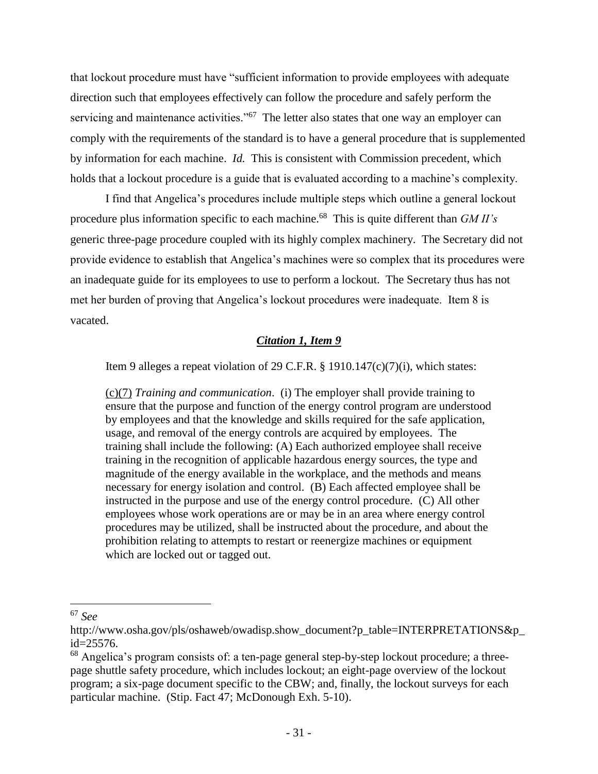that lockout procedure must have "sufficient information to provide employees with adequate direction such that employees effectively can follow the procedure and safely perform the servicing and maintenance activities."<sup>67</sup> The letter also states that one way an employer can comply with the requirements of the standard is to have a general procedure that is supplemented by information for each machine. *Id.* This is consistent with Commission precedent, which holds that a lockout procedure is a guide that is evaluated according to a machine's complexity.

I find that Angelica's procedures include multiple steps which outline a general lockout procedure plus information specific to each machine.<sup>68</sup> This is quite different than *GM II's* generic three-page procedure coupled with its highly complex machinery. The Secretary did not provide evidence to establish that Angelica's machines were so complex that its procedures were an inadequate guide for its employees to use to perform a lockout. The Secretary thus has not met her burden of proving that Angelica's lockout procedures were inadequate. Item 8 is vacated.

#### *Citation 1, Item 9*

Item 9 alleges a repeat violation of 29 C.F.R. § 1910.147(c)(7)(i), which states:

[\(c\)\(7\)](http://www.osha.gov/pls/oshaweb/owalink.query_links?src_doc_type=STANDARDS&src_unique_file=1910_0147&src_anchor_name=1910.147(c)(7)) *Training and communication*. (i) The employer shall provide training to ensure that the purpose and function of the energy control program are understood by employees and that the knowledge and skills required for the safe application, usage, and removal of the energy controls are acquired by employees. The training shall include the following: (A) Each authorized employee shall receive training in the recognition of applicable hazardous energy sources, the type and magnitude of the energy available in the workplace, and the methods and means necessary for energy isolation and control. (B) Each affected employee shall be instructed in the purpose and use of the energy control procedure. (C) All other employees whose work operations are or may be in an area where energy control procedures may be utilized, shall be instructed about the procedure, and about the prohibition relating to attempts to restart or reenergize machines or equipment which are locked out or tagged out.

<sup>67</sup> *See*

http://www.osha.gov/pls/oshaweb/owadisp.show\_document?p\_table=INTERPRETATIONS&p\_ id=25576.

<sup>&</sup>lt;sup>68</sup> Angelica's program consists of: a ten-page general step-by-step lockout procedure; a threepage shuttle safety procedure, which includes lockout; an eight-page overview of the lockout program; a six-page document specific to the CBW; and, finally, the lockout surveys for each particular machine. (Stip. Fact 47; McDonough Exh. 5-10).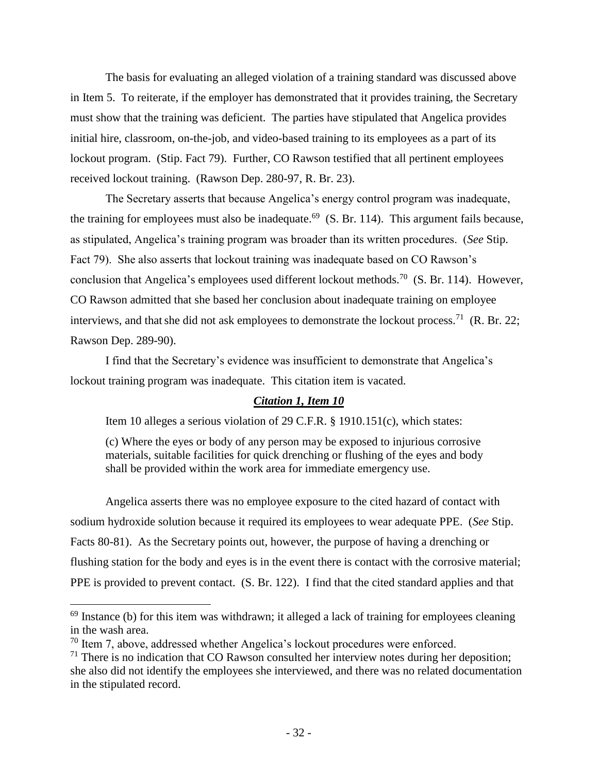The basis for evaluating an alleged violation of a training standard was discussed above in Item 5. To reiterate, if the employer has demonstrated that it provides training, the Secretary must show that the training was deficient. The parties have stipulated that Angelica provides initial hire, classroom, on-the-job, and video-based training to its employees as a part of its lockout program. (Stip. Fact 79). Further, CO Rawson testified that all pertinent employees received lockout training. (Rawson Dep. 280-97, R. Br. 23).

The Secretary asserts that because Angelica's energy control program was inadequate, the training for employees must also be inadequate.<sup>69</sup> (S. Br. 114). This argument fails because, as stipulated, Angelica's training program was broader than its written procedures. (*See* Stip. Fact 79). She also asserts that lockout training was inadequate based on CO Rawson's conclusion that Angelica's employees used different lockout methods.<sup>70</sup> (S. Br. 114). However, CO Rawson admitted that she based her conclusion about inadequate training on employee interviews, and that she did not ask employees to demonstrate the lockout process.<sup>71</sup> (R. Br. 22; Rawson Dep. 289-90).

I find that the Secretary's evidence was insufficient to demonstrate that Angelica's lockout training program was inadequate. This citation item is vacated.

#### *Citation 1, Item 10*

Item 10 alleges a serious violation of 29 C.F.R. § 1910.151(c), which states:

(c) Where the eyes or body of any person may be exposed to injurious corrosive materials, suitable facilities for quick drenching or flushing of the eyes and body shall be provided within the work area for immediate emergency use.

Angelica asserts there was no employee exposure to the cited hazard of contact with sodium hydroxide solution because it required its employees to wear adequate PPE. (*See* Stip. Facts 80-81). As the Secretary points out, however, the purpose of having a drenching or flushing station for the body and eyes is in the event there is contact with the corrosive material; PPE is provided to prevent contact. (S. Br. 122).I find that the cited standard applies and that

<sup>&</sup>lt;sup>69</sup> Instance (b) for this item was withdrawn; it alleged a lack of training for employees cleaning in the wash area.

 $70$  Item 7, above, addressed whether Angelica's lockout procedures were enforced.

 $71$  There is no indication that CO Rawson consulted her interview notes during her deposition; she also did not identify the employees she interviewed, and there was no related documentation in the stipulated record.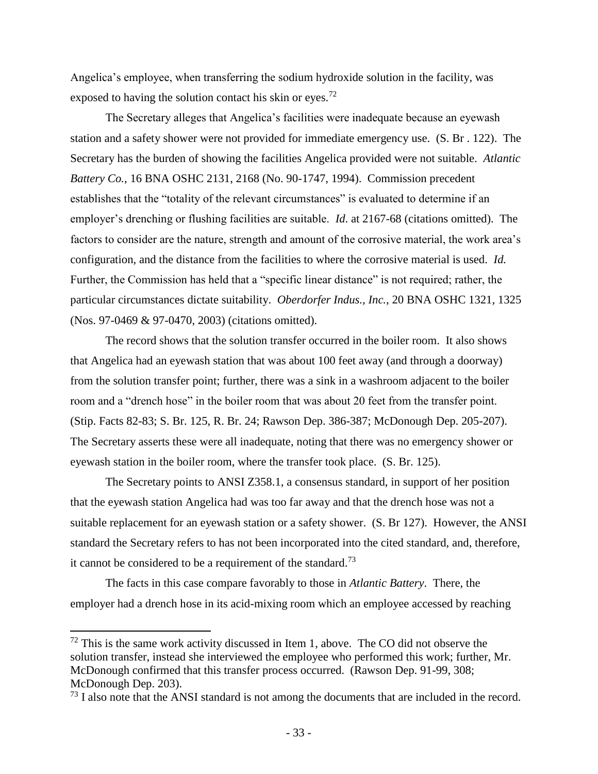Angelica's employee, when transferring the sodium hydroxide solution in the facility, was exposed to having the solution contact his skin or eyes.<sup>72</sup>

The Secretary alleges that Angelica's facilities were inadequate because an eyewash station and a safety shower were not provided for immediate emergency use. (S. Br . 122). The Secretary has the burden of showing the facilities Angelica provided were not suitable. *Atlantic Battery Co.*, 16 BNA OSHC 2131, 2168 (No. 90-1747, 1994). Commission precedent establishes that the "totality of the relevant circumstances" is evaluated to determine if an employer's drenching or flushing facilities are suitable. *Id*. at 2167-68 (citations omitted). The factors to consider are the nature, strength and amount of the corrosive material, the work area's configuration, and the distance from the facilities to where the corrosive material is used. *Id.*  Further, the Commission has held that a "specific linear distance" is not required; rather, the particular circumstances dictate suitability. *Oberdorfer Indus., Inc.*, 20 BNA OSHC 1321, 1325 (Nos. 97-0469 & 97-0470, 2003) (citations omitted).

The record shows that the solution transfer occurred in the boiler room. It also shows that Angelica had an eyewash station that was about 100 feet away (and through a doorway) from the solution transfer point; further, there was a sink in a washroom adjacent to the boiler room and a "drench hose" in the boiler room that was about 20 feet from the transfer point. (Stip. Facts 82-83; S. Br. 125, R. Br. 24; Rawson Dep. 386-387; McDonough Dep. 205-207). The Secretary asserts these were all inadequate, noting that there was no emergency shower or eyewash station in the boiler room, where the transfer took place. (S. Br. 125).

The Secretary points to ANSI Z358.1, a consensus standard, in support of her position that the eyewash station Angelica had was too far away and that the drench hose was not a suitable replacement for an eyewash station or a safety shower. (S. Br 127). However, the ANSI standard the Secretary refers to has not been incorporated into the cited standard, and, therefore, it cannot be considered to be a requirement of the standard.<sup>73</sup>

The facts in this case compare favorably to those in *Atlantic Battery*. There, the employer had a drench hose in its acid-mixing room which an employee accessed by reaching

 $72$  This is the same work activity discussed in Item 1, above. The CO did not observe the solution transfer, instead she interviewed the employee who performed this work; further, Mr. McDonough confirmed that this transfer process occurred. (Rawson Dep. 91-99, 308; McDonough Dep. 203).

<sup>&</sup>lt;sup>73</sup> I also note that the ANSI standard is not among the documents that are included in the record.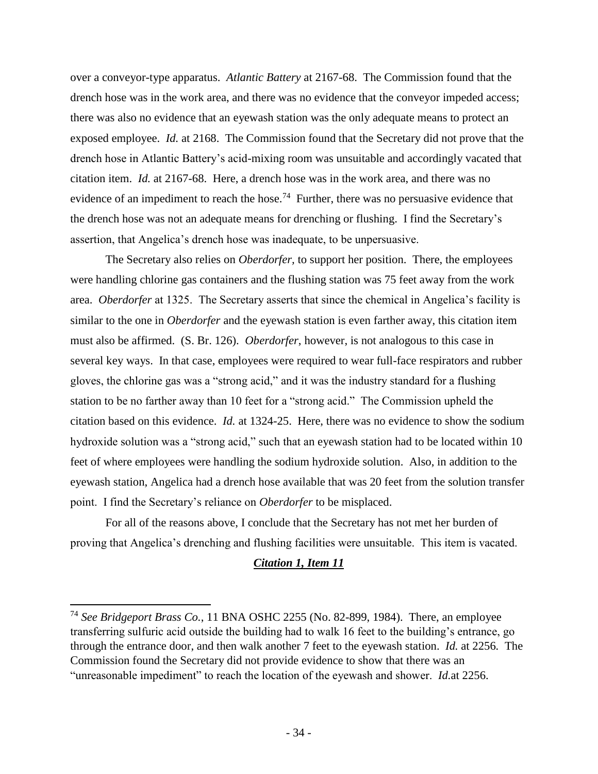over a conveyor-type apparatus. *Atlantic Battery* at 2167-68. The Commission found that the drench hose was in the work area, and there was no evidence that the conveyor impeded access; there was also no evidence that an eyewash station was the only adequate means to protect an exposed employee. *Id.* at 2168. The Commission found that the Secretary did not prove that the drench hose in Atlantic Battery's acid-mixing room was unsuitable and accordingly vacated that citation item. *Id.* at 2167-68. Here, a drench hose was in the work area, and there was no evidence of an impediment to reach the hose.<sup>74</sup> Further, there was no persuasive evidence that the drench hose was not an adequate means for drenching or flushing. I find the Secretary's assertion, that Angelica's drench hose was inadequate, to be unpersuasive.

The Secretary also relies on *Oberdorfer,* to support her position. There, the employees were handling chlorine gas containers and the flushing station was 75 feet away from the work area. *Oberdorfer* at 1325. The Secretary asserts that since the chemical in Angelica's facility is similar to the one in *Oberdorfer* and the eyewash station is even farther away, this citation item must also be affirmed. (S. Br. 126). *Oberdorfer*, however, is not analogous to this case in several key ways. In that case, employees were required to wear full-face respirators and rubber gloves, the chlorine gas was a "strong acid," and it was the industry standard for a flushing station to be no farther away than 10 feet for a "strong acid." The Commission upheld the citation based on this evidence. *Id.* at 1324-25. Here, there was no evidence to show the sodium hydroxide solution was a "strong acid," such that an eyewash station had to be located within 10 feet of where employees were handling the sodium hydroxide solution. Also, in addition to the eyewash station, Angelica had a drench hose available that was 20 feet from the solution transfer point. I find the Secretary's reliance on *Oberdorfer* to be misplaced.

For all of the reasons above, I conclude that the Secretary has not met her burden of proving that Angelica's drenching and flushing facilities were unsuitable. This item is vacated.

#### *Citation 1, Item 11*

<sup>74</sup> *See Bridgeport Brass Co.*, 11 BNA OSHC 2255 (No. 82-899, 1984). There, an employee transferring sulfuric acid outside the building had to walk 16 feet to the building's entrance, go through the entrance door, and then walk another 7 feet to the eyewash station. *Id.* at 2256*.* The Commission found the Secretary did not provide evidence to show that there was an "unreasonable impediment" to reach the location of the eyewash and shower. *Id.*at 2256.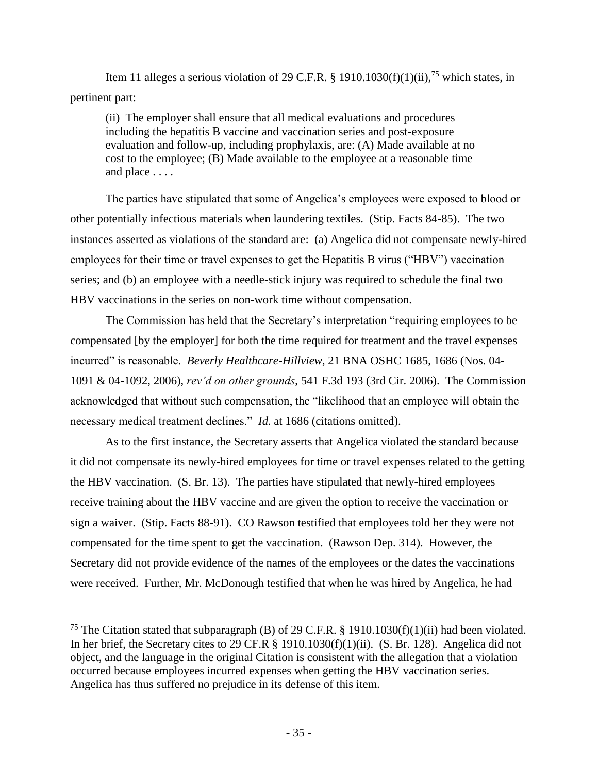Item 11 alleges a serious violation of 29 C.F.R. § 1910.1030(f)(1)(ii),<sup>75</sup> which states, in pertinent part:

(ii) The employer shall ensure that all medical evaluations and procedures including the hepatitis B vaccine and vaccination series and post-exposure evaluation and follow-up, including prophylaxis, are: (A) Made available at no cost to the employee; (B) Made available to the employee at a reasonable time and place . . . .

The parties have stipulated that some of Angelica's employees were exposed to blood or other potentially infectious materials when laundering textiles. (Stip. Facts 84-85). The two instances asserted as violations of the standard are: (a) Angelica did not compensate newly-hired employees for their time or travel expenses to get the Hepatitis B virus ("HBV") vaccination series; and (b) an employee with a needle-stick injury was required to schedule the final two HBV vaccinations in the series on non-work time without compensation.

The Commission has held that the Secretary's interpretation "requiring employees to be compensated [by the employer] for both the time required for treatment and the travel expenses incurred" is reasonable. *Beverly Healthcare-Hillview*, 21 BNA OSHC 1685, 1686 (Nos. 04- 1091 & 04-1092, 2006), *rev'd on other grounds*, 541 F.3d 193 (3rd Cir. 2006). The Commission acknowledged that without such compensation, the "likelihood that an employee will obtain the necessary medical treatment declines." *Id.* at 1686 (citations omitted).

As to the first instance, the Secretary asserts that Angelica violated the standard because it did not compensate its newly-hired employees for time or travel expenses related to the getting the HBV vaccination. (S. Br. 13). The parties have stipulated that newly-hired employees receive training about the HBV vaccine and are given the option to receive the vaccination or sign a waiver. (Stip. Facts 88-91). CO Rawson testified that employees told her they were not compensated for the time spent to get the vaccination. (Rawson Dep. 314). However, the Secretary did not provide evidence of the names of the employees or the dates the vaccinations were received. Further, Mr. McDonough testified that when he was hired by Angelica, he had

<sup>&</sup>lt;sup>75</sup> The Citation stated that subparagraph (B) of 29 C.F.R. § 1910.1030(f)(1)(ii) had been violated. In her brief, the Secretary cites to 29 CF.R § 1910.1030(f)(1)(ii). (S. Br. 128). Angelica did not object, and the language in the original Citation is consistent with the allegation that a violation occurred because employees incurred expenses when getting the HBV vaccination series. Angelica has thus suffered no prejudice in its defense of this item.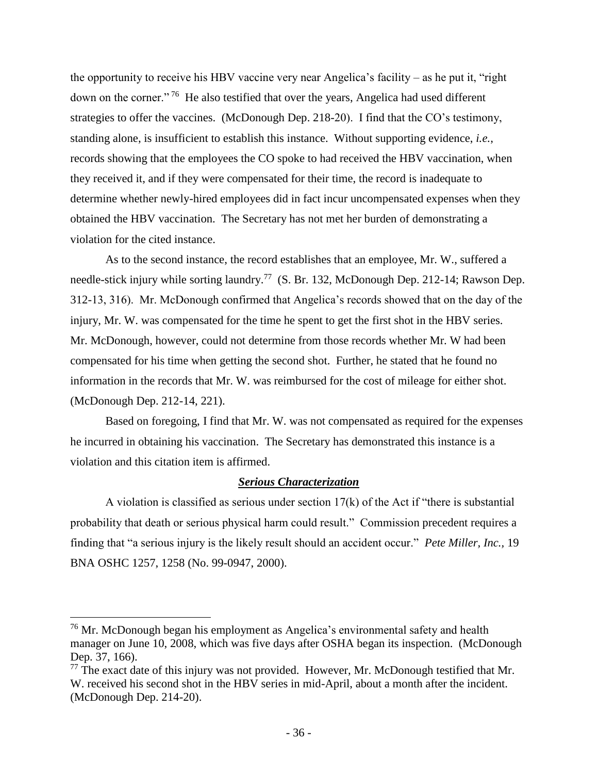the opportunity to receive his HBV vaccine very near Angelica's facility – as he put it, "right down on the corner."<sup>76</sup> He also testified that over the years, Angelica had used different strategies to offer the vaccines. (McDonough Dep. 218-20). I find that the CO's testimony, standing alone, is insufficient to establish this instance. Without supporting evidence, *i.e.*, records showing that the employees the CO spoke to had received the HBV vaccination, when they received it, and if they were compensated for their time, the record is inadequate to determine whether newly-hired employees did in fact incur uncompensated expenses when they obtained the HBV vaccination. The Secretary has not met her burden of demonstrating a violation for the cited instance.

As to the second instance, the record establishes that an employee, Mr. W., suffered a needle-stick injury while sorting laundry.<sup>77</sup> (S. Br. 132, McDonough Dep. 212-14; Rawson Dep. 312-13, 316). Mr. McDonough confirmed that Angelica's records showed that on the day of the injury, Mr. W. was compensated for the time he spent to get the first shot in the HBV series. Mr. McDonough, however, could not determine from those records whether Mr. W had been compensated for his time when getting the second shot. Further, he stated that he found no information in the records that Mr. W. was reimbursed for the cost of mileage for either shot. (McDonough Dep. 212-14, 221).

Based on foregoing, I find that Mr. W. was not compensated as required for the expenses he incurred in obtaining his vaccination. The Secretary has demonstrated this instance is a violation and this citation item is affirmed.

#### *Serious Characterization*

A violation is classified as serious under section  $17(k)$  of the Act if "there is substantial" probability that death or serious physical harm could result." Commission precedent requires a finding that "a serious injury is the likely result should an accident occur." *Pete Miller, Inc.,* 19 BNA OSHC 1257, 1258 (No. 99-0947, 2000).

 $\overline{\phantom{a}}$ 

 $76$  Mr. McDonough began his employment as Angelica's environmental safety and health manager on June 10, 2008, which was five days after OSHA began its inspection. (McDonough Dep. 37, 166).

 $77$  The exact date of this injury was not provided. However, Mr. McDonough testified that Mr. W. received his second shot in the HBV series in mid-April, about a month after the incident. (McDonough Dep. 214-20).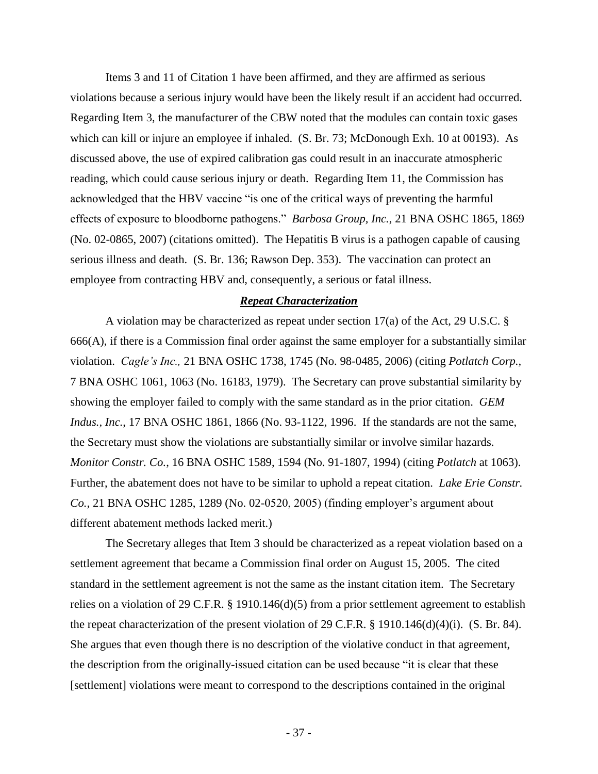Items 3 and 11 of Citation 1 have been affirmed, and they are affirmed as serious violations because a serious injury would have been the likely result if an accident had occurred. Regarding Item 3, the manufacturer of the CBW noted that the modules can contain toxic gases which can kill or injure an employee if inhaled. (S. Br. 73; McDonough Exh. 10 at 00193). As discussed above, the use of expired calibration gas could result in an inaccurate atmospheric reading, which could cause serious injury or death. Regarding Item 11, the Commission has acknowledged that the HBV vaccine "is one of the critical ways of preventing the harmful effects of exposure to bloodborne pathogens." *Barbosa Group, Inc.*, 21 BNA OSHC 1865, 1869 (No. 02-0865, 2007) (citations omitted). The Hepatitis B virus is a pathogen capable of causing serious illness and death. (S. Br. 136; Rawson Dep. 353). The vaccination can protect an employee from contracting HBV and, consequently, a serious or fatal illness.

## *Repeat Characterization*

A violation may be characterized as repeat under section 17(a) of the Act, 29 U.S.C. § 666(A), if there is a Commission final order against the same employer for a substantially similar violation. *Cagle's Inc.,* 21 BNA OSHC 1738, 1745 (No. 98-0485, 2006) (citing *Potlatch Corp.,*  7 BNA OSHC 1061, 1063 (No. 16183, 1979). The Secretary can prove substantial similarity by showing the employer failed to comply with the same standard as in the prior citation. *GEM Indus., Inc.*, 17 BNA OSHC 1861, 1866 (No. 93-1122, 1996. If the standards are not the same, the Secretary must show the violations are substantially similar or involve similar hazards. *Monitor Constr. Co.*, 16 BNA OSHC 1589, 1594 (No. 91-1807, 1994) (citing *Potlatch* at 1063). Further, the abatement does not have to be similar to uphold a repeat citation. *Lake Erie Constr. Co.,* 21 BNA OSHC 1285, 1289 (No. 02-0520, 2005) (finding employer's argument about different abatement methods lacked merit.)

The Secretary alleges that Item 3 should be characterized as a repeat violation based on a settlement agreement that became a Commission final order on August 15, 2005. The cited standard in the settlement agreement is not the same as the instant citation item. The Secretary relies on a violation of 29 C.F.R. § 1910.146(d)(5) from a prior settlement agreement to establish the repeat characterization of the present violation of 29 C.F.R. § 1910.146(d)(4)(i). (S. Br. 84). She argues that even though there is no description of the violative conduct in that agreement, the description from the originally-issued citation can be used because "it is clear that these [settlement] violations were meant to correspond to the descriptions contained in the original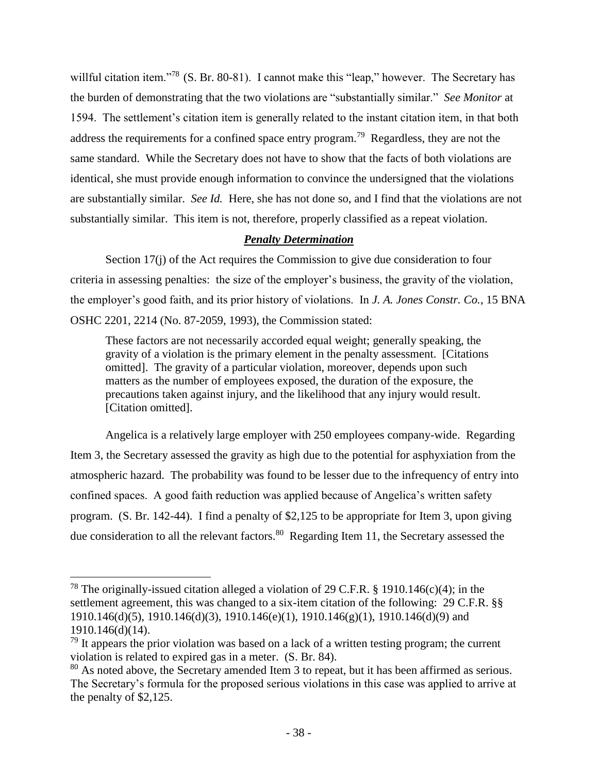willful citation item."<sup>78</sup> (S. Br. 80-81). I cannot make this "leap," however. The Secretary has the burden of demonstrating that the two violations are "substantially similar." *See Monitor* at 1594. The settlement's citation item is generally related to the instant citation item, in that both address the requirements for a confined space entry program.<sup>79</sup> Regardless, they are not the same standard. While the Secretary does not have to show that the facts of both violations are identical, she must provide enough information to convince the undersigned that the violations are substantially similar. *See Id.* Here, she has not done so, and I find that the violations are not substantially similar. This item is not, therefore, properly classified as a repeat violation.

# *Penalty Determination*

Section 17(j) of the Act requires the Commission to give due consideration to four criteria in assessing penalties: the size of the employer's business, the gravity of the violation, the employer's good faith, and its prior history of violations. In *J. A. Jones Constr. Co.*, 15 BNA OSHC 2201, 2214 (No. 87-2059, 1993), the Commission stated:

These factors are not necessarily accorded equal weight; generally speaking, the gravity of a violation is the primary element in the penalty assessment. [Citations omitted]. The gravity of a particular violation, moreover, depends upon such matters as the number of employees exposed, the duration of the exposure, the precautions taken against injury, and the likelihood that any injury would result. [Citation omitted].

Angelica is a relatively large employer with 250 employees company-wide. Regarding Item 3, the Secretary assessed the gravity as high due to the potential for asphyxiation from the atmospheric hazard. The probability was found to be lesser due to the infrequency of entry into confined spaces. A good faith reduction was applied because of Angelica's written safety program. (S. Br. 142-44). I find a penalty of \$2,125 to be appropriate for Item 3, upon giving due consideration to all the relevant factors.<sup>80</sup> Regarding Item 11, the Secretary assessed the

l

<sup>&</sup>lt;sup>78</sup> The originally-issued citation alleged a violation of 29 C.F.R. § 1910.146(c)(4); in the settlement agreement, this was changed to a six-item citation of the following: 29 C.F.R. §§ 1910.146(d)(5), 1910.146(d)(3), 1910.146(e)(1), 1910.146(g)(1), 1910.146(d)(9) and 1910.146(d)(14).

 $79$  It appears the prior violation was based on a lack of a written testing program; the current violation is related to expired gas in a meter. (S. Br. 84).

<sup>&</sup>lt;sup>80</sup> As noted above, the Secretary amended Item 3 to repeat, but it has been affirmed as serious. The Secretary's formula for the proposed serious violations in this case was applied to arrive at the penalty of \$2,125.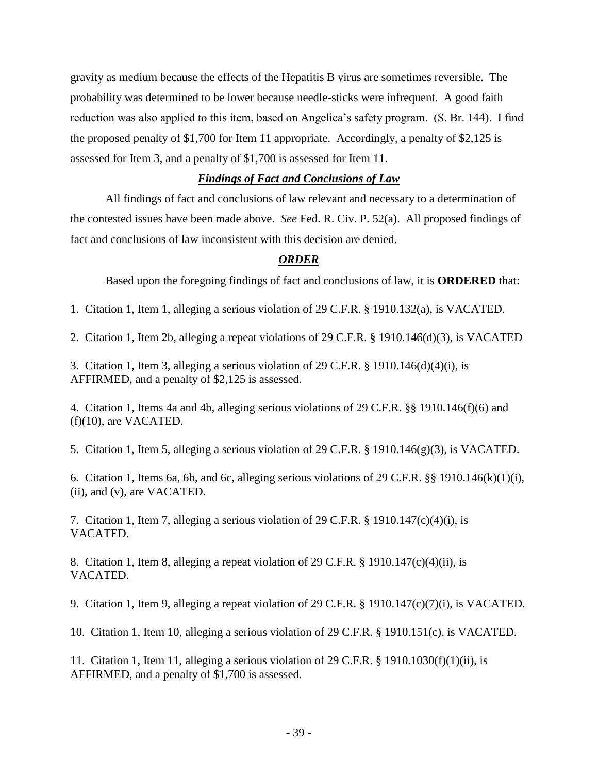gravity as medium because the effects of the Hepatitis B virus are sometimes reversible. The probability was determined to be lower because needle-sticks were infrequent. A good faith reduction was also applied to this item, based on Angelica's safety program. (S. Br. 144). I find the proposed penalty of \$1,700 for Item 11 appropriate. Accordingly, a penalty of \$2,125 is assessed for Item 3, and a penalty of \$1,700 is assessed for Item 11.

## *Findings of Fact and Conclusions of Law*

All findings of fact and conclusions of law relevant and necessary to a determination of the contested issues have been made above. *See* Fed. R. Civ. P. 52(a). All proposed findings of fact and conclusions of law inconsistent with this decision are denied.

### *ORDER*

Based upon the foregoing findings of fact and conclusions of law, it is **ORDERED** that:

1. Citation 1, Item 1, alleging a serious violation of 29 C.F.R. § 1910.132(a), is VACATED.

2. Citation 1, Item 2b, alleging a repeat violations of 29 C.F.R. § 1910.146(d)(3), is VACATED

3. Citation 1, Item 3, alleging a serious violation of 29 C.F.R. § 1910.146(d)(4)(i), is AFFIRMED, and a penalty of \$2,125 is assessed.

4. Citation 1, Items 4a and 4b, alleging serious violations of 29 C.F.R. §§ 1910.146(f)(6) and (f)(10), are VACATED.

5. Citation 1, Item 5, alleging a serious violation of 29 C.F.R. § 1910.146(g)(3), is VACATED.

6. Citation 1, Items 6a, 6b, and 6c, alleging serious violations of 29 C.F.R. §§ 1910.146(k)(1)(i), (ii), and (v), are VACATED.

7. Citation 1, Item 7, alleging a serious violation of 29 C.F.R. § 1910.147(c)(4)(i), is VACATED.

8. Citation 1, Item 8, alleging a repeat violation of 29 C.F.R. § 1910.147(c)(4)(ii), is VACATED.

9. Citation 1, Item 9, alleging a repeat violation of 29 C.F.R. § 1910.147(c)(7)(i), is VACATED.

10. Citation 1, Item 10, alleging a serious violation of 29 C.F.R. § 1910.151(c), is VACATED.

11. Citation 1, Item 11, alleging a serious violation of 29 C.F.R. § 1910.1030(f)(1)(ii), is AFFIRMED, and a penalty of \$1,700 is assessed.